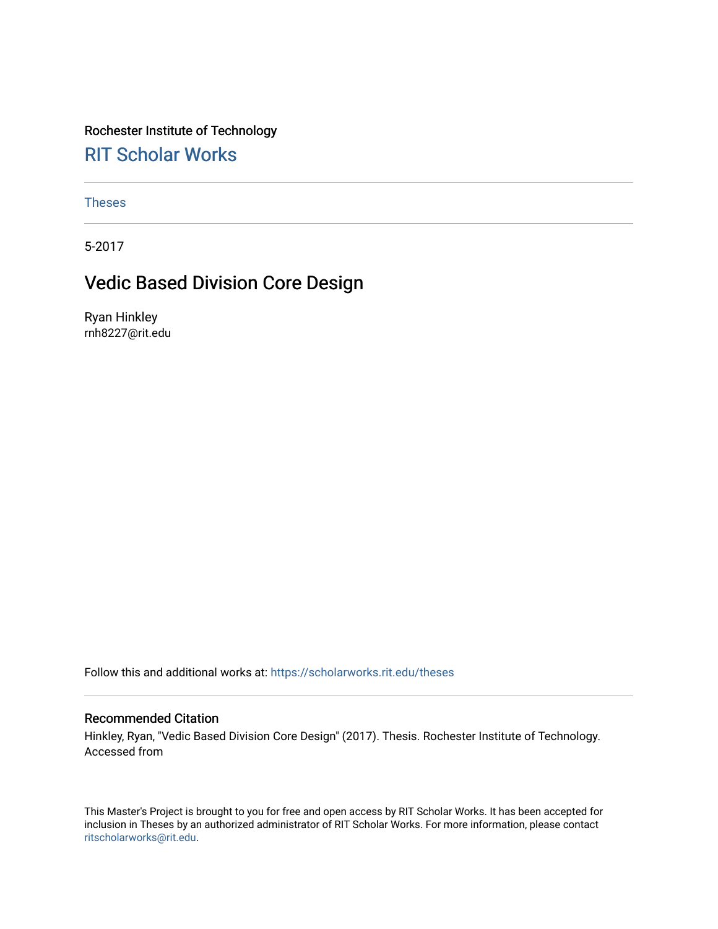### Rochester Institute of Technology

### [RIT Scholar Works](https://scholarworks.rit.edu/)

[Theses](https://scholarworks.rit.edu/theses) 

5-2017

### Vedic Based Division Core Design

Ryan Hinkley rnh8227@rit.edu

Follow this and additional works at: [https://scholarworks.rit.edu/theses](https://scholarworks.rit.edu/theses?utm_source=scholarworks.rit.edu%2Ftheses%2F9523&utm_medium=PDF&utm_campaign=PDFCoverPages) 

#### Recommended Citation

Hinkley, Ryan, "Vedic Based Division Core Design" (2017). Thesis. Rochester Institute of Technology. Accessed from

This Master's Project is brought to you for free and open access by RIT Scholar Works. It has been accepted for inclusion in Theses by an authorized administrator of RIT Scholar Works. For more information, please contact [ritscholarworks@rit.edu](mailto:ritscholarworks@rit.edu).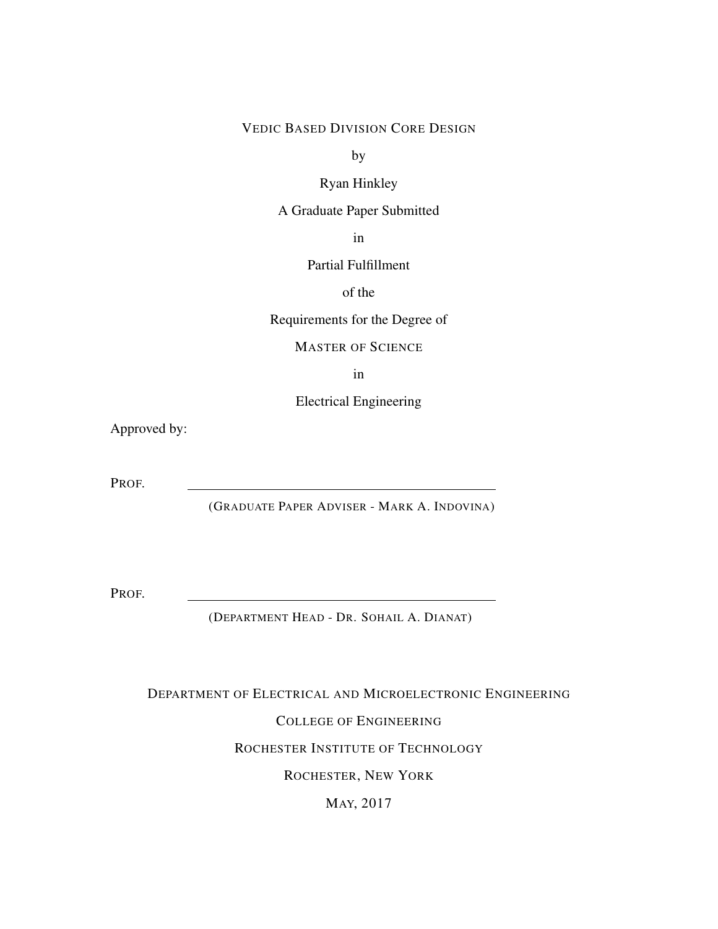#### VEDIC BASED DIVISION CORE DESIGN

by

Ryan Hinkley

A Graduate Paper Submitted

in

Partial Fulfillment

of the

Requirements for the Degree of

MASTER OF SCIENCE

in

Electrical Engineering

Approved by:

PROF.

(GRADUATE PAPER ADVISER - MARK A. INDOVINA)

PROF.

(DEPARTMENT HEAD - DR. SOHAIL A. DIANAT)

DEPARTMENT OF ELECTRICAL AND MICROELECTRONIC ENGINEERING

COLLEGE OF ENGINEERING

ROCHESTER INSTITUTE OF TECHNOLOGY

ROCHESTER, NEW YORK

MAY, 2017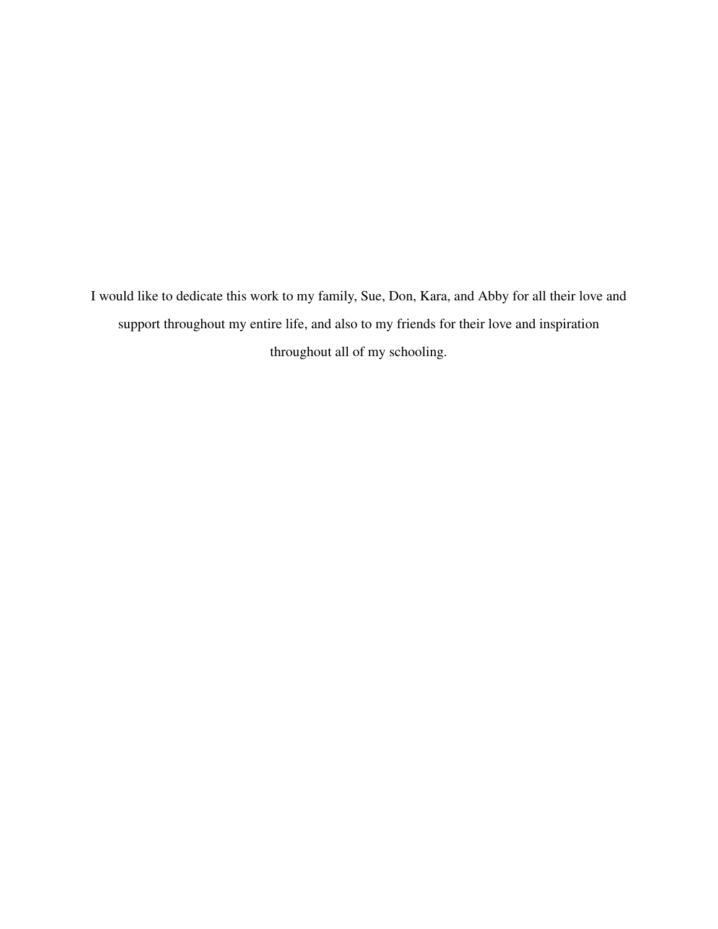I would like to dedicate this work to my family, Sue, Don, Kara, and Abby for all their love and support throughout my entire life, and also to my friends for their love and inspiration throughout all of my schooling.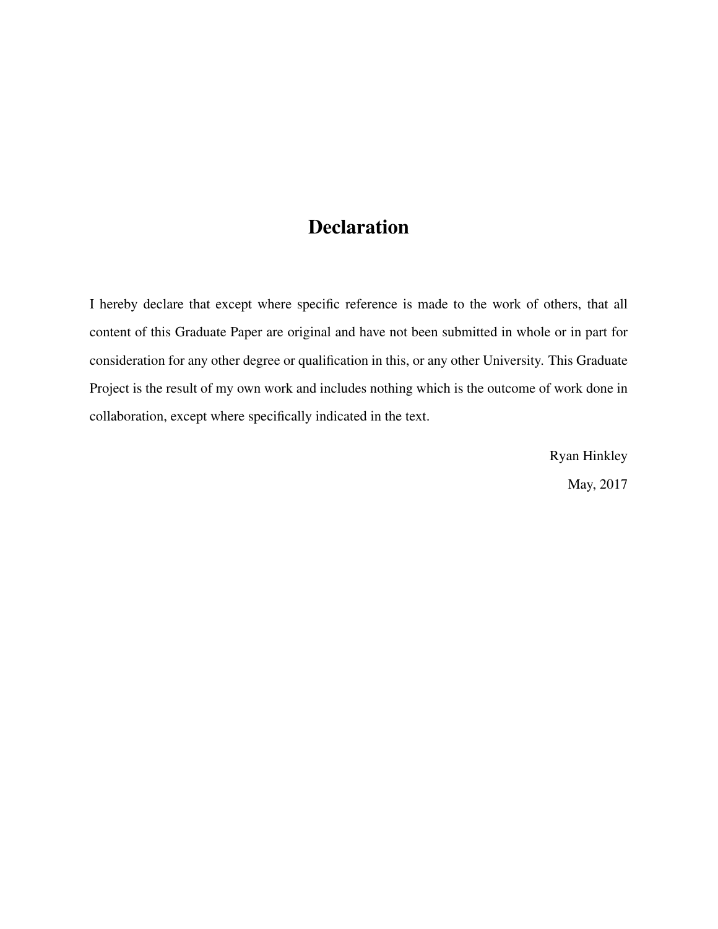### Declaration

I hereby declare that except where specific reference is made to the work of others, that all content of this Graduate Paper are original and have not been submitted in whole or in part for consideration for any other degree or qualification in this, or any other University. This Graduate Project is the result of my own work and includes nothing which is the outcome of work done in collaboration, except where specifically indicated in the text.

> Ryan Hinkley May, 2017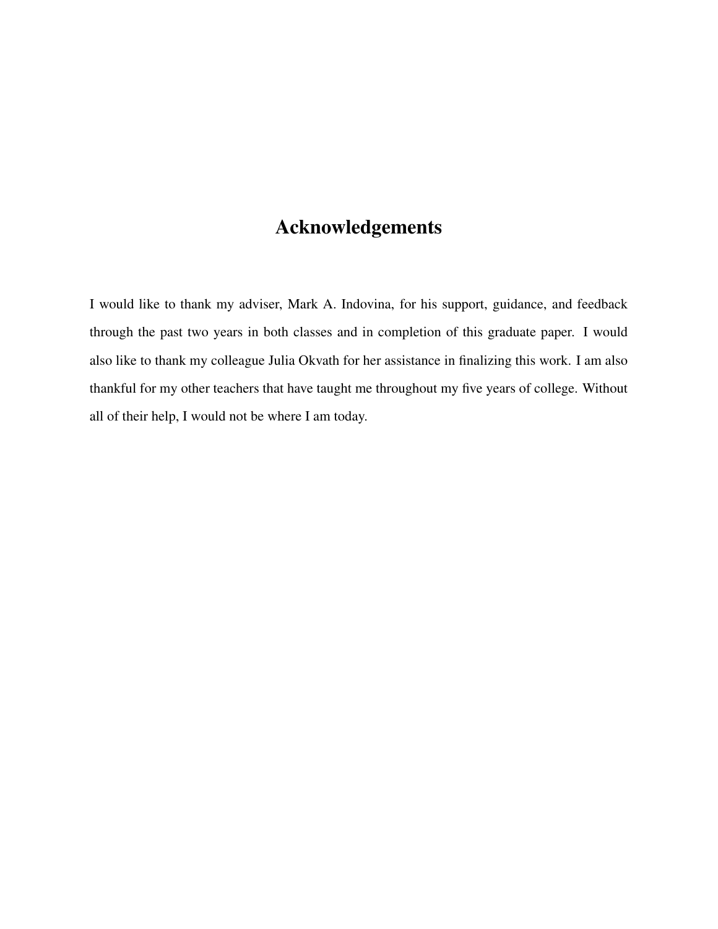### Acknowledgements

I would like to thank my adviser, Mark A. Indovina, for his support, guidance, and feedback through the past two years in both classes and in completion of this graduate paper. I would also like to thank my colleague Julia Okvath for her assistance in finalizing this work. I am also thankful for my other teachers that have taught me throughout my five years of college. Without all of their help, I would not be where I am today.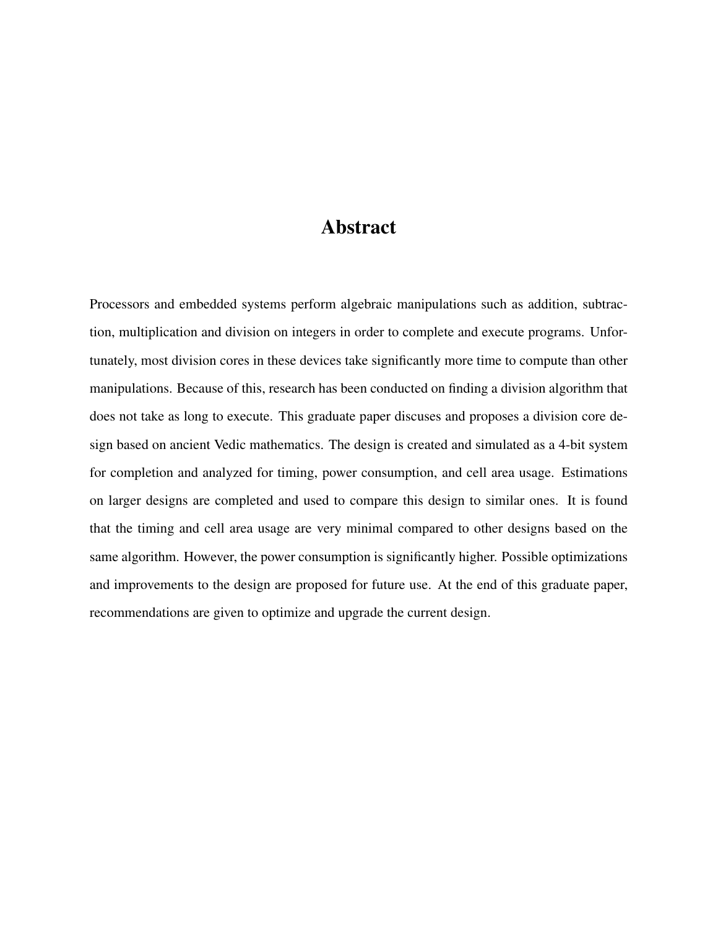#### Abstract

Processors and embedded systems perform algebraic manipulations such as addition, subtraction, multiplication and division on integers in order to complete and execute programs. Unfortunately, most division cores in these devices take significantly more time to compute than other manipulations. Because of this, research has been conducted on finding a division algorithm that does not take as long to execute. This graduate paper discuses and proposes a division core design based on ancient Vedic mathematics. The design is created and simulated as a 4-bit system for completion and analyzed for timing, power consumption, and cell area usage. Estimations on larger designs are completed and used to compare this design to similar ones. It is found that the timing and cell area usage are very minimal compared to other designs based on the same algorithm. However, the power consumption is significantly higher. Possible optimizations and improvements to the design are proposed for future use. At the end of this graduate paper, recommendations are given to optimize and upgrade the current design.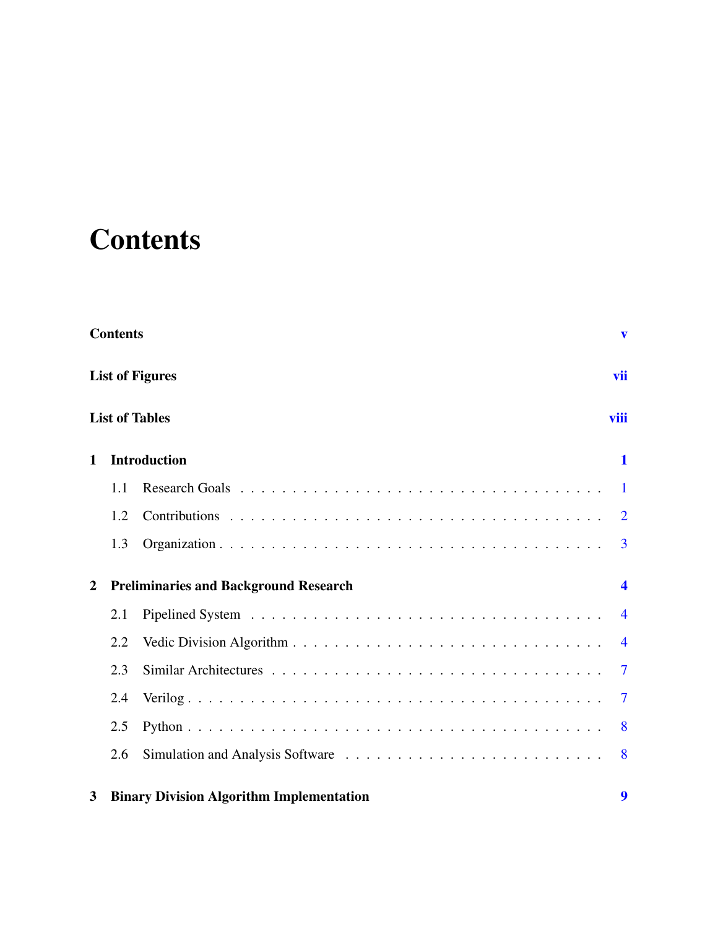# <span id="page-6-0"></span>**Contents**

|                | <b>Contents</b> |                                                 | $\mathbf{v}$               |
|----------------|-----------------|-------------------------------------------------|----------------------------|
|                |                 | <b>List of Figures</b>                          | vii                        |
|                |                 | <b>List of Tables</b>                           | viii                       |
| 1              |                 | <b>Introduction</b>                             | 1                          |
|                | 1.1             |                                                 | $\vert$                    |
|                | 1.2             |                                                 | $\overline{2}$             |
|                | 1.3             |                                                 | $\overline{3}$             |
| $\overline{2}$ |                 | <b>Preliminaries and Background Research</b>    | $\boldsymbol{\mathcal{A}}$ |
|                | 2.1             |                                                 | $\overline{4}$             |
|                | 2.2             |                                                 | $\overline{4}$             |
|                | 2.3             |                                                 | $\overline{7}$             |
|                | 2.4             |                                                 | $\overline{7}$             |
|                | 2.5             |                                                 | 8                          |
|                | 2.6             |                                                 | 8                          |
| 3              |                 | <b>Binary Division Algorithm Implementation</b> | 9                          |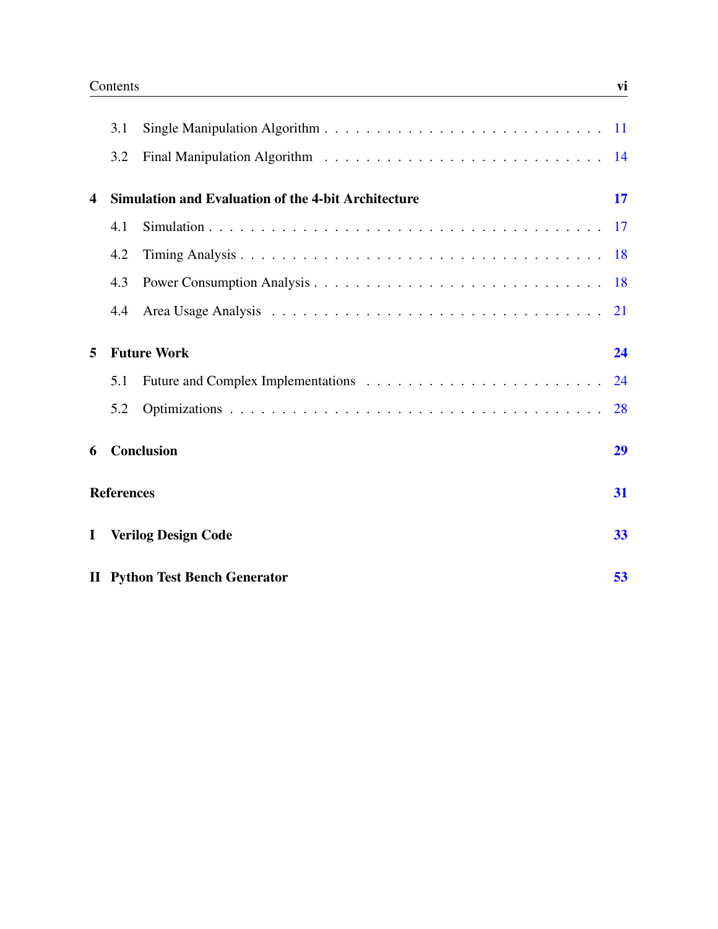|              |                   | <b>II</b> Python Test Bench Generator                      | 53 |
|--------------|-------------------|------------------------------------------------------------|----|
| $\mathbf{I}$ |                   | <b>Verilog Design Code</b>                                 | 33 |
|              | <b>References</b> |                                                            | 31 |
| 6            |                   | Conclusion                                                 | 29 |
|              | 5.2               |                                                            | 28 |
|              | 5.1               |                                                            | 24 |
| 5            |                   | <b>Future Work</b>                                         | 24 |
|              | 4.4               |                                                            |    |
|              | 4.3               |                                                            |    |
|              | 4.2               |                                                            |    |
|              | 4.1               |                                                            |    |
| 4            |                   | <b>Simulation and Evaluation of the 4-bit Architecture</b> | 17 |
|              | 3.2               |                                                            |    |
|              | 3.1               |                                                            |    |
|              |                   |                                                            |    |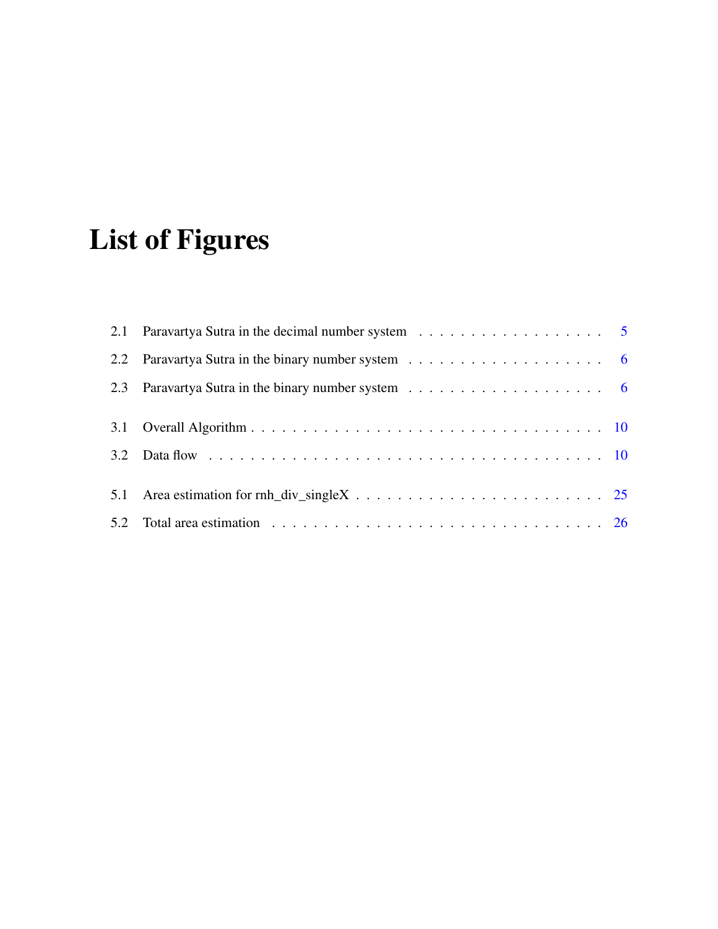# <span id="page-8-0"></span>List of Figures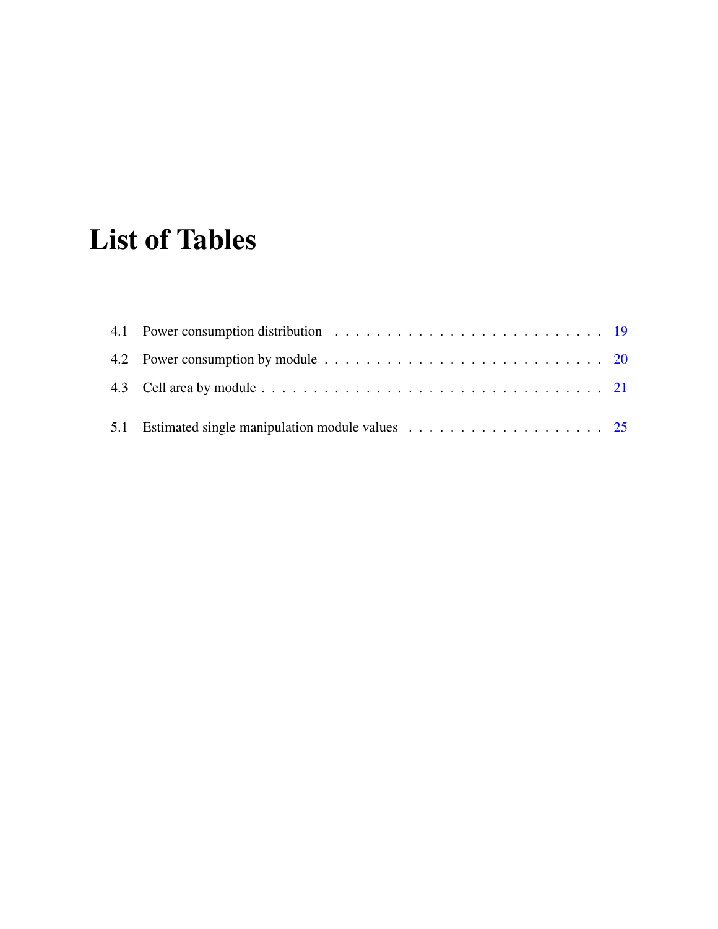# <span id="page-9-0"></span>List of Tables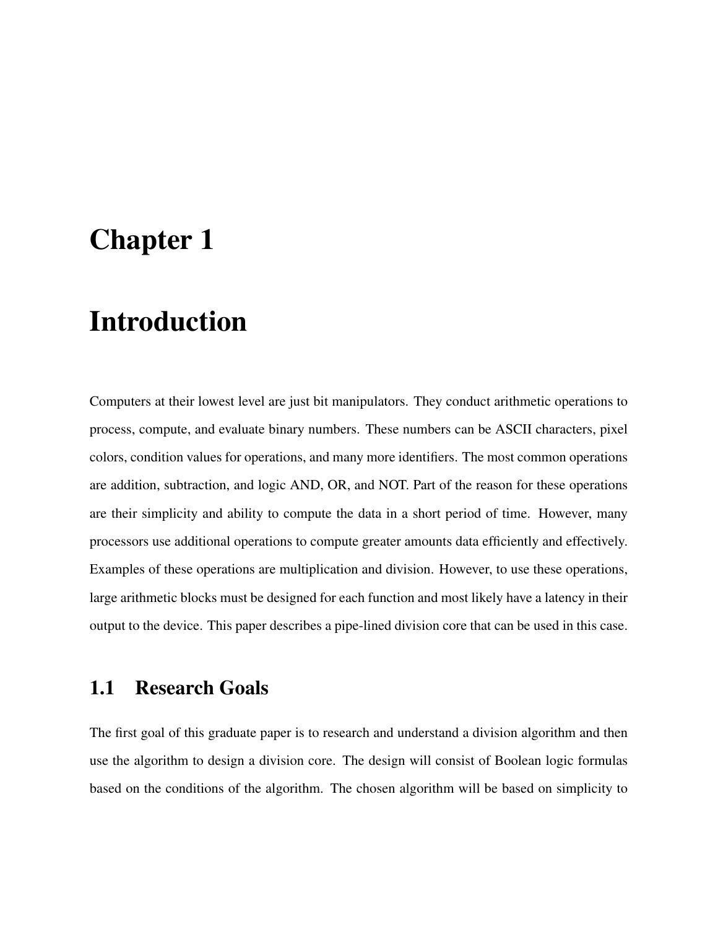### <span id="page-10-0"></span>Chapter 1

### Introduction

Computers at their lowest level are just bit manipulators. They conduct arithmetic operations to process, compute, and evaluate binary numbers. These numbers can be ASCII characters, pixel colors, condition values for operations, and many more identifiers. The most common operations are addition, subtraction, and logic AND, OR, and NOT. Part of the reason for these operations are their simplicity and ability to compute the data in a short period of time. However, many processors use additional operations to compute greater amounts data efficiently and effectively. Examples of these operations are multiplication and division. However, to use these operations, large arithmetic blocks must be designed for each function and most likely have a latency in their output to the device. This paper describes a pipe-lined division core that can be used in this case.

#### <span id="page-10-1"></span>1.1 Research Goals

The first goal of this graduate paper is to research and understand a division algorithm and then use the algorithm to design a division core. The design will consist of Boolean logic formulas based on the conditions of the algorithm. The chosen algorithm will be based on simplicity to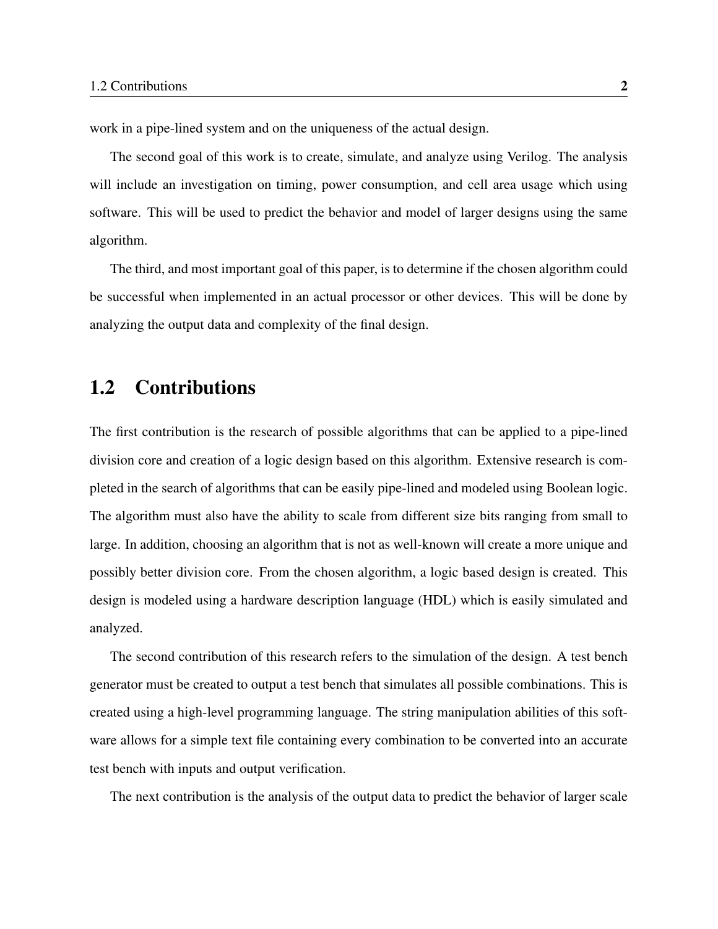work in a pipe-lined system and on the uniqueness of the actual design.

The second goal of this work is to create, simulate, and analyze using Verilog. The analysis will include an investigation on timing, power consumption, and cell area usage which using software. This will be used to predict the behavior and model of larger designs using the same algorithm.

The third, and most important goal of this paper, is to determine if the chosen algorithm could be successful when implemented in an actual processor or other devices. This will be done by analyzing the output data and complexity of the final design.

#### <span id="page-11-0"></span>1.2 Contributions

The first contribution is the research of possible algorithms that can be applied to a pipe-lined division core and creation of a logic design based on this algorithm. Extensive research is completed in the search of algorithms that can be easily pipe-lined and modeled using Boolean logic. The algorithm must also have the ability to scale from different size bits ranging from small to large. In addition, choosing an algorithm that is not as well-known will create a more unique and possibly better division core. From the chosen algorithm, a logic based design is created. This design is modeled using a hardware description language (HDL) which is easily simulated and analyzed.

The second contribution of this research refers to the simulation of the design. A test bench generator must be created to output a test bench that simulates all possible combinations. This is created using a high-level programming language. The string manipulation abilities of this software allows for a simple text file containing every combination to be converted into an accurate test bench with inputs and output verification.

The next contribution is the analysis of the output data to predict the behavior of larger scale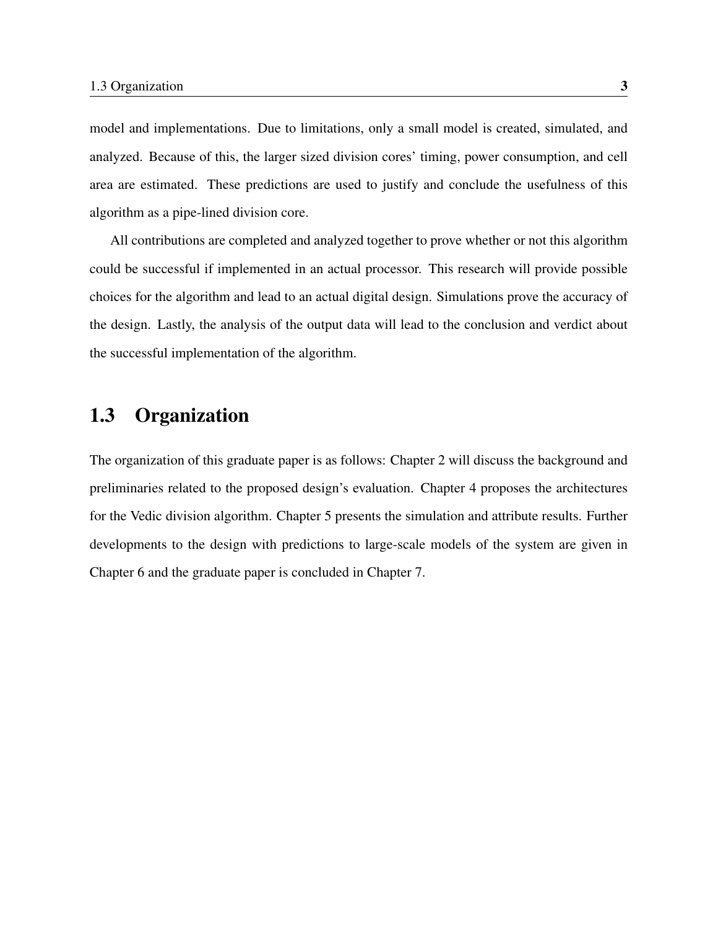model and implementations. Due to limitations, only a small model is created, simulated, and analyzed. Because of this, the larger sized division cores' timing, power consumption, and cell area are estimated. These predictions are used to justify and conclude the usefulness of this algorithm as a pipe-lined division core.

All contributions are completed and analyzed together to prove whether or not this algorithm could be successful if implemented in an actual processor. This research will provide possible choices for the algorithm and lead to an actual digital design. Simulations prove the accuracy of the design. Lastly, the analysis of the output data will lead to the conclusion and verdict about the successful implementation of the algorithm.

#### <span id="page-12-0"></span>1.3 Organization

The organization of this graduate paper is as follows: Chapter 2 will discuss the background and preliminaries related to the proposed design's evaluation. Chapter 4 proposes the architectures for the Vedic division algorithm. Chapter 5 presents the simulation and attribute results. Further developments to the design with predictions to large-scale models of the system are given in Chapter 6 and the graduate paper is concluded in Chapter 7.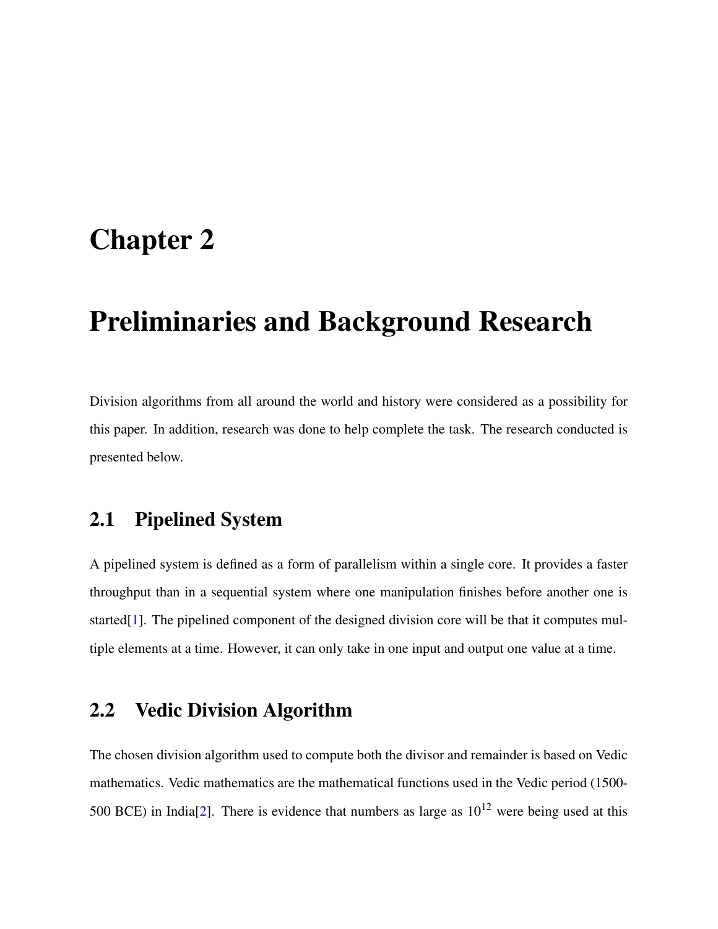### <span id="page-13-0"></span>Chapter 2

### Preliminaries and Background Research

Division algorithms from all around the world and history were considered as a possibility for this paper. In addition, research was done to help complete the task. The research conducted is presented below.

#### <span id="page-13-1"></span>2.1 Pipelined System

A pipelined system is defined as a form of parallelism within a single core. It provides a faster throughput than in a sequential system where one manipulation finishes before another one is started<sup>[\[1\]](#page-40-1)</sup>. The pipelined component of the designed division core will be that it computes multiple elements at a time. However, it can only take in one input and output one value at a time.

#### <span id="page-13-2"></span>2.2 Vedic Division Algorithm

The chosen division algorithm used to compute both the divisor and remainder is based on Vedic mathematics. Vedic mathematics are the mathematical functions used in the Vedic period (1500- 500 BCE) in India<sup>[\[2\]](#page-40-2)</sup>. There is evidence that numbers as large as  $10^{12}$  were being used at this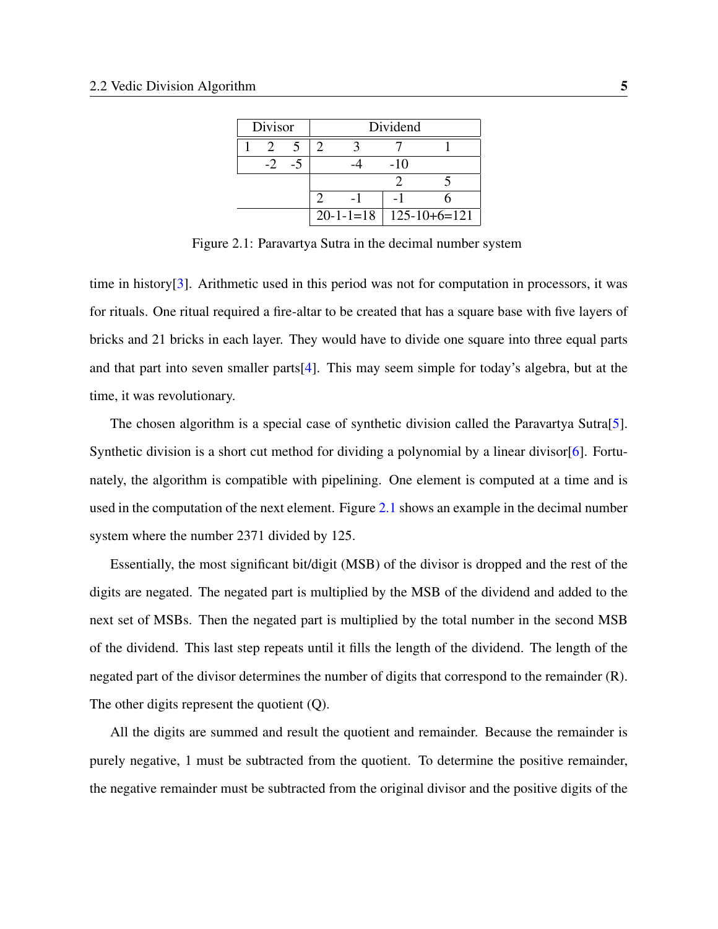| Divisor |  | Dividend |                              |
|---------|--|----------|------------------------------|
|         |  |          |                              |
|         |  | $-10$    |                              |
|         |  |          |                              |
|         |  |          |                              |
|         |  |          | $20-1-1=18$   $125-10+6=121$ |

<span id="page-14-0"></span>Figure 2.1: Paravartya Sutra in the decimal number system

time in history[\[3\]](#page-40-3). Arithmetic used in this period was not for computation in processors, it was for rituals. One ritual required a fire-altar to be created that has a square base with five layers of bricks and 21 bricks in each layer. They would have to divide one square into three equal parts and that part into seven smaller parts[\[4\]](#page-40-4). This may seem simple for today's algebra, but at the time, it was revolutionary.

The chosen algorithm is a special case of synthetic division called the Paravartya Sutra[\[5\]](#page-40-5). Synthetic division is a short cut method for dividing a polynomial by a linear divisor [\[6\]](#page-40-6). Fortunately, the algorithm is compatible with pipelining. One element is computed at a time and is used in the computation of the next element. Figure [2.1](#page-14-0) shows an example in the decimal number system where the number 2371 divided by 125.

Essentially, the most significant bit/digit (MSB) of the divisor is dropped and the rest of the digits are negated. The negated part is multiplied by the MSB of the dividend and added to the next set of MSBs. Then the negated part is multiplied by the total number in the second MSB of the dividend. This last step repeats until it fills the length of the dividend. The length of the negated part of the divisor determines the number of digits that correspond to the remainder (R). The other digits represent the quotient (Q).

All the digits are summed and result the quotient and remainder. Because the remainder is purely negative, 1 must be subtracted from the quotient. To determine the positive remainder, the negative remainder must be subtracted from the original divisor and the positive digits of the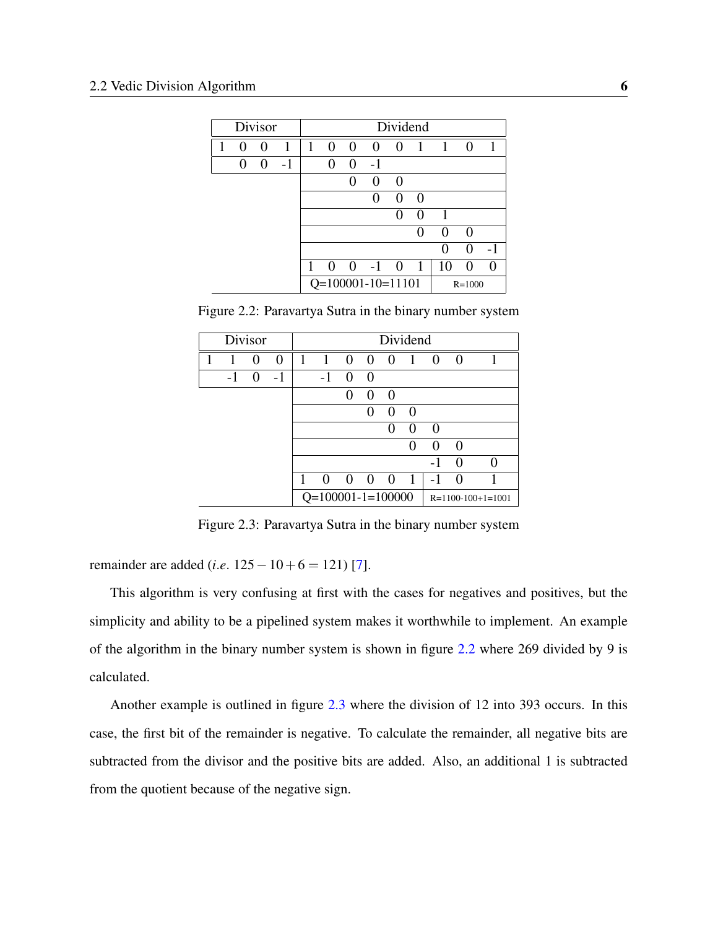| Divisor |                   |   |      |   |              |                |                     | Dividend          |          |                   |                   |              |
|---------|-------------------|---|------|---|--------------|----------------|---------------------|-------------------|----------|-------------------|-------------------|--------------|
| 1       | 0                 | 0 | 1    | 1 | $\Omega$     | $\overline{0}$ | $\Omega$            | $\Omega$          | -1       | $\overline{1}$    | 0                 | $\mathbf{1}$ |
|         | $\mathbf{\Omega}$ | 0 | $-1$ |   |              | $\mathbf{0}$   | $-1$                |                   |          |                   |                   |              |
|         |                   |   |      |   |              | 0              | $\theta$            | $\theta$          |          |                   |                   |              |
|         |                   |   |      |   |              |                |                     | $\mathbf{\Omega}$ | $\theta$ |                   |                   |              |
|         |                   |   |      |   |              |                |                     |                   | $\theta$ |                   |                   |              |
|         |                   |   |      |   |              |                |                     |                   | 0        | $\mathbf{\Omega}$ | $\mathbf{\Omega}$ |              |
|         |                   |   |      |   |              |                |                     |                   |          |                   | $\mathbf{\Omega}$ |              |
|         |                   |   |      | 1 | $\mathbf{0}$ | $\theta$       | $-1$                | $\theta$          | -1       | 10                |                   |              |
|         |                   |   |      |   |              |                | $Q=100001-10=11101$ |                   |          |                   | $R = 1000$        |              |

<span id="page-15-0"></span>Figure 2.2: Paravartya Sutra in the binary number system

| Divisor |      |                   | Dividend |   |                     |                   |          |                   |                   |                   |                   |                     |
|---------|------|-------------------|----------|---|---------------------|-------------------|----------|-------------------|-------------------|-------------------|-------------------|---------------------|
|         |      | $\theta$          | $\theta$ | 1 | 1                   | 0                 | $\Omega$ | $\Omega$          | 1                 | 0                 | $\Omega$          |                     |
|         | $-1$ | $\mathbf{\Omega}$ | $-1$     |   | $-1$                | $\mathbf{\Omega}$ | $\theta$ |                   |                   |                   |                   |                     |
|         |      |                   |          |   |                     | 0                 | $\theta$ | $\mathcal{L}$     |                   |                   |                   |                     |
|         |      |                   |          |   |                     |                   |          | $\mathbf{\Omega}$ | $\mathbf{\Omega}$ |                   |                   |                     |
|         |      |                   |          |   |                     |                   |          |                   | $\theta$          | $\mathbf{\Omega}$ |                   |                     |
|         |      |                   |          |   |                     |                   |          |                   | 0                 | 0                 | $\Omega$          |                     |
|         |      |                   |          |   |                     |                   |          |                   |                   | - 1               | $\mathbf{\Omega}$ |                     |
|         |      |                   |          |   | $\theta$            | $\theta$          | $\theta$ | $\theta$          | 1                 |                   |                   |                     |
|         |      |                   |          |   | $Q=100001-1=100000$ |                   |          |                   |                   |                   |                   | $R=1100-100+1=1001$ |

<span id="page-15-1"></span>Figure 2.3: Paravartya Sutra in the binary number system

remainder are added (*i*.*e*. 125−10+6 = 121) [\[7\]](#page-40-7).

This algorithm is very confusing at first with the cases for negatives and positives, but the simplicity and ability to be a pipelined system makes it worthwhile to implement. An example of the algorithm in the binary number system is shown in figure [2.2](#page-15-0) where 269 divided by 9 is calculated.

Another example is outlined in figure [2.3](#page-15-1) where the division of 12 into 393 occurs. In this case, the first bit of the remainder is negative. To calculate the remainder, all negative bits are subtracted from the divisor and the positive bits are added. Also, an additional 1 is subtracted from the quotient because of the negative sign.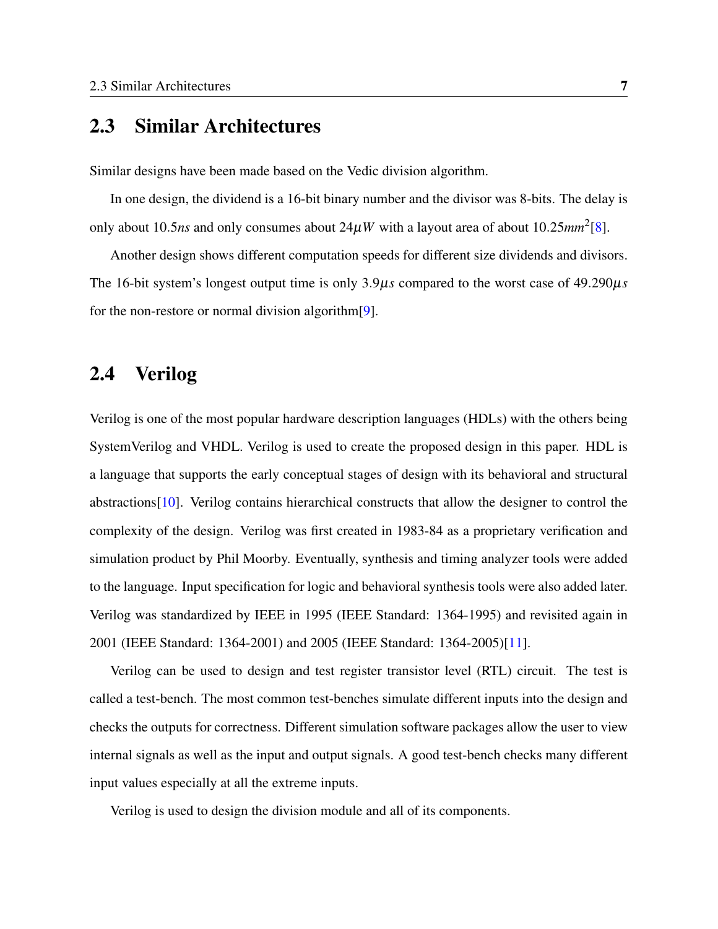#### <span id="page-16-0"></span>2.3 Similar Architectures

Similar designs have been made based on the Vedic division algorithm.

In one design, the dividend is a 16-bit binary number and the divisor was 8-bits. The delay is only about 10.5*ns* and only consumes about  $24\mu W$  with a layout area of about 10.25 $mm^2$ [\[8\]](#page-40-8).

Another design shows different computation speeds for different size dividends and divisors. The 16-bit system's longest output time is only 3.9µ*s* compared to the worst case of 49.290µ*s* for the non-restore or normal division algorithm[\[9\]](#page-41-0).

#### <span id="page-16-1"></span>2.4 Verilog

Verilog is one of the most popular hardware description languages (HDLs) with the others being SystemVerilog and VHDL. Verilog is used to create the proposed design in this paper. HDL is a language that supports the early conceptual stages of design with its behavioral and structural abstractions[\[10\]](#page-41-1). Verilog contains hierarchical constructs that allow the designer to control the complexity of the design. Verilog was first created in 1983-84 as a proprietary verification and simulation product by Phil Moorby. Eventually, synthesis and timing analyzer tools were added to the language. Input specification for logic and behavioral synthesis tools were also added later. Verilog was standardized by IEEE in 1995 (IEEE Standard: 1364-1995) and revisited again in 2001 (IEEE Standard: 1364-2001) and 2005 (IEEE Standard: 1364-2005)[\[11\]](#page-41-2).

Verilog can be used to design and test register transistor level (RTL) circuit. The test is called a test-bench. The most common test-benches simulate different inputs into the design and checks the outputs for correctness. Different simulation software packages allow the user to view internal signals as well as the input and output signals. A good test-bench checks many different input values especially at all the extreme inputs.

Verilog is used to design the division module and all of its components.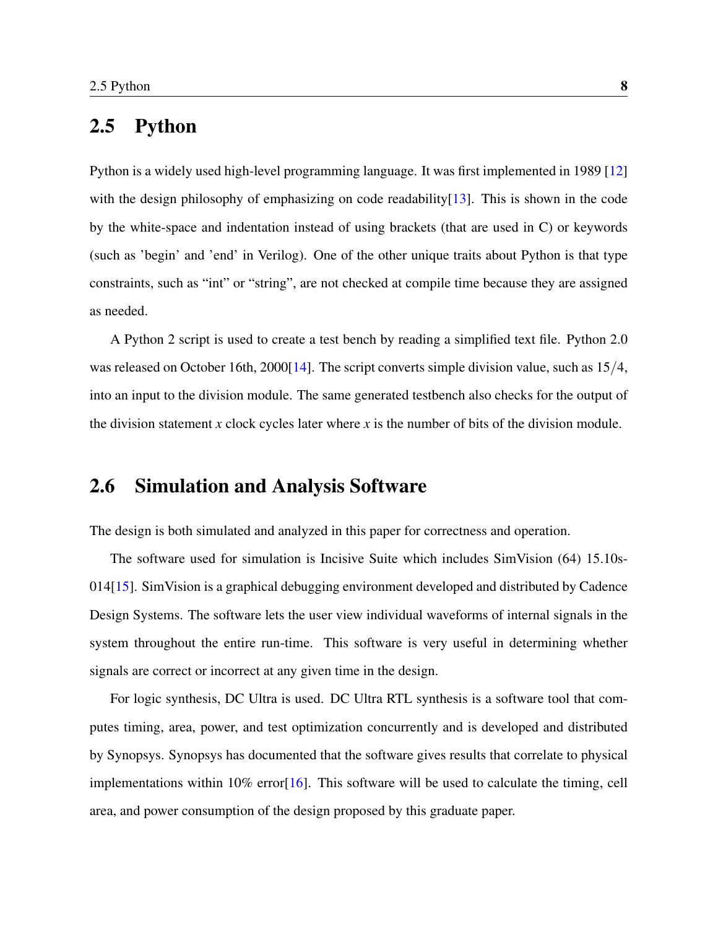#### <span id="page-17-0"></span>2.5 Python

Python is a widely used high-level programming language. It was first implemented in 1989 [\[12\]](#page-41-3) with the design philosophy of emphasizing on code readability $[13]$ . This is shown in the code by the white-space and indentation instead of using brackets (that are used in C) or keywords (such as 'begin' and 'end' in Verilog). One of the other unique traits about Python is that type constraints, such as "int" or "string", are not checked at compile time because they are assigned as needed.

A Python 2 script is used to create a test bench by reading a simplified text file. Python 2.0 was released on October 16th, 2000[\[14\]](#page-41-5). The script converts simple division value, such as  $15/4$ , into an input to the division module. The same generated testbench also checks for the output of the division statement *x* clock cycles later where *x* is the number of bits of the division module.

#### <span id="page-17-1"></span>2.6 Simulation and Analysis Software

The design is both simulated and analyzed in this paper for correctness and operation.

The software used for simulation is Incisive Suite which includes SimVision (64) 15.10s-014[\[15\]](#page-41-6). SimVision is a graphical debugging environment developed and distributed by Cadence Design Systems. The software lets the user view individual waveforms of internal signals in the system throughout the entire run-time. This software is very useful in determining whether signals are correct or incorrect at any given time in the design.

For logic synthesis, DC Ultra is used. DC Ultra RTL synthesis is a software tool that computes timing, area, power, and test optimization concurrently and is developed and distributed by Synopsys. Synopsys has documented that the software gives results that correlate to physical implementations within  $10\%$  error [\[16\]](#page-41-7). This software will be used to calculate the timing, cell area, and power consumption of the design proposed by this graduate paper.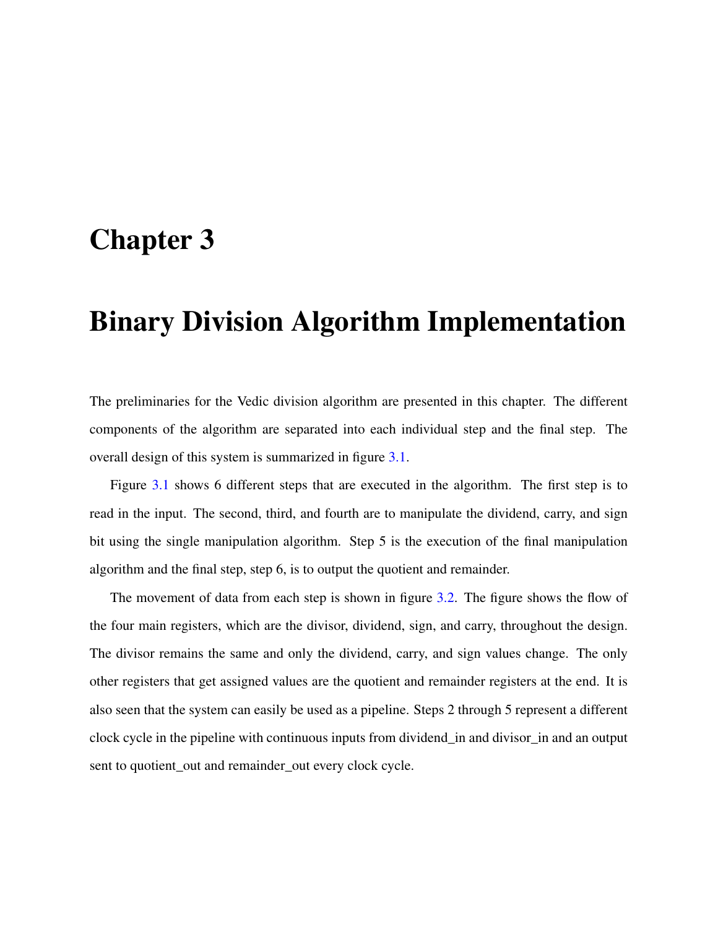### <span id="page-18-0"></span>Chapter 3

### Binary Division Algorithm Implementation

The preliminaries for the Vedic division algorithm are presented in this chapter. The different components of the algorithm are separated into each individual step and the final step. The overall design of this system is summarized in figure [3.1.](#page-19-0)

Figure [3.1](#page-19-0) shows 6 different steps that are executed in the algorithm. The first step is to read in the input. The second, third, and fourth are to manipulate the dividend, carry, and sign bit using the single manipulation algorithm. Step 5 is the execution of the final manipulation algorithm and the final step, step 6, is to output the quotient and remainder.

The movement of data from each step is shown in figure [3.2.](#page-19-1) The figure shows the flow of the four main registers, which are the divisor, dividend, sign, and carry, throughout the design. The divisor remains the same and only the dividend, carry, and sign values change. The only other registers that get assigned values are the quotient and remainder registers at the end. It is also seen that the system can easily be used as a pipeline. Steps 2 through 5 represent a different clock cycle in the pipeline with continuous inputs from dividend\_in and divisor\_in and an output sent to quotient\_out and remainder\_out every clock cycle.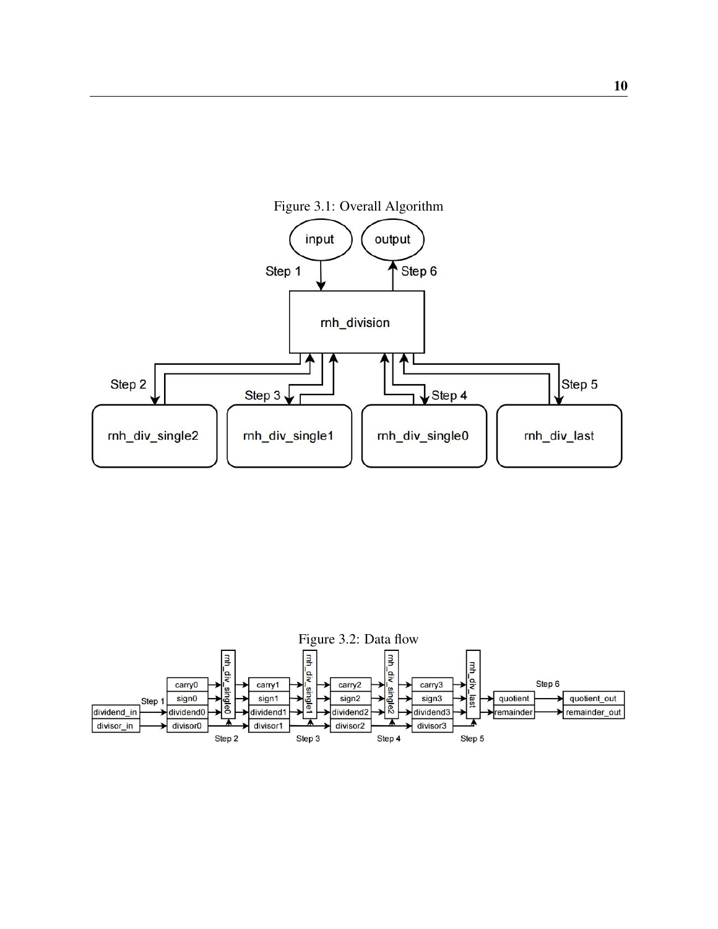<span id="page-19-0"></span>

<span id="page-19-1"></span>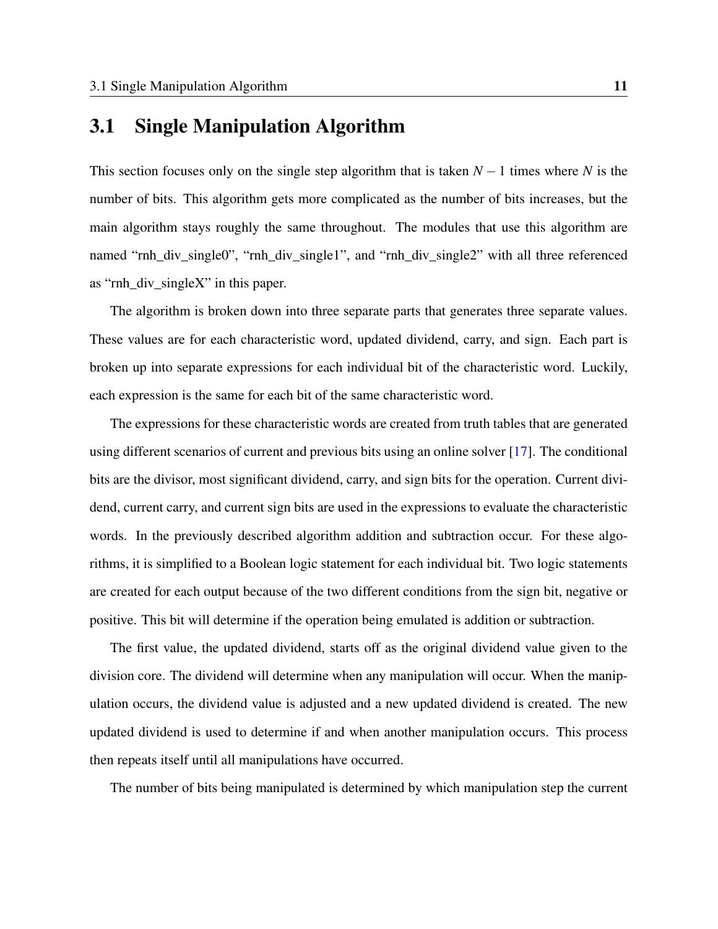#### <span id="page-20-0"></span>3.1 Single Manipulation Algorithm

This section focuses only on the single step algorithm that is taken *N* − 1 times where *N* is the number of bits. This algorithm gets more complicated as the number of bits increases, but the main algorithm stays roughly the same throughout. The modules that use this algorithm are named "rnh\_div\_single0", "rnh\_div\_single1", and "rnh\_div\_single2" with all three referenced as "rnh\_div\_singleX" in this paper.

The algorithm is broken down into three separate parts that generates three separate values. These values are for each characteristic word, updated dividend, carry, and sign. Each part is broken up into separate expressions for each individual bit of the characteristic word. Luckily, each expression is the same for each bit of the same characteristic word.

The expressions for these characteristic words are created from truth tables that are generated using different scenarios of current and previous bits using an online solver [\[17\]](#page-41-8). The conditional bits are the divisor, most significant dividend, carry, and sign bits for the operation. Current dividend, current carry, and current sign bits are used in the expressions to evaluate the characteristic words. In the previously described algorithm addition and subtraction occur. For these algorithms, it is simplified to a Boolean logic statement for each individual bit. Two logic statements are created for each output because of the two different conditions from the sign bit, negative or positive. This bit will determine if the operation being emulated is addition or subtraction.

The first value, the updated dividend, starts off as the original dividend value given to the division core. The dividend will determine when any manipulation will occur. When the manipulation occurs, the dividend value is adjusted and a new updated dividend is created. The new updated dividend is used to determine if and when another manipulation occurs. This process then repeats itself until all manipulations have occurred.

The number of bits being manipulated is determined by which manipulation step the current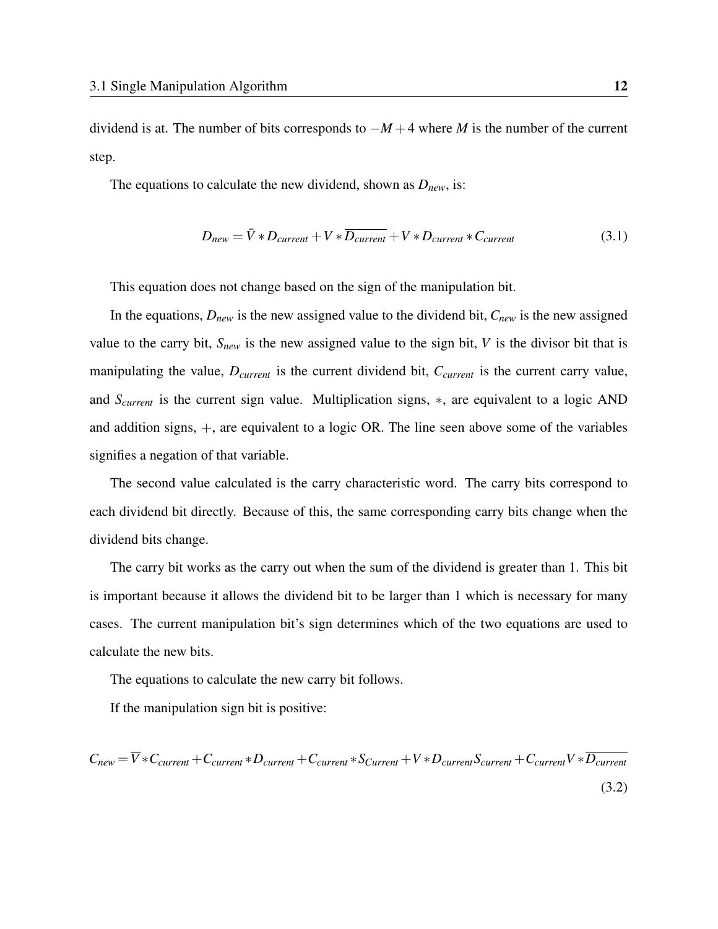dividend is at. The number of bits corresponds to −*M* +4 where *M* is the number of the current step.

The equations to calculate the new dividend, shown as *Dnew*, is:

$$
D_{new} = \bar{V} * D_{current} + V * \overline{D_{current}} + V * D_{current} * C_{current}
$$
\n(3.1)

This equation does not change based on the sign of the manipulation bit.

In the equations, *Dnew* is the new assigned value to the dividend bit, *Cnew* is the new assigned value to the carry bit, *Snew* is the new assigned value to the sign bit, *V* is the divisor bit that is manipulating the value, *Dcurrent* is the current dividend bit, *Ccurrent* is the current carry value, and *Scurrent* is the current sign value. Multiplication signs, ∗, are equivalent to a logic AND and addition signs, +, are equivalent to a logic OR. The line seen above some of the variables signifies a negation of that variable.

The second value calculated is the carry characteristic word. The carry bits correspond to each dividend bit directly. Because of this, the same corresponding carry bits change when the dividend bits change.

The carry bit works as the carry out when the sum of the dividend is greater than 1. This bit is important because it allows the dividend bit to be larger than 1 which is necessary for many cases. The current manipulation bit's sign determines which of the two equations are used to calculate the new bits.

The equations to calculate the new carry bit follows.

If the manipulation sign bit is positive:

 $C_{new} = \overline{V} * C_{current} + C_{current} * D_{current} + C_{current} * S_{Current} + V * D_{current} S_{current} + C_{current} V * \overline{D_{current}}$ (3.2)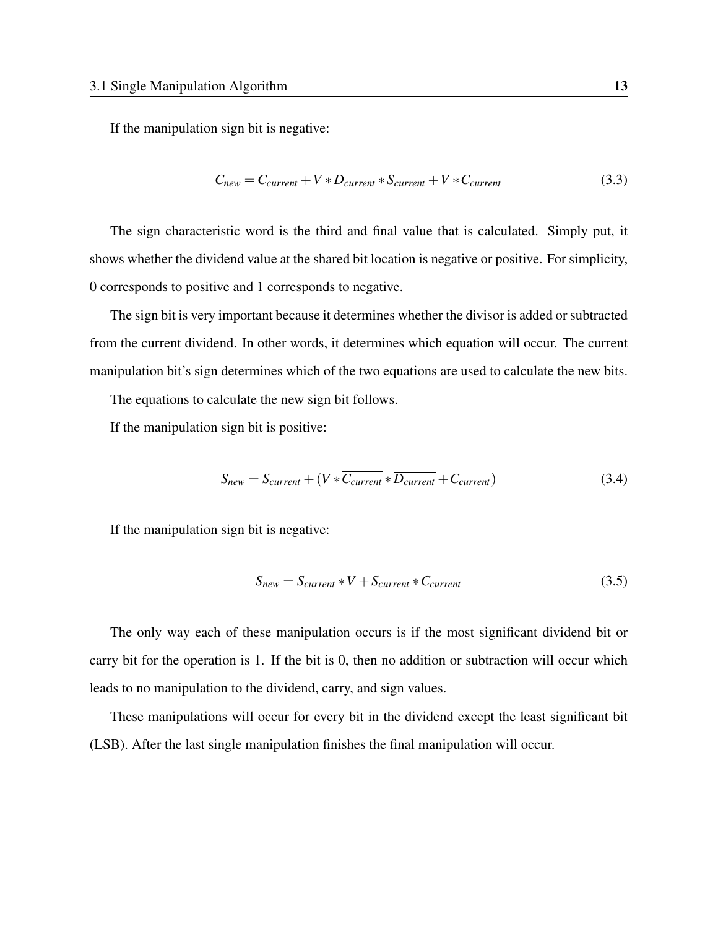If the manipulation sign bit is negative:

$$
C_{new} = C_{current} + V * D_{current} * \overline{S_{current}} + V * C_{current}
$$
\n(3.3)

The sign characteristic word is the third and final value that is calculated. Simply put, it shows whether the dividend value at the shared bit location is negative or positive. For simplicity, 0 corresponds to positive and 1 corresponds to negative.

The sign bit is very important because it determines whether the divisor is added or subtracted from the current dividend. In other words, it determines which equation will occur. The current manipulation bit's sign determines which of the two equations are used to calculate the new bits.

The equations to calculate the new sign bit follows.

If the manipulation sign bit is positive:

$$
S_{new} = S_{current} + (V * \overline{C_{current}} * \overline{D_{current}} + C_{current})
$$
\n(3.4)

If the manipulation sign bit is negative:

$$
S_{new} = S_{current} * V + S_{current} * C_{current}
$$
\n(3.5)

The only way each of these manipulation occurs is if the most significant dividend bit or carry bit for the operation is 1. If the bit is 0, then no addition or subtraction will occur which leads to no manipulation to the dividend, carry, and sign values.

These manipulations will occur for every bit in the dividend except the least significant bit (LSB). After the last single manipulation finishes the final manipulation will occur.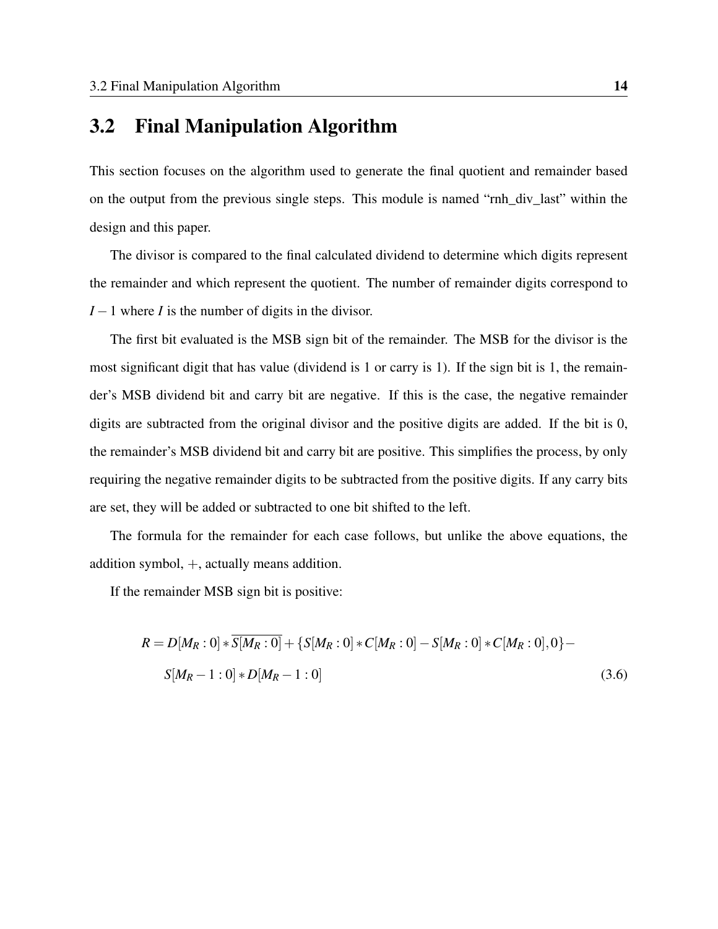#### <span id="page-23-0"></span>3.2 Final Manipulation Algorithm

This section focuses on the algorithm used to generate the final quotient and remainder based on the output from the previous single steps. This module is named "rnh\_div\_last" within the design and this paper.

The divisor is compared to the final calculated dividend to determine which digits represent the remainder and which represent the quotient. The number of remainder digits correspond to *I* − 1 where *I* is the number of digits in the divisor.

The first bit evaluated is the MSB sign bit of the remainder. The MSB for the divisor is the most significant digit that has value (dividend is 1 or carry is 1). If the sign bit is 1, the remainder's MSB dividend bit and carry bit are negative. If this is the case, the negative remainder digits are subtracted from the original divisor and the positive digits are added. If the bit is 0, the remainder's MSB dividend bit and carry bit are positive. This simplifies the process, by only requiring the negative remainder digits to be subtracted from the positive digits. If any carry bits are set, they will be added or subtracted to one bit shifted to the left.

The formula for the remainder for each case follows, but unlike the above equations, the addition symbol, +, actually means addition.

If the remainder MSB sign bit is positive:

$$
R = D[M_R:0] * \overline{S[M_R:0]} + \{S[M_R:0] * C[M_R:0] - S[M_R:0] * C[M_R:0],0\} - S[M_R-1:0] * D[M_R-1:0]
$$
\n(3.6)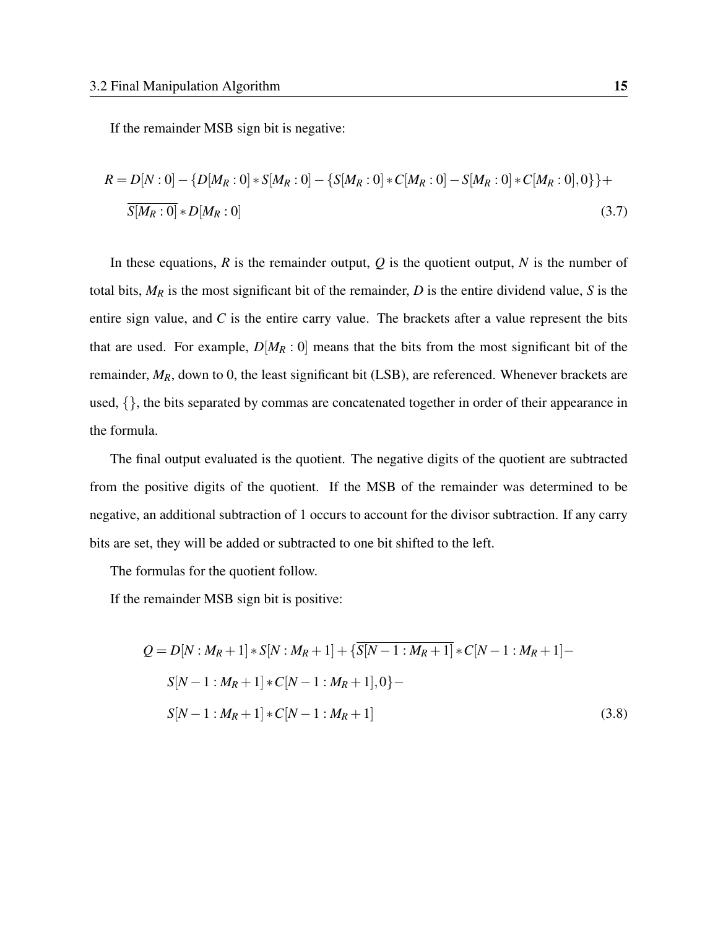If the remainder MSB sign bit is negative:

$$
R = D[N:0] - \{D[M_R:0] * S[M_R:0] - \{S[M_R:0] * C[M_R:0] - S[M_R:0] * C[M_R:0]\} + \frac{S[M_R:0]}{S[M_R:0]} * D[M_R:0]
$$
\n(3.7)

In these equations, *R* is the remainder output, *Q* is the quotient output, *N* is the number of total bits, *M<sup>R</sup>* is the most significant bit of the remainder, *D* is the entire dividend value, *S* is the entire sign value, and *C* is the entire carry value. The brackets after a value represent the bits that are used. For example,  $D[M_R:0]$  means that the bits from the most significant bit of the remainder,  $M_R$ , down to 0, the least significant bit (LSB), are referenced. Whenever brackets are used, {}, the bits separated by commas are concatenated together in order of their appearance in the formula.

The final output evaluated is the quotient. The negative digits of the quotient are subtracted from the positive digits of the quotient. If the MSB of the remainder was determined to be negative, an additional subtraction of 1 occurs to account for the divisor subtraction. If any carry bits are set, they will be added or subtracted to one bit shifted to the left.

The formulas for the quotient follow.

If the remainder MSB sign bit is positive:

$$
Q = D[N : M_R + 1] * S[N : M_R + 1] + {\overline{S[N - 1 : M_R + 1]}} * C[N - 1 : M_R + 1] -
$$
  
\n
$$
S[N - 1 : M_R + 1] * C[N - 1 : M_R + 1], 0
$$
  
\n
$$
S[N - 1 : M_R + 1] * C[N - 1 : M_R + 1]
$$
 (3.8)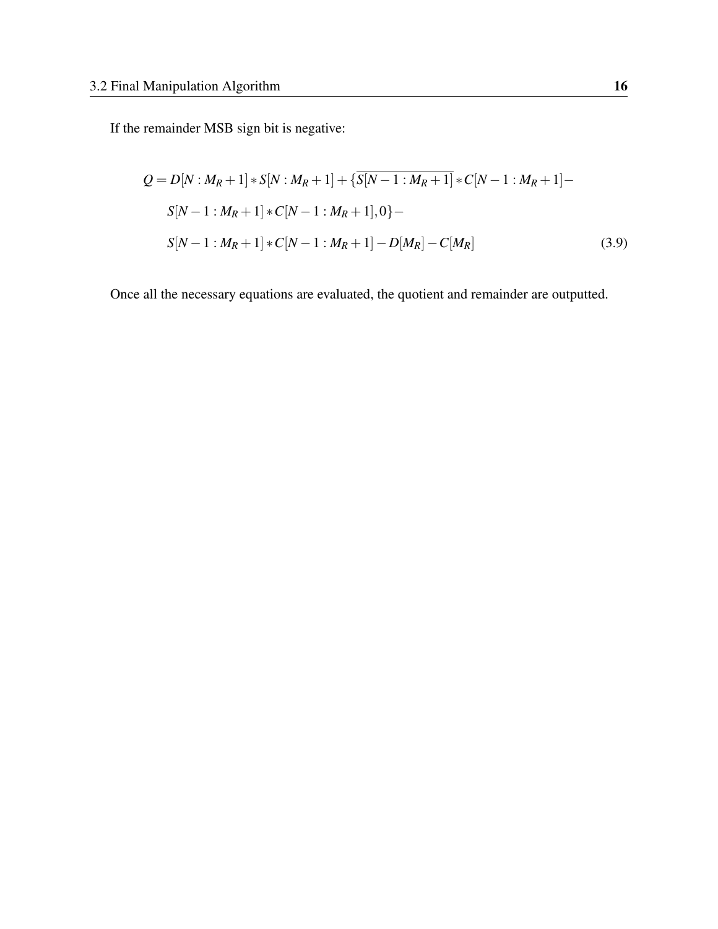If the remainder MSB sign bit is negative:

$$
Q = D[N : M_R + 1] * S[N : M_R + 1] + {\overline{S[N - 1 : M_R + 1]} * C[N - 1 : M_R + 1]} -
$$
  
\n
$$
S[N - 1 : M_R + 1] * C[N - 1 : M_R + 1], 0
$$
  
\n
$$
S[N - 1 : M_R + 1] * C[N - 1 : M_R + 1] - D[M_R] - C[M_R]
$$
 (3.9)

Once all the necessary equations are evaluated, the quotient and remainder are outputted.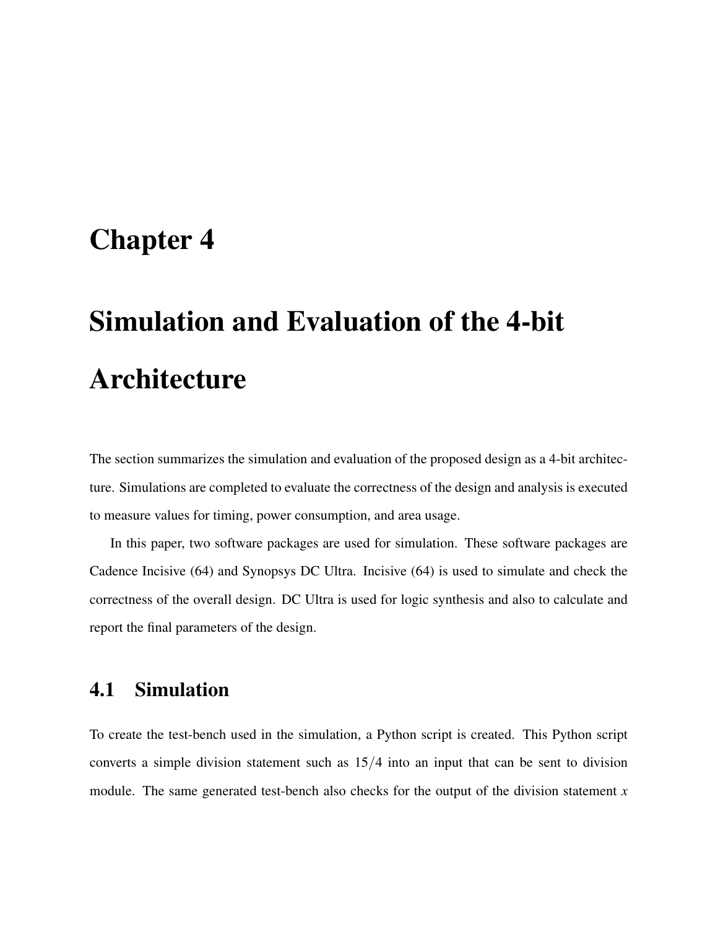### <span id="page-26-0"></span>Chapter 4

# Simulation and Evaluation of the 4-bit Architecture

The section summarizes the simulation and evaluation of the proposed design as a 4-bit architecture. Simulations are completed to evaluate the correctness of the design and analysis is executed to measure values for timing, power consumption, and area usage.

In this paper, two software packages are used for simulation. These software packages are Cadence Incisive (64) and Synopsys DC Ultra. Incisive (64) is used to simulate and check the correctness of the overall design. DC Ultra is used for logic synthesis and also to calculate and report the final parameters of the design.

#### <span id="page-26-1"></span>4.1 Simulation

To create the test-bench used in the simulation, a Python script is created. This Python script converts a simple division statement such as 15/4 into an input that can be sent to division module. The same generated test-bench also checks for the output of the division statement *x*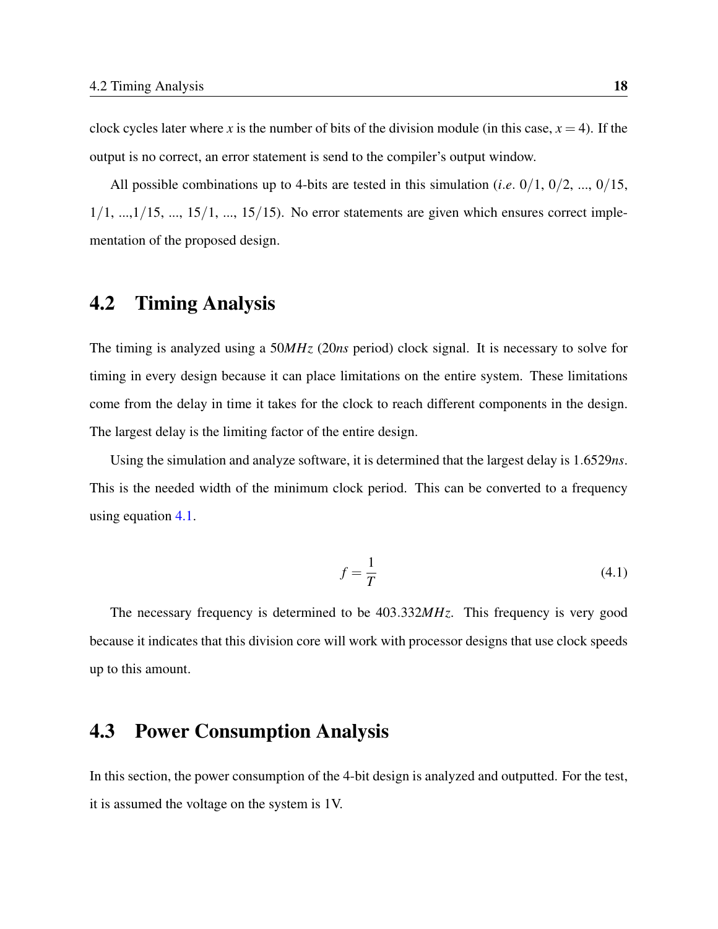clock cycles later where *x* is the number of bits of the division module (in this case,  $x = 4$ ). If the output is no correct, an error statement is send to the compiler's output window.

All possible combinations up to 4-bits are tested in this simulation (*i*.*e*. 0/1, 0/2, ..., 0/15,  $1/1, \ldots, 1/15, \ldots, 15/1, \ldots, 15/15)$ . No error statements are given which ensures correct implementation of the proposed design.

#### <span id="page-27-0"></span>4.2 Timing Analysis

The timing is analyzed using a 50*MHz* (20*ns* period) clock signal. It is necessary to solve for timing in every design because it can place limitations on the entire system. These limitations come from the delay in time it takes for the clock to reach different components in the design. The largest delay is the limiting factor of the entire design.

<span id="page-27-2"></span>Using the simulation and analyze software, it is determined that the largest delay is 1.6529*ns*. This is the needed width of the minimum clock period. This can be converted to a frequency using equation [4.1.](#page-27-2)

$$
f = \frac{1}{T} \tag{4.1}
$$

The necessary frequency is determined to be 403.332*MHz*. This frequency is very good because it indicates that this division core will work with processor designs that use clock speeds up to this amount.

#### <span id="page-27-1"></span>4.3 Power Consumption Analysis

In this section, the power consumption of the 4-bit design is analyzed and outputted. For the test, it is assumed the voltage on the system is 1V.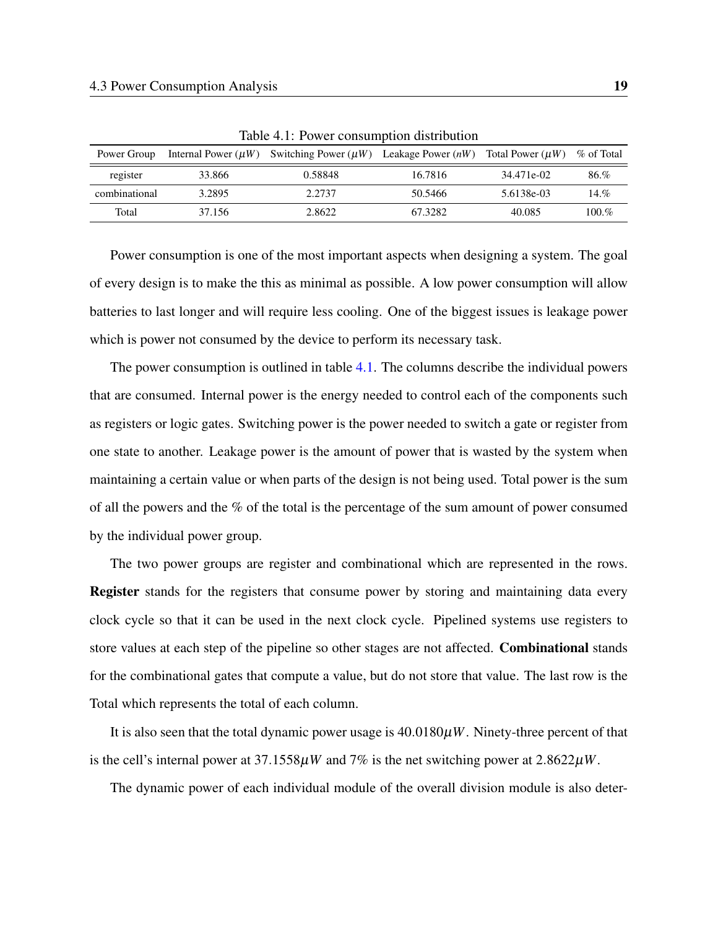| Power Group   |        | Internal Power ( $\mu$ W) Switching Power ( $\mu$ W) Leakage Power ( $n$ W) Total Power ( $\mu$ W) % of Total |         |            |         |
|---------------|--------|---------------------------------------------------------------------------------------------------------------|---------|------------|---------|
| register      | 33.866 | 0.58848                                                                                                       | 16.7816 | 34.471e-02 | 86.%    |
| combinational | 3.2895 | 2.2737                                                                                                        | 50.5466 | 5.6138e-03 | 14.%    |
| Total         | 37.156 | 2.8622                                                                                                        | 67.3282 | 40.085     | $100\%$ |

<span id="page-28-0"></span>Table 4.1: Power consumption distribution

Power consumption is one of the most important aspects when designing a system. The goal of every design is to make the this as minimal as possible. A low power consumption will allow batteries to last longer and will require less cooling. One of the biggest issues is leakage power which is power not consumed by the device to perform its necessary task.

The power consumption is outlined in table [4.1.](#page-28-0) The columns describe the individual powers that are consumed. Internal power is the energy needed to control each of the components such as registers or logic gates. Switching power is the power needed to switch a gate or register from one state to another. Leakage power is the amount of power that is wasted by the system when maintaining a certain value or when parts of the design is not being used. Total power is the sum of all the powers and the % of the total is the percentage of the sum amount of power consumed by the individual power group.

The two power groups are register and combinational which are represented in the rows. Register stands for the registers that consume power by storing and maintaining data every clock cycle so that it can be used in the next clock cycle. Pipelined systems use registers to store values at each step of the pipeline so other stages are not affected. Combinational stands for the combinational gates that compute a value, but do not store that value. The last row is the Total which represents the total of each column.

It is also seen that the total dynamic power usage is 40.0180µ*W*. Ninety-three percent of that is the cell's internal power at  $37.1558\mu W$  and  $7\%$  is the net switching power at  $2.8622\mu W$ .

The dynamic power of each individual module of the overall division module is also deter-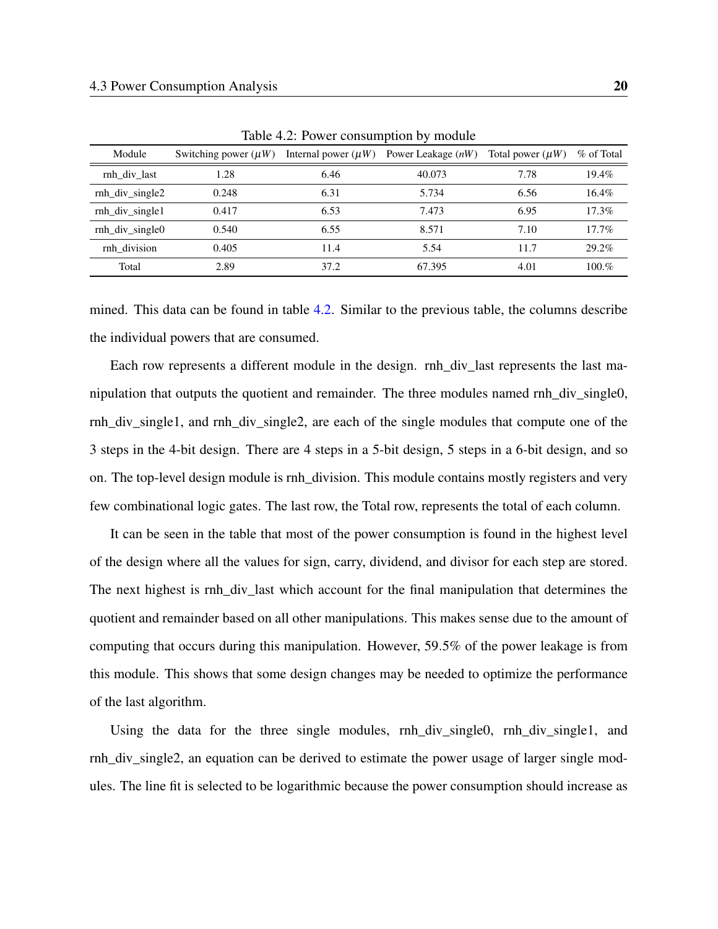| Module          | Switching power $(\mu W)$ | Internal power $(\mu W)$ | Power Leakage $(nW)$ | Total power $(\mu W)$ | % of Total |
|-----------------|---------------------------|--------------------------|----------------------|-----------------------|------------|
| rnh div last    | 1.28                      | 6.46                     | 40.073               | 7.78                  | $19.4\%$   |
| rnh div single2 | 0.248                     | 6.31                     | 5.734                | 6.56                  | $16.4\%$   |
| rnh div single1 | 0.417                     | 6.53                     | 7.473                | 6.95                  | 17.3%      |
| rnh div single0 | 0.540                     | 6.55                     | 8.571                | 7.10                  | $17.7\%$   |
| rnh division    | 0.405                     | 11.4                     | 5.54                 | 11.7                  | 29.2%      |
| Total           | 2.89                      | 37.2                     | 67.395               | 4.01                  | 100.%      |

<span id="page-29-0"></span>Table 4.2: Power consumption by module

mined. This data can be found in table [4.2.](#page-29-0) Similar to the previous table, the columns describe the individual powers that are consumed.

Each row represents a different module in the design. rnh\_div\_last represents the last manipulation that outputs the quotient and remainder. The three modules named rnh\_div\_single0, rnh\_div\_single1, and rnh\_div\_single2, are each of the single modules that compute one of the 3 steps in the 4-bit design. There are 4 steps in a 5-bit design, 5 steps in a 6-bit design, and so on. The top-level design module is rnh\_division. This module contains mostly registers and very few combinational logic gates. The last row, the Total row, represents the total of each column.

It can be seen in the table that most of the power consumption is found in the highest level of the design where all the values for sign, carry, dividend, and divisor for each step are stored. The next highest is rnh\_div\_last which account for the final manipulation that determines the quotient and remainder based on all other manipulations. This makes sense due to the amount of computing that occurs during this manipulation. However, 59.5% of the power leakage is from this module. This shows that some design changes may be needed to optimize the performance of the last algorithm.

Using the data for the three single modules, rnh\_div\_single0, rnh\_div\_single1, and rnh\_div\_single2, an equation can be derived to estimate the power usage of larger single modules. The line fit is selected to be logarithmic because the power consumption should increase as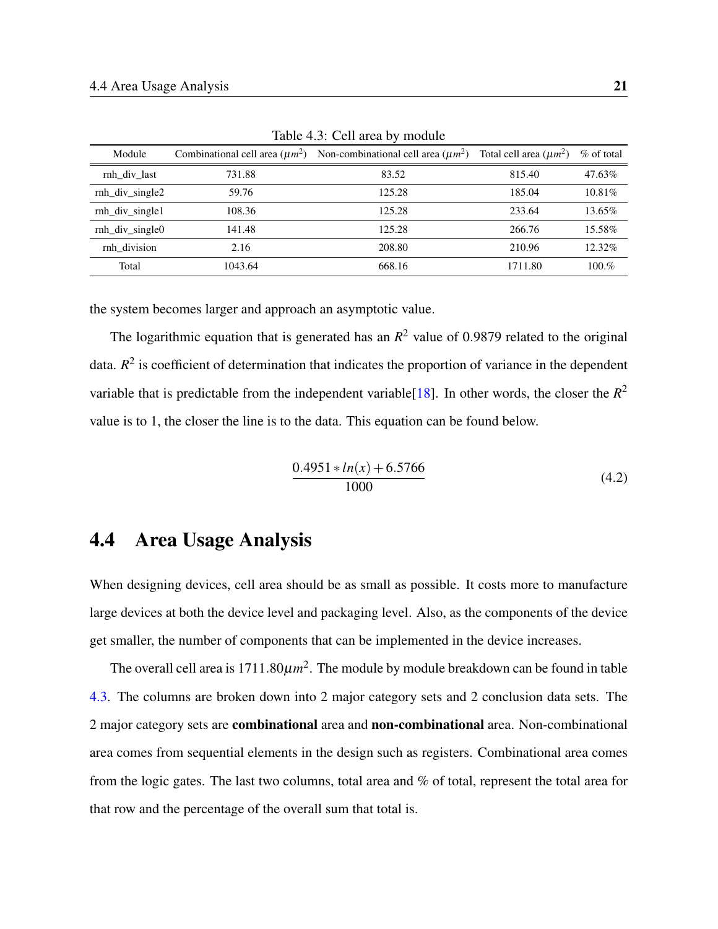| Module          | Combinational cell area $(\mu m^2)$ | Non-combinational cell area $(\mu m^2)$ | Total cell area $(\mu m^2)$ | $\%$ of total |
|-----------------|-------------------------------------|-----------------------------------------|-----------------------------|---------------|
| rnh div last    | 731.88                              | 83.52                                   | 815.40                      | 47.63%        |
| rnh div single2 | 59.76                               | 125.28                                  | 185.04                      | $10.81\%$     |
| rnh div single1 | 108.36                              | 125.28                                  | 233.64                      | 13.65%        |
| rnh div single0 | 141.48                              | 125.28                                  | 266.76                      | 15.58%        |
| rnh division    | 2.16                                | 208.80                                  | 210.96                      | $12.32\%$     |
| Total           | 1043.64                             | 668.16                                  | 1711.80                     | 100.%         |

<span id="page-30-1"></span>Table 4.3: Cell area by module

the system becomes larger and approach an asymptotic value.

<span id="page-30-2"></span>The logarithmic equation that is generated has an  $R^2$  value of 0.9879 related to the original data.  $R^2$  is coefficient of determination that indicates the proportion of variance in the dependent variable that is predictable from the independent variable<sup>[\[18\]](#page-41-9)</sup>. In other words, the closer the  $R^2$ value is to 1, the closer the line is to the data. This equation can be found below.

$$
\frac{0.4951 * ln(x) + 6.5766}{1000}
$$
 (4.2)

### <span id="page-30-0"></span>4.4 Area Usage Analysis

When designing devices, cell area should be as small as possible. It costs more to manufacture large devices at both the device level and packaging level. Also, as the components of the device get smaller, the number of components that can be implemented in the device increases.

The overall cell area is  $1711.80 \mu m^2$ . The module by module breakdown can be found in table [4.3.](#page-30-1) The columns are broken down into 2 major category sets and 2 conclusion data sets. The 2 major category sets are combinational area and non-combinational area. Non-combinational area comes from sequential elements in the design such as registers. Combinational area comes from the logic gates. The last two columns, total area and % of total, represent the total area for that row and the percentage of the overall sum that total is.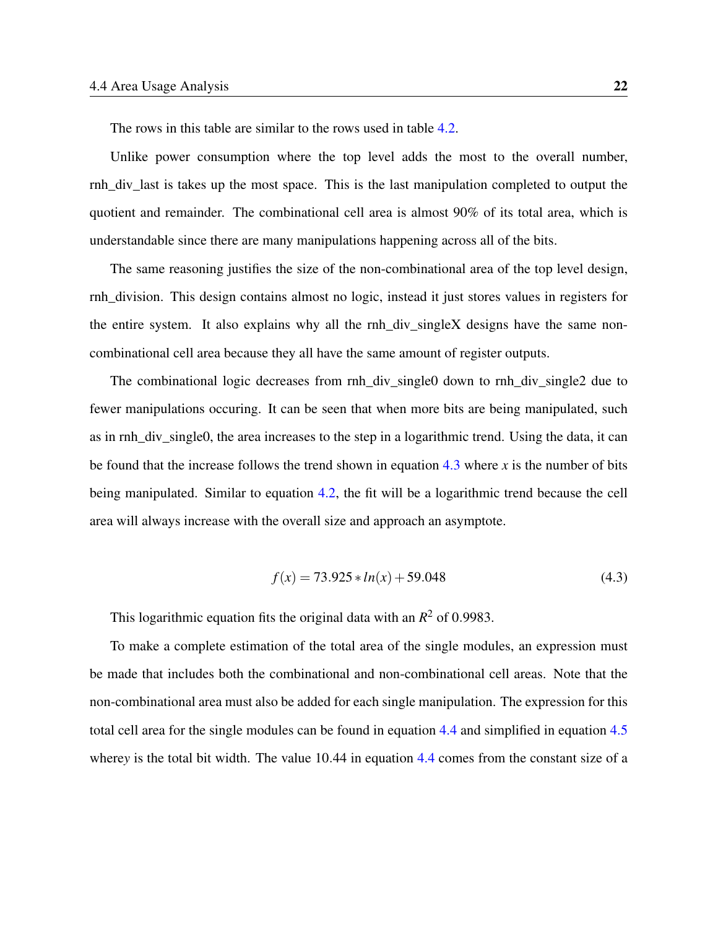The rows in this table are similar to the rows used in table [4.2.](#page-29-0)

Unlike power consumption where the top level adds the most to the overall number, rnh\_div\_last is takes up the most space. This is the last manipulation completed to output the quotient and remainder. The combinational cell area is almost 90% of its total area, which is understandable since there are many manipulations happening across all of the bits.

The same reasoning justifies the size of the non-combinational area of the top level design, rnh\_division. This design contains almost no logic, instead it just stores values in registers for the entire system. It also explains why all the rnh\_div\_singleX designs have the same noncombinational cell area because they all have the same amount of register outputs.

The combinational logic decreases from rnh\_div\_single0 down to rnh\_div\_single2 due to fewer manipulations occuring. It can be seen that when more bits are being manipulated, such as in rnh\_div\_single0, the area increases to the step in a logarithmic trend. Using the data, it can be found that the increase follows the trend shown in equation [4.3](#page-31-0) where *x* is the number of bits being manipulated. Similar to equation [4.2,](#page-30-2) the fit will be a logarithmic trend because the cell area will always increase with the overall size and approach an asymptote.

$$
f(x) = 73.925 * ln(x) + 59.048
$$
\n(4.3)

<span id="page-31-0"></span>This logarithmic equation fits the original data with an  $R^2$  of 0.9983.

To make a complete estimation of the total area of the single modules, an expression must be made that includes both the combinational and non-combinational cell areas. Note that the non-combinational area must also be added for each single manipulation. The expression for this total cell area for the single modules can be found in equation [4.4](#page-32-0) and simplified in equation [4.5](#page-32-1) where*y* is the total bit width. The value 10.44 in equation [4.4](#page-32-0) comes from the constant size of a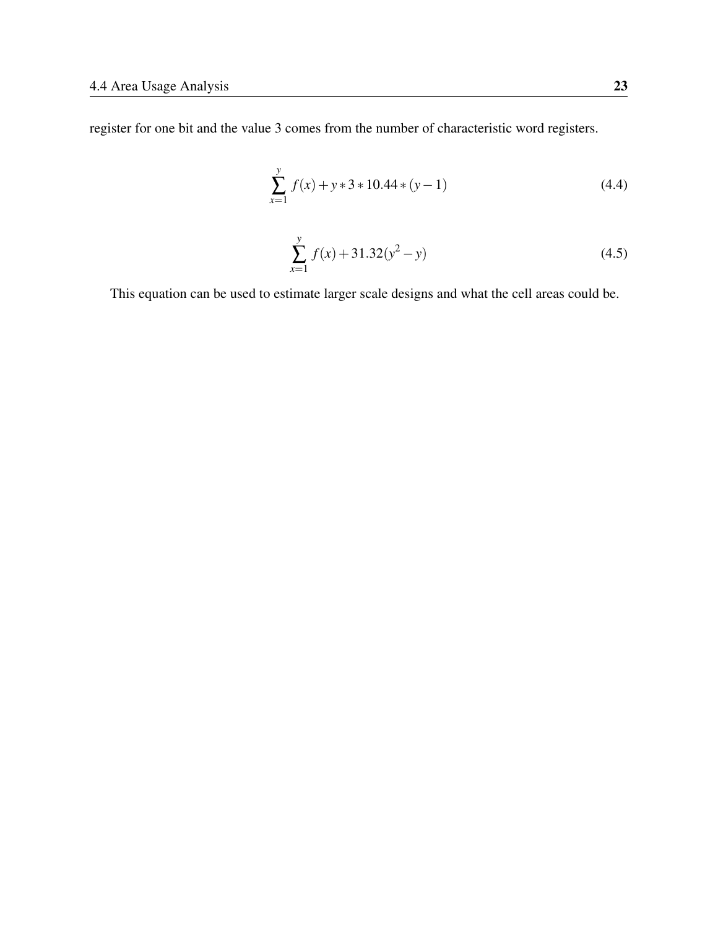<span id="page-32-1"></span><span id="page-32-0"></span>register for one bit and the value 3 comes from the number of characteristic word registers.

$$
\sum_{x=1}^{y} f(x) + y * 3 * 10.44 * (y - 1)
$$
\n(4.4)

$$
\sum_{x=1}^{y} f(x) + 31.32(y^2 - y)
$$
\n(4.5)

This equation can be used to estimate larger scale designs and what the cell areas could be.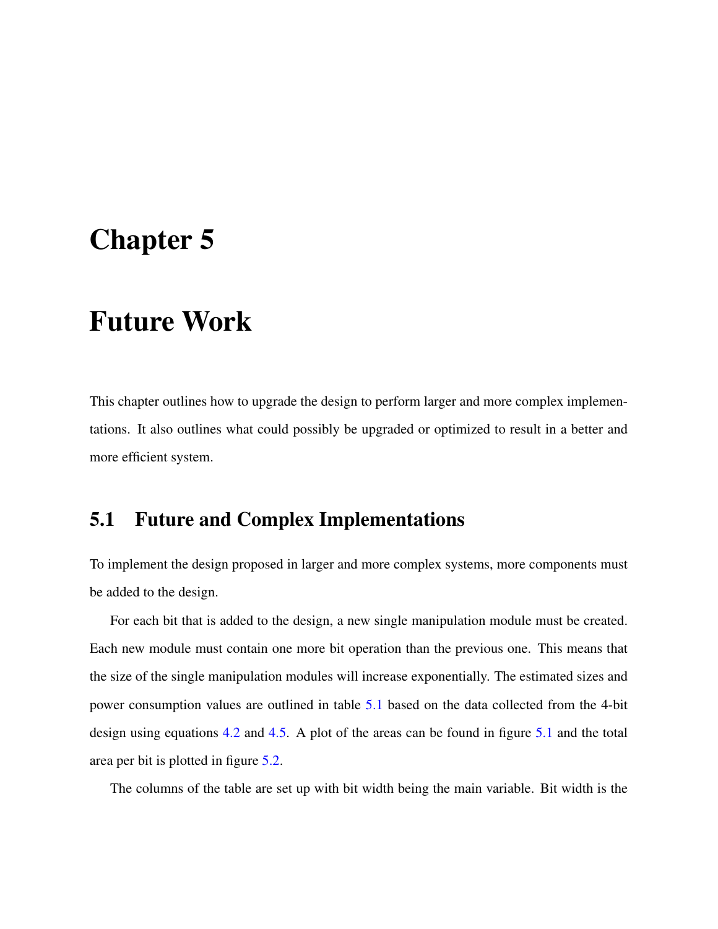### <span id="page-33-0"></span>Chapter 5

### Future Work

This chapter outlines how to upgrade the design to perform larger and more complex implementations. It also outlines what could possibly be upgraded or optimized to result in a better and more efficient system.

#### <span id="page-33-1"></span>5.1 Future and Complex Implementations

To implement the design proposed in larger and more complex systems, more components must be added to the design.

For each bit that is added to the design, a new single manipulation module must be created. Each new module must contain one more bit operation than the previous one. This means that the size of the single manipulation modules will increase exponentially. The estimated sizes and power consumption values are outlined in table [5.1](#page-34-1) based on the data collected from the 4-bit design using equations [4.2](#page-30-2) and [4.5.](#page-32-1) A plot of the areas can be found in figure [5.1](#page-34-0) and the total area per bit is plotted in figure [5.2.](#page-35-0)

The columns of the table are set up with bit width being the main variable. Bit width is the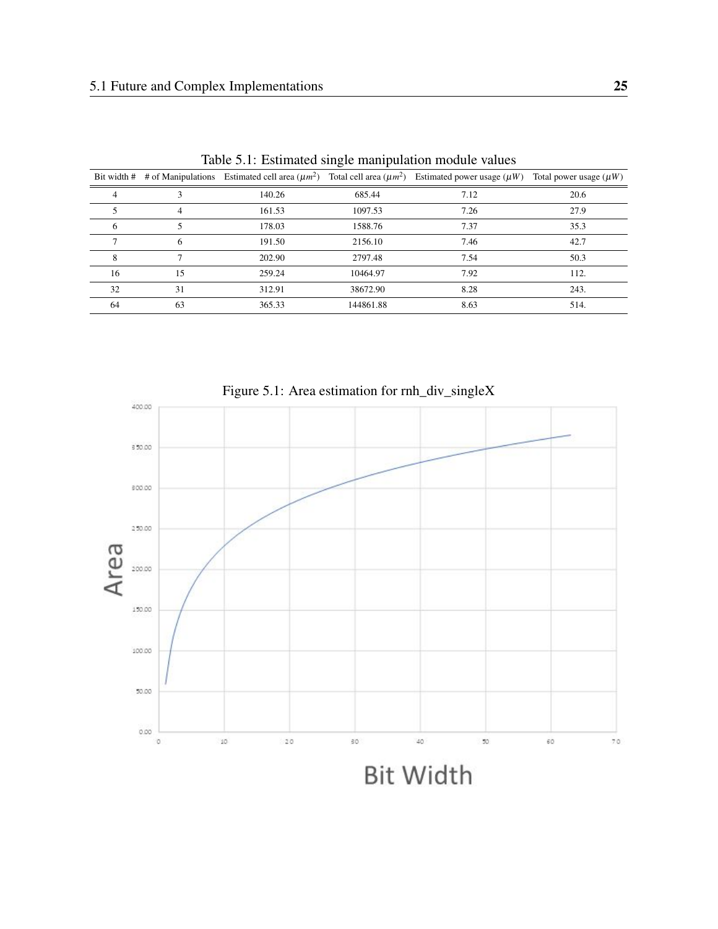|    |    |        |           | Bit width # # of Manipulations Estimated cell area $(\mu m^2)$ Total cell area $(\mu m^2)$ Estimated power usage $(\mu W)$ | Total power usage $(\mu W)$ |
|----|----|--------|-----------|----------------------------------------------------------------------------------------------------------------------------|-----------------------------|
| 4  | 3  | 140.26 | 685.44    | 7.12                                                                                                                       | 20.6                        |
|    | 4  | 161.53 | 1097.53   | 7.26                                                                                                                       | 27.9                        |
| 6  | 5  | 178.03 | 1588.76   | 7.37                                                                                                                       | 35.3                        |
|    | 6  | 191.50 | 2156.10   | 7.46                                                                                                                       | 42.7                        |
| 8  | ┑  | 202.90 | 2797.48   | 7.54                                                                                                                       | 50.3                        |
| 16 | 15 | 259.24 | 10464.97  | 7.92                                                                                                                       | 112.                        |
| 32 | 31 | 312.91 | 38672.90  | 8.28                                                                                                                       | 243.                        |
| 64 | 63 | 365.33 | 144861.88 | 8.63                                                                                                                       | 514.                        |

<span id="page-34-1"></span>Table 5.1: Estimated single manipulation module values



<span id="page-34-0"></span>Figure 5.1: Area estimation for rnh\_div\_singleX

**Bit Width**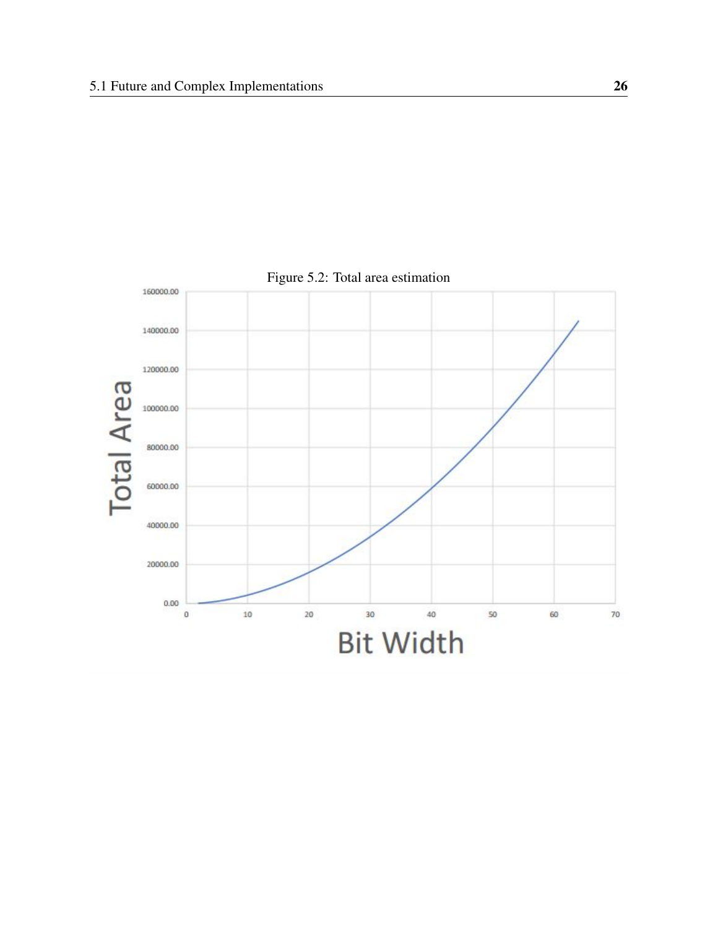

<span id="page-35-0"></span>Figure 5.2: Total area estimation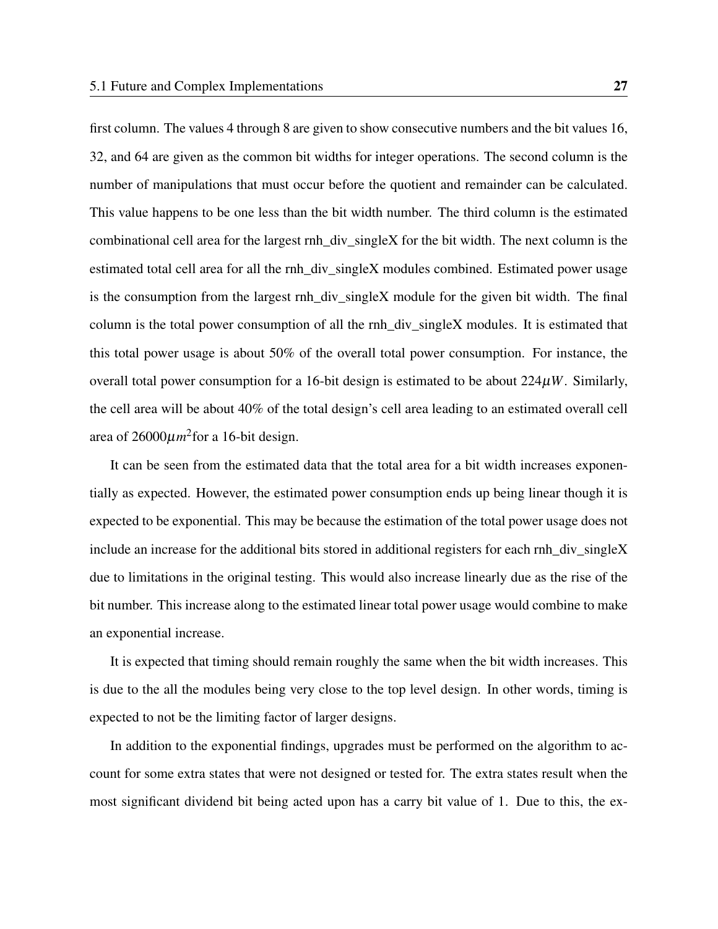first column. The values 4 through 8 are given to show consecutive numbers and the bit values 16, 32, and 64 are given as the common bit widths for integer operations. The second column is the number of manipulations that must occur before the quotient and remainder can be calculated. This value happens to be one less than the bit width number. The third column is the estimated combinational cell area for the largest rnh\_div\_singleX for the bit width. The next column is the estimated total cell area for all the rnh\_div\_singleX modules combined. Estimated power usage is the consumption from the largest rnh\_div\_singleX module for the given bit width. The final column is the total power consumption of all the rnh\_div\_singleX modules. It is estimated that this total power usage is about 50% of the overall total power consumption. For instance, the overall total power consumption for a 16-bit design is estimated to be about 224µ*W*. Similarly, the cell area will be about 40% of the total design's cell area leading to an estimated overall cell area of  $26000 \mu m^2$  for a 16-bit design.

It can be seen from the estimated data that the total area for a bit width increases exponentially as expected. However, the estimated power consumption ends up being linear though it is expected to be exponential. This may be because the estimation of the total power usage does not include an increase for the additional bits stored in additional registers for each rnh\_div\_singleX due to limitations in the original testing. This would also increase linearly due as the rise of the bit number. This increase along to the estimated linear total power usage would combine to make an exponential increase.

It is expected that timing should remain roughly the same when the bit width increases. This is due to the all the modules being very close to the top level design. In other words, timing is expected to not be the limiting factor of larger designs.

In addition to the exponential findings, upgrades must be performed on the algorithm to account for some extra states that were not designed or tested for. The extra states result when the most significant dividend bit being acted upon has a carry bit value of 1. Due to this, the ex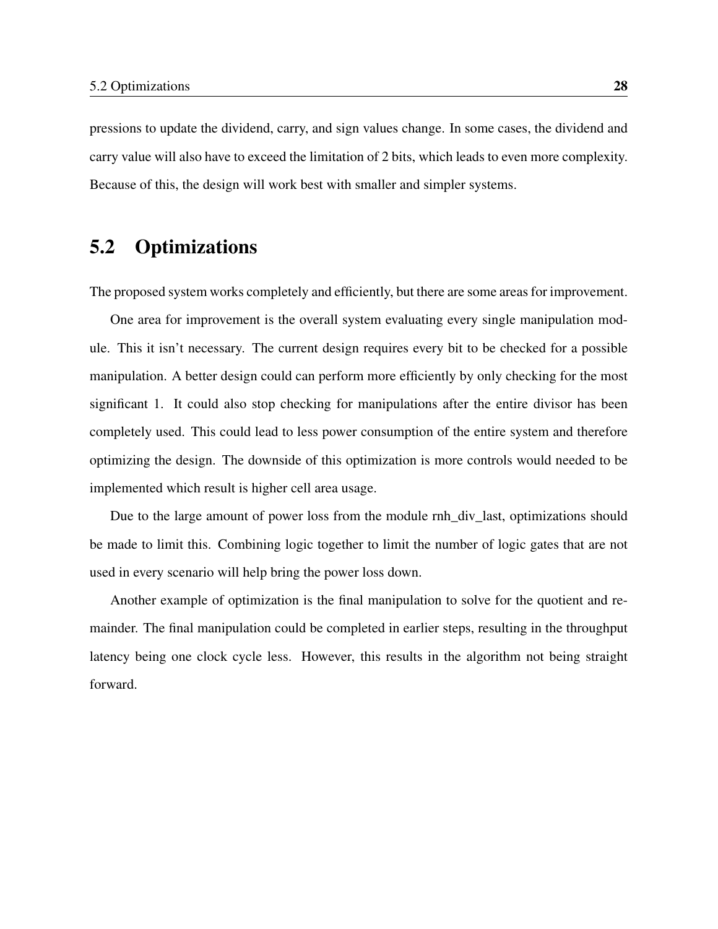pressions to update the dividend, carry, and sign values change. In some cases, the dividend and carry value will also have to exceed the limitation of 2 bits, which leads to even more complexity. Because of this, the design will work best with smaller and simpler systems.

#### <span id="page-37-0"></span>5.2 Optimizations

The proposed system works completely and efficiently, but there are some areas for improvement.

One area for improvement is the overall system evaluating every single manipulation module. This it isn't necessary. The current design requires every bit to be checked for a possible manipulation. A better design could can perform more efficiently by only checking for the most significant 1. It could also stop checking for manipulations after the entire divisor has been completely used. This could lead to less power consumption of the entire system and therefore optimizing the design. The downside of this optimization is more controls would needed to be implemented which result is higher cell area usage.

Due to the large amount of power loss from the module rnh\_div\_last, optimizations should be made to limit this. Combining logic together to limit the number of logic gates that are not used in every scenario will help bring the power loss down.

Another example of optimization is the final manipulation to solve for the quotient and remainder. The final manipulation could be completed in earlier steps, resulting in the throughput latency being one clock cycle less. However, this results in the algorithm not being straight forward.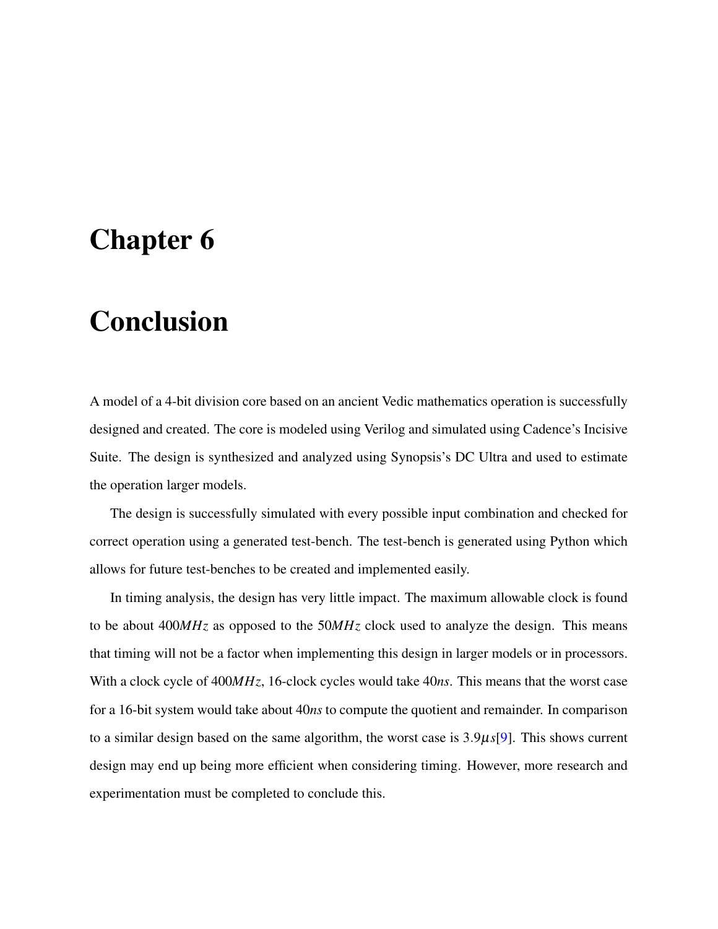### <span id="page-38-0"></span>Chapter 6

# Conclusion

A model of a 4-bit division core based on an ancient Vedic mathematics operation is successfully designed and created. The core is modeled using Verilog and simulated using Cadence's Incisive Suite. The design is synthesized and analyzed using Synopsis's DC Ultra and used to estimate the operation larger models.

The design is successfully simulated with every possible input combination and checked for correct operation using a generated test-bench. The test-bench is generated using Python which allows for future test-benches to be created and implemented easily.

In timing analysis, the design has very little impact. The maximum allowable clock is found to be about 400*MHz* as opposed to the 50*MHz* clock used to analyze the design. This means that timing will not be a factor when implementing this design in larger models or in processors. With a clock cycle of 400*MHz*, 16-clock cycles would take 40*ns*. This means that the worst case for a 16-bit system would take about 40*ns* to compute the quotient and remainder. In comparison to a similar design based on the same algorithm, the worst case is 3.9µ*s*[\[9\]](#page-41-0). This shows current design may end up being more efficient when considering timing. However, more research and experimentation must be completed to conclude this.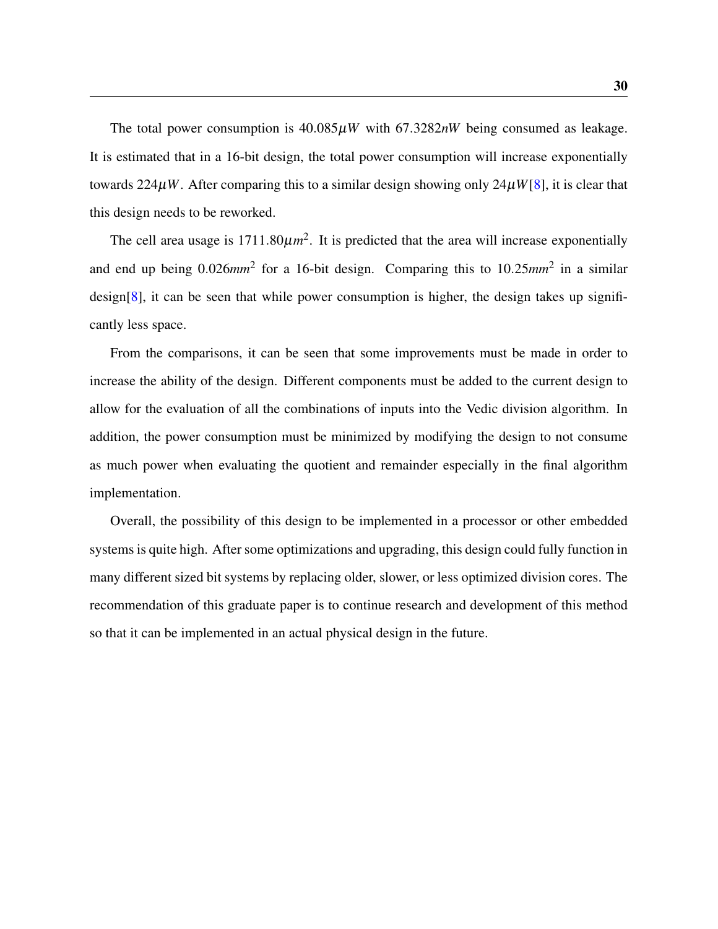The total power consumption is  $40.085\mu W$  with  $67.3282nW$  being consumed as leakage. It is estimated that in a 16-bit design, the total power consumption will increase exponentially towards  $224\mu W$ . After comparing this to a similar design showing only  $24\mu W[8]$  $24\mu W[8]$ , it is clear that this design needs to be reworked.

The cell area usage is  $1711.80 \mu m^2$ . It is predicted that the area will increase exponentially and end up being 0.026*mm*<sup>2</sup> for a 16-bit design. Comparing this to 10.25*mm*<sup>2</sup> in a similar design[\[8\]](#page-40-8), it can be seen that while power consumption is higher, the design takes up significantly less space.

From the comparisons, it can be seen that some improvements must be made in order to increase the ability of the design. Different components must be added to the current design to allow for the evaluation of all the combinations of inputs into the Vedic division algorithm. In addition, the power consumption must be minimized by modifying the design to not consume as much power when evaluating the quotient and remainder especially in the final algorithm implementation.

Overall, the possibility of this design to be implemented in a processor or other embedded systems is quite high. After some optimizations and upgrading, this design could fully function in many different sized bit systems by replacing older, slower, or less optimized division cores. The recommendation of this graduate paper is to continue research and development of this method so that it can be implemented in an actual physical design in the future.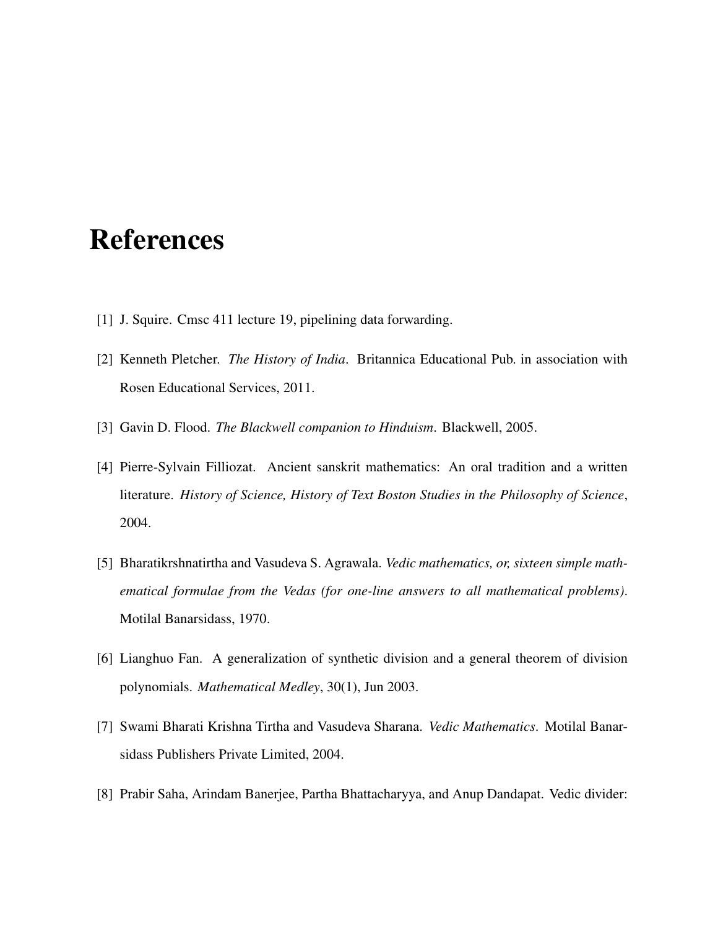### <span id="page-40-0"></span>References

- <span id="page-40-1"></span>[1] J. Squire. Cmsc 411 lecture 19, pipelining data forwarding.
- <span id="page-40-2"></span>[2] Kenneth Pletcher. *The History of India*. Britannica Educational Pub. in association with Rosen Educational Services, 2011.
- <span id="page-40-3"></span>[3] Gavin D. Flood. *The Blackwell companion to Hinduism*. Blackwell, 2005.
- <span id="page-40-4"></span>[4] Pierre-Sylvain Filliozat. Ancient sanskrit mathematics: An oral tradition and a written literature. *History of Science, History of Text Boston Studies in the Philosophy of Science*, 2004.
- <span id="page-40-5"></span>[5] Bharatikrshnatirtha and Vasudeva S. Agrawala. *Vedic mathematics, or, sixteen simple mathematical formulae from the Vedas (for one-line answers to all mathematical problems)*. Motilal Banarsidass, 1970.
- <span id="page-40-6"></span>[6] Lianghuo Fan. A generalization of synthetic division and a general theorem of division polynomials. *Mathematical Medley*, 30(1), Jun 2003.
- <span id="page-40-7"></span>[7] Swami Bharati Krishna Tirtha and Vasudeva Sharana. *Vedic Mathematics*. Motilal Banarsidass Publishers Private Limited, 2004.
- <span id="page-40-8"></span>[8] Prabir Saha, Arindam Banerjee, Partha Bhattacharyya, and Anup Dandapat. Vedic divider: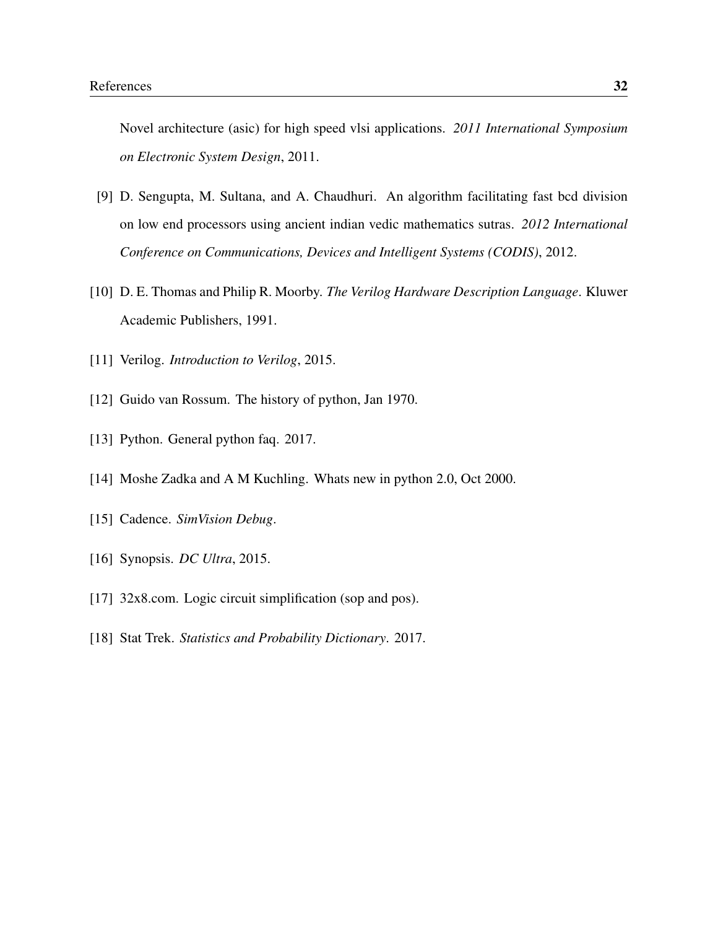Novel architecture (asic) for high speed vlsi applications. *2011 International Symposium on Electronic System Design*, 2011.

- <span id="page-41-0"></span>[9] D. Sengupta, M. Sultana, and A. Chaudhuri. An algorithm facilitating fast bcd division on low end processors using ancient indian vedic mathematics sutras. *2012 International Conference on Communications, Devices and Intelligent Systems (CODIS)*, 2012.
- <span id="page-41-1"></span>[10] D. E. Thomas and Philip R. Moorby. *The Verilog Hardware Description Language*. Kluwer Academic Publishers, 1991.
- <span id="page-41-2"></span>[11] Verilog. *Introduction to Verilog*, 2015.
- <span id="page-41-3"></span>[12] Guido van Rossum. The history of python, Jan 1970.
- <span id="page-41-4"></span>[13] Python. General python faq. 2017.
- <span id="page-41-5"></span>[14] Moshe Zadka and A M Kuchling. Whats new in python 2.0, Oct 2000.
- <span id="page-41-6"></span>[15] Cadence. *SimVision Debug*.
- <span id="page-41-7"></span>[16] Synopsis. *DC Ultra*, 2015.
- <span id="page-41-8"></span>[17] 32x8.com. Logic circuit simplification (sop and pos).
- <span id="page-41-9"></span>[18] Stat Trek. *Statistics and Probability Dictionary*. 2017.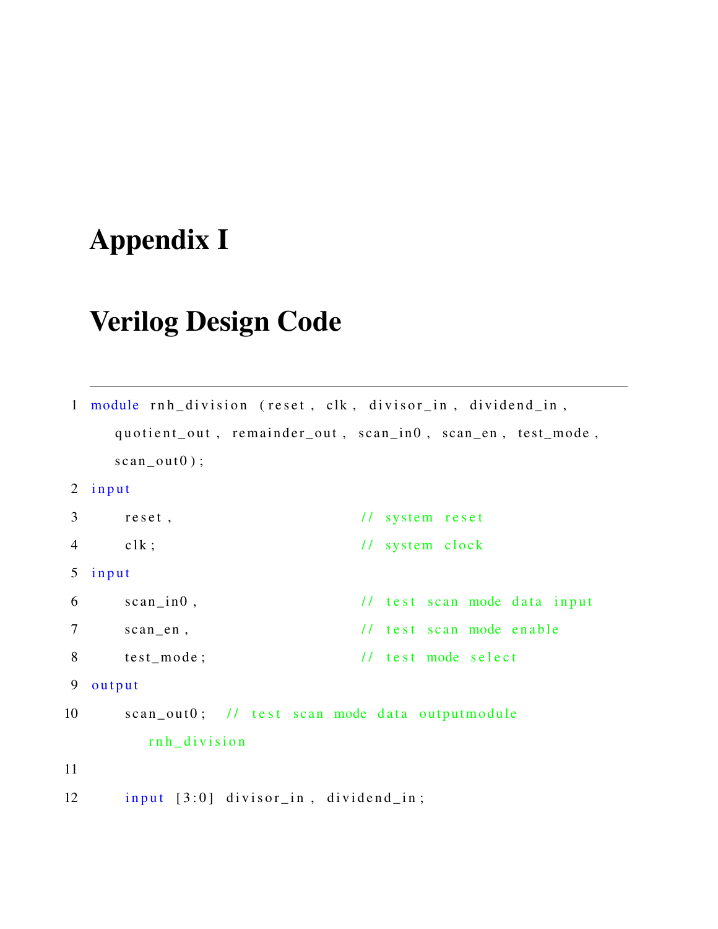# <span id="page-42-0"></span>Appendix I

### Verilog Design Code

```
1 module rnh_division (reset, clk, divisor_in, dividend_in,
    quotient_out, remainder_out, scan_in0, scan_en, test_mode,
    scan\_out0 ;
2 input
3 reset, \frac{1}{3} reset,
4 clk; \frac{1}{s} // system clock
5 input
6 scan_in0, \frac{1}{1} test scan mode data input
7 scan_en, \frac{1}{1} test scan mode enable
8 test_mode; // test mode select
9 output
10 scan_out0; // test scan mode data outputmodule
        rnh_division
11
12 input [3:0] divisor_in, dividend_in;
```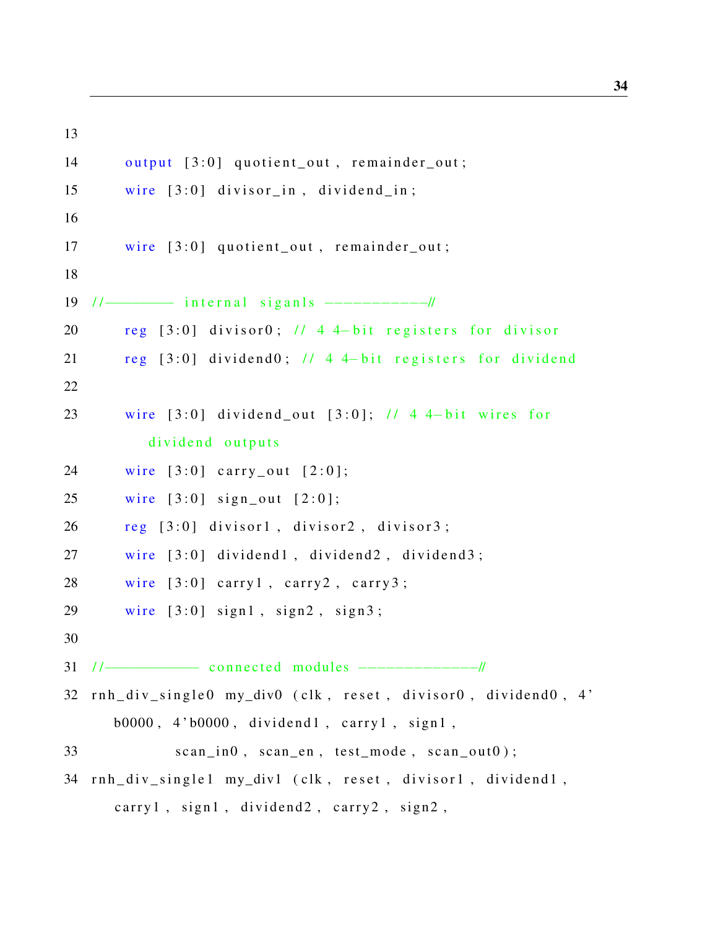```
14 output [3:0] quotient_out, remainder_out;
15 wire [3:0] divisor_in, dividend_in;
16
17 wire [3:0] quotient out, remainder out;
18
19 //---------- internal siganls -----------------//
20 reg [3:0] divisor0; \frac{1}{4} 4 4-bit registers for divisor
21 reg [3:0] dividend0; // 4 4-bit registers for dividend
22
23 wire [3:0] dividend out [3:0]; // 4 4-bit wires for
          dividend outputs
24 wire [3:0] carry out [2:0];
25 wire [3:0] sign_out [2:0];
26 reg [3:0] divisor1, divisor2, divisor3;
27 wire [3:0] dividend1, dividend2, dividend3;
28 wire [3:0] carry1, carry2, carry3;
29 wire [3:0] sign1, sign2, sign3;
30
31 / /−−−−−−−−−−− c o n n e c t e d modules −−−−−−−−−−−−−//
32 rnh_div_single0 my_div0 (clk, reset, divisor0, dividend0, 4'
     b0000, 4'b0000, dividend1, carry1, sign1,
33 scan in0, scan en, test mode, scan out 0 ;
34 rnh_div_single1 my_div1 (clk, reset, divisor1, dividend1,
     carry 1, sign 1, dividend2, carry 2, sign 2,
```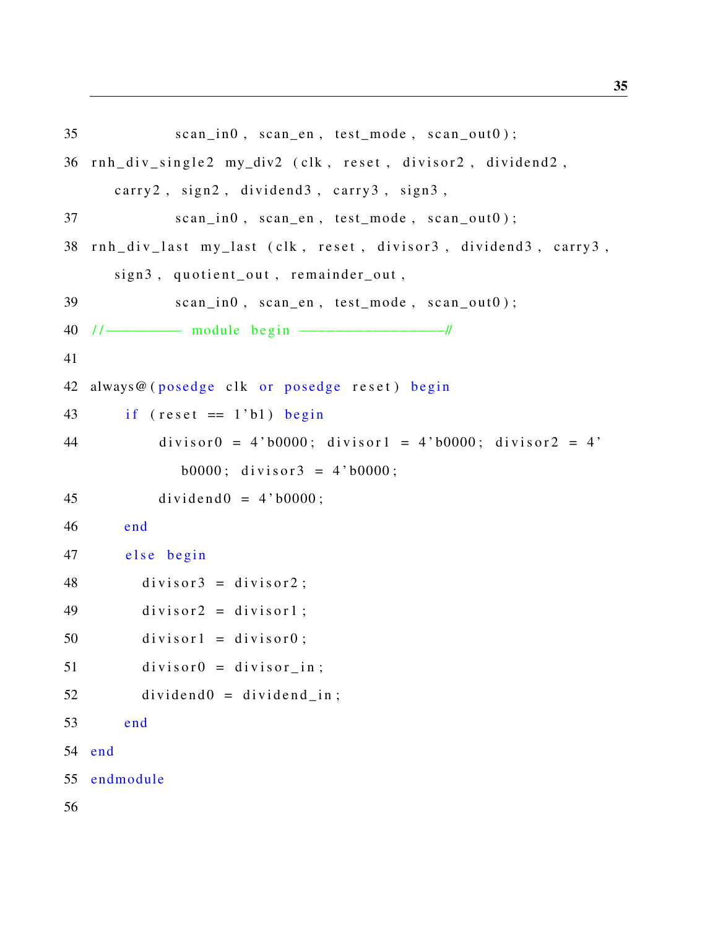```
35 scan_in0, scan_en, test_mode, scan_out0);
36 rnh_div_single2 my_div2 (clk, reset, divisor2, dividend2,
      carry 2, sign 2, dividend3, carry 3, sign 3,
37 \quad \text{scan}_1 \cap 0, \text{scan}_2 \cap n, \text{test}_2 \cap \text{node}, \text{scan}_3 \cap 0 ;
38 rnh_div_last my_last (clk, reset, divisor3, dividend3, carry3,
      sign3, quotient_out, remainder_out,
39 scan_in0, scan_en, test_mode, scan_out0);
40 / /−−−−−−−−− module b e g i n −−−−−−−−−−−−−−−−//
41
42 always@ (posedge clk or posedge reset) begin
43 if (\text{reset} == 1 \text{ b1}) begin
44 divisor0 = 4' b0000; divisor1 = 4' b0000; divisor2 = 4'b0000; divisor3 = 4'b0000;
45 dividend0 = 4' b0000;
46 end
47 else begin
48 divisor3 = \text{divisor}2;
49 divisor2 = \text{divisor}1;
50 divisor1 = \text{divisor}0;
51 divisor0 = \text{divisor} in;
52 dividend0 =dividend_in;
53 end
54 end
55 endmodule
56
```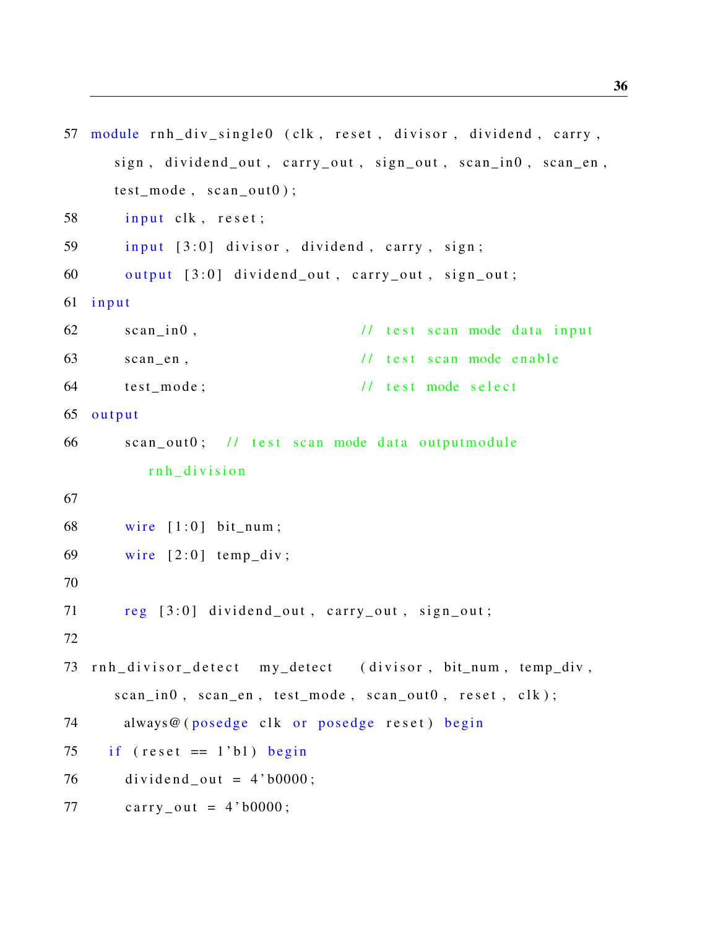```
57 module rnh_div_single0 (clk, reset, divisor, dividend, carry,
     sign, dividend_out, carry_out, sign_out, scan_in0, scan_en,
     test_model, scan_out0 ;
58 input clk, reset;
59 input [3:0] divisor, dividend, carry, sign;
60 output [3:0] dividend_out, carry_out, sign_out;
61 input
62 scan in0, \frac{1}{1} test scan mode data input
63 scan_en, \frac{1}{1} test scan mode enable
64 test_mode; // test mode select
65 output
66 scan_out0; // test scan mode data outputmodule
         rnh division
67
68 wire [1:0] bit_num;
69 wire [2:0] temp_div;
70
71 reg [3:0] dividend_out, carry_out, sign_out;
72
73 rnh_divisor_detect my_detect (divisor, bit_num, temp_div,
     scan_in0, scan_en, test_model, scan_out0, reset, clk);
74 always@ (posedge clk or posedge reset) begin
75 if (\text{reset} == 1 \text{ b}1) begin
76 dividend_out = 4'b0000;
77 carry_out = 4'b0000;
```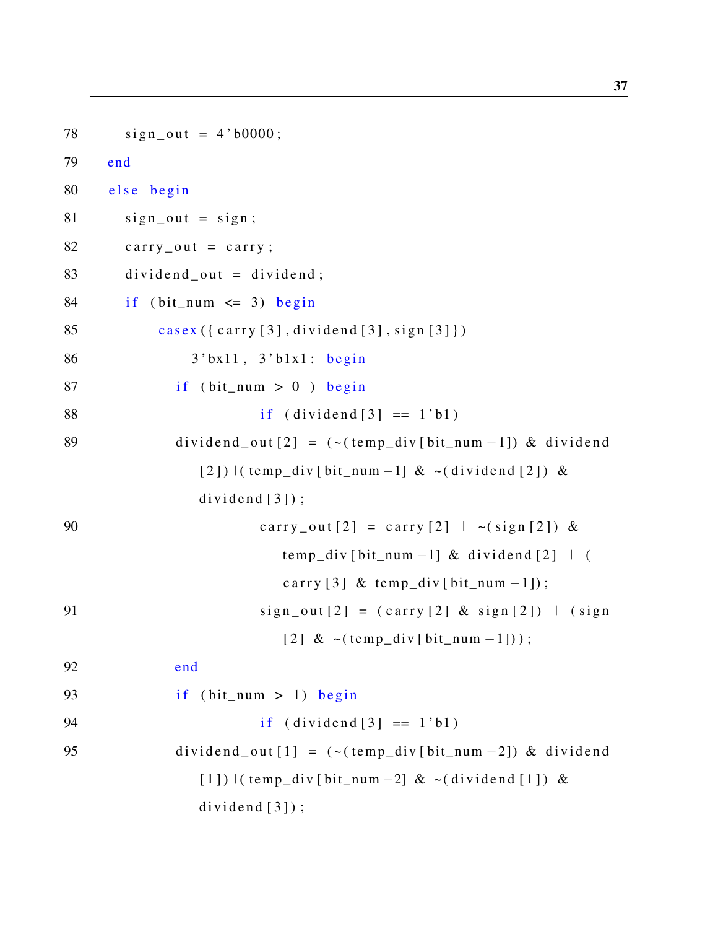```
78 sign\_out = 4'b0000;79 end
80 else begin
81 sign_out = sign;
82 \quad \text{carry\_out} = \text{carry};
83 dividend out = dividend;
84 if (bit\_num \leq 3) begin
85 casex ({ carry [3], dividend [3], sign [3]})
86 3' bx11, 3' b1x1: begin
87 if (bit_num > 0) begin
88 if (\text{dividend} [3] == 1 \text{ b1})89 dividend _out [2] = (- (\text{temp\_div}[\text{bit\_num} - 1]) \& \text{dividend}[2]) | ( temp_div [ bit_num -1] & ~( dividend [2]) &
                dividend[3]);
90 carry_out [2] = carry [2] | \sim (sign [2]) \&temp\_div [ bit_num -1] & dividend [2] | (
                           carry [3] & temp_div [bit\_num -1];
91 sign\_out[2] = (carry [2] & sign [2]) | (sign\lceil 2 \rceil \& \sim (\text{temp\_div} \lceil \text{bit\_num} - 1 \rceil));92 end
93 if (bit_number > 1) begin
94 if (i \text{dividend} [3] == 1 \text{ b1})95 dividend_out [1] = (-(\text{temp\_div}[\text{bit\_num} - 2]) \& \text{dividend}[1]) | ( temp_div [ bit_num -2] & ~( dividend [1]) &
                dividend[3]);
```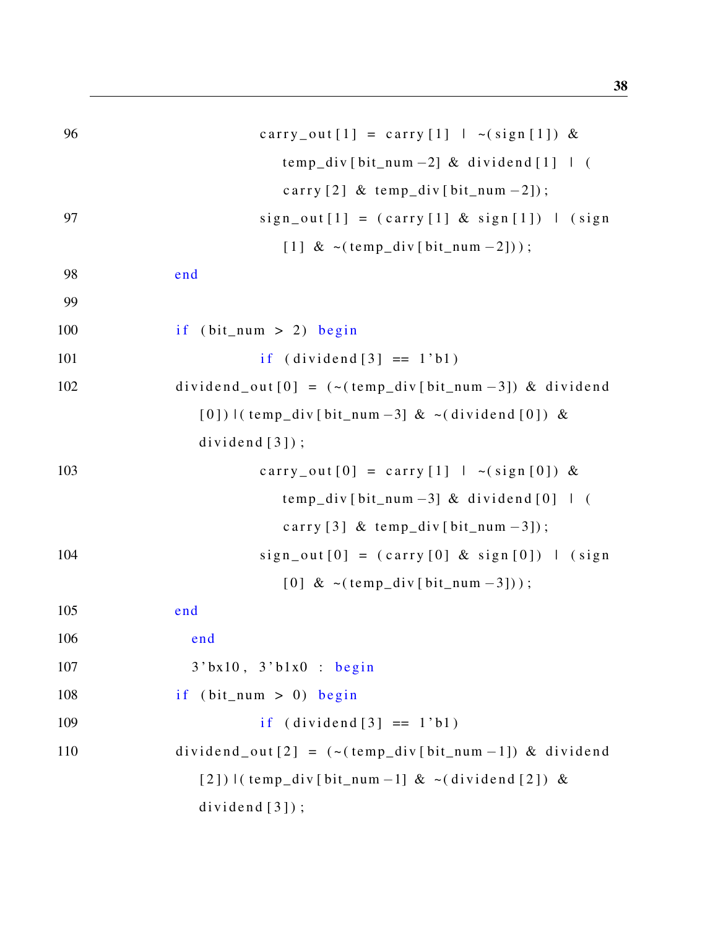| 96  | carry_out [1] = carry [1] $\sim$ (sign [1]) &                              |
|-----|----------------------------------------------------------------------------|
|     | $temp\_div [bit\_num - 2]$ & dividend [1] $\mid$ (                         |
|     | carry [2] & temp_div [bit_num -2]);                                        |
| 97  | $sign\_out[1] = (carry[1] & sign[1]) \mid (sign$                           |
|     | [1] $\& \sim (temp\_div[bit\_num - 2])$ ;                                  |
| 98  | end                                                                        |
| 99  |                                                                            |
| 100 | if $(bit_{num} > 2)$ begin                                                 |
| 101 | if $(\text{dividend}[3] == 1'b1)$                                          |
| 102 | dividend_out $[0] = (-(\text{temp\_div}[bit\_num - 3]) \& \text{dividend}$ |
|     | $[0]$ )   (temp_div [bit_num -3] & ~ (dividend [0]) &                      |
|     | dividend $[3]$ ;                                                           |
| 103 | carry_out [0] = carry [1] $  \sim (sign [0]) \&$                           |
|     | temp_div[bit_num -3] & dividend $[0]$   (                                  |
|     | carry [3] & temp_div [bit_num $-3$ ]);                                     |
| 104 | $sign_out[0] = (carry[0] & sign[0])$   (sign                               |
|     | [0] & $\sim$ (temp_div [bit_num -3]));                                     |
| 105 | end                                                                        |
| 106 | end                                                                        |
| 107 | $3$ 'bx10, $3$ 'b1x0 : begin                                               |
| 108 | if $(bit_{num} > 0)$ begin                                                 |
| 109 | if $(\text{dividend}[3] == 1'b1)$                                          |
| 110 | dividend_out $[2] = (-(\text{temp\_div}[bit\_num - 1]) \& \text{dividend}$ |
|     | $[2]$ ) $[(temp\_div[bit\_num-1] < -(dividend[2]) <$                       |
|     | dividend $[3]$ ;                                                           |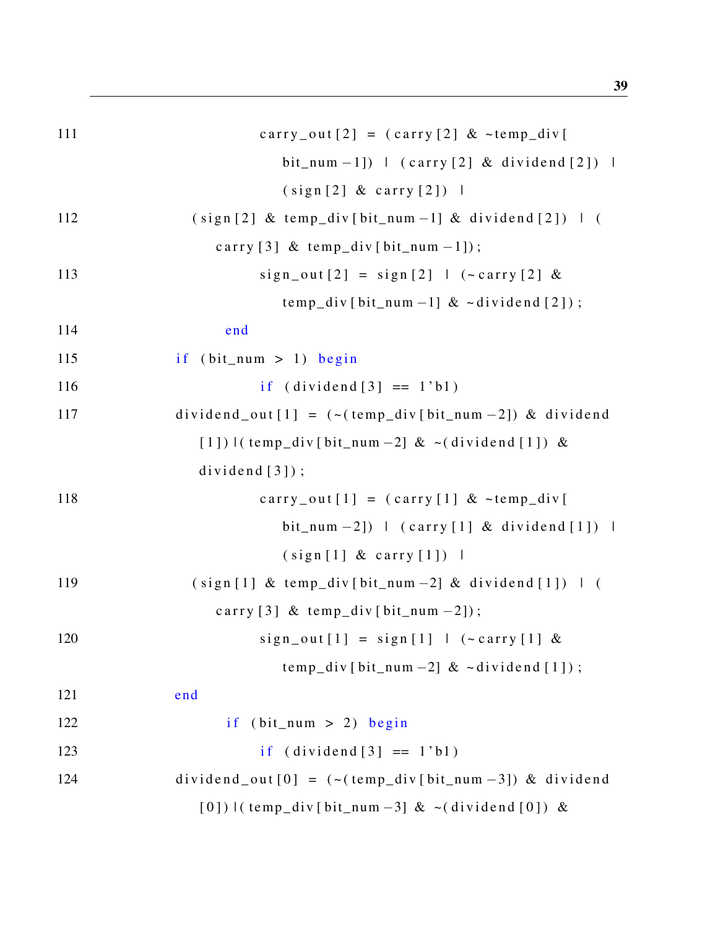| 111 | carry_out $[2] = (carry [2] < temp\_div [$                                 |
|-----|----------------------------------------------------------------------------|
|     | bit_num -1]) $\perp$ (carry [2] & dividend [2]) $\perp$                    |
|     | (sign [2] & carry [2])                                                     |
| 112 | $(sign [2] & temp\_div [bit_number -1] & dividend [2])$   (                |
|     | carry [3] & temp_div [bit_num -1]);                                        |
| 113 | $sign\_out[2] = sign[2]$   (~carry [2] &                                   |
|     | $temp\_div$ [bit_num -1] & ~dividend [2]);                                 |
| 114 | end                                                                        |
| 115 | if $(bit_{num} > 1)$ begin                                                 |
| 116 | if $(\text{dividend}[3] == 1'b1)$                                          |
| 117 | dividend_out $[1] = (-(\text{temp\_div}[bit\_num - 2]) \& \text{dividend}$ |
|     | $[1]$ ) $\lvert$ (temp_div [bit_num -2] & ~(dividend [1]) &                |
|     | dividend $[3]$ ;                                                           |
| 118 | carry_out $[1] = (carry [1] < -temp\_div[$                                 |
|     | bit_num -2]) $\mid$ (carry [1] & dividend [1]) $\mid$                      |
|     | (sign[1] & carry[1])                                                       |
| 119 | $(sign [1] & temp\_div [bit_number -2] & dividend [1])$   (                |
|     | carry $[3]$ & temp_div $[bit_number -2])$ ;                                |
| 120 | $sign\_out[1] = sign[1]$   $(\sim carry[1] &$                              |
|     | temp_div[bit_num -2] $\& \sim$ dividend [1]);                              |
| 121 | end                                                                        |
| 122 | if $(bit_{num} > 2)$ begin                                                 |
| 123 | if $(\text{dividend}[3] == 1'b1)$                                          |
| 124 | dividend_out $[0] = (-(\text{temp\_div}[bit\_num - 3]) \& \text{dividend}$ |
|     | $[0]$ )   (temp_div [bit_num -3] & ~ (dividend [0]) &                      |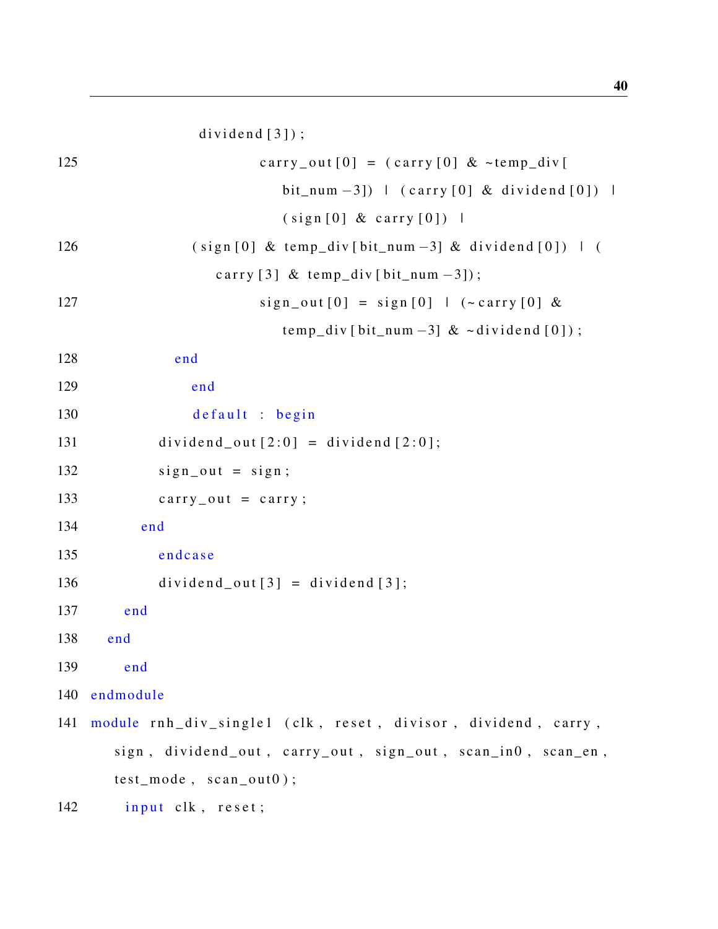$dividend[3])$ ;

| 125 | carry_out $[0] = (carry [0] < temp\_div[$                     |
|-----|---------------------------------------------------------------|
|     | bit_num -3]) $\mid$ (carry [0] & dividend [0]) $\mid$         |
|     | $(sign[0] & carry[0])$                                        |
| 126 | $(sign [0] & temp\_div [bit_number -3] & dividend [0])$   (   |
|     | carry [3] & temp_div [bit_num $-3$ ]);                        |
| 127 | $sign\_out[0] = sign[0]$   (~carry [0] &                      |
|     | temp_div[bit_num -3] $\& \sim$ dividend [0]);                 |
| 128 | end                                                           |
| 129 | end                                                           |
| 130 | default : begin                                               |
| 131 | $dividend_out[2:0] = dividend[2:0];$                          |
| 132 | $sign\_out = sign;$                                           |
| 133 | $carry_out = carry;$                                          |
| 134 | end                                                           |
| 135 | endcase                                                       |
| 136 | $dividend_out[3] = dividend[3];$                              |
| 137 | end                                                           |
| 138 | end                                                           |
| 139 | end                                                           |
| 140 | endmodule                                                     |
| 141 | module rnh_div_single1 (clk, reset, divisor, dividend, carry, |
|     | sign, dividend_out, carry_out, sign_out, scan_in0, scan_en,   |
|     | $test_model, scan_out0);$                                     |
| 142 | input clk, reset;                                             |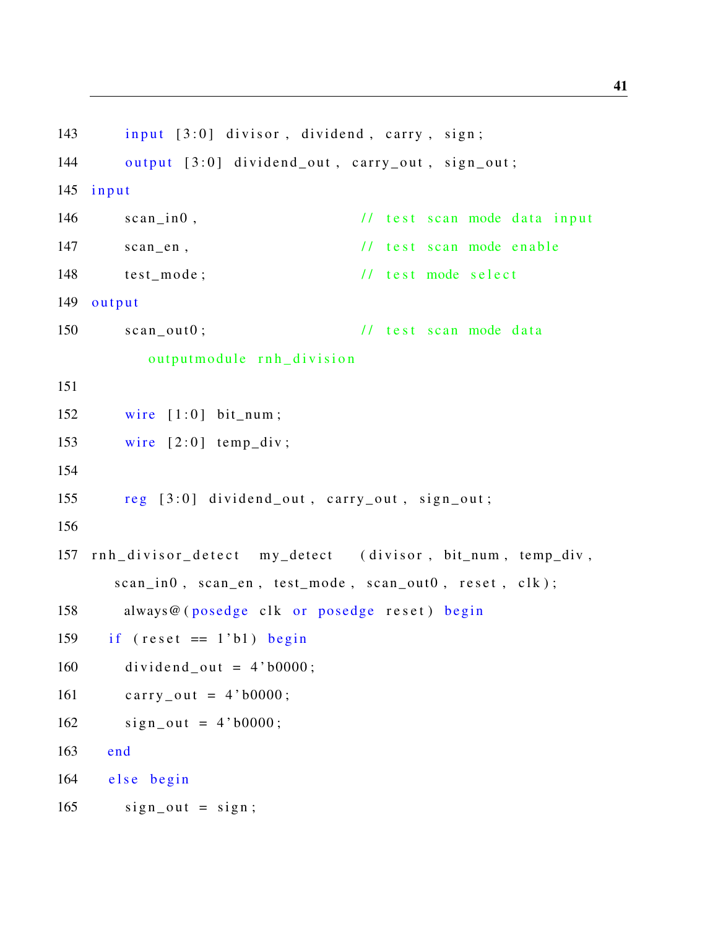```
143 input [3:0] divisor, dividend, carry, sign;
144 output [3:0] dividend_out, carry_out, sign_out;
145 input
146 scan_in0, \frac{1}{6} // test scan mode data input
147 scan en, \frac{1}{2} / test scan mode enable
148 test mode; \frac{1}{8} // test mode select
149 output
150 scan out0; \frac{1}{1} test scan mode data
         output module rnh_division
151
152 wire [1:0] bit_num;
153 wire [2:0] temp_div;
154
155 reg [3:0] dividend_out, carry_out, sign_out;
156
157 rnh_divisor_detect my_detect (divisor, bit_num, temp_div,
      scan_in0, scan_en, test_model, scan_out0, reset, clk);
158 always@ (posedge clk or posedge reset) begin
159 if (reset == 1'b1) begin160 dividend out = 4'b0000;
161 carry_out = 4'b0000;
162 sign out = 4'b0000;
163 end
164 else begin
165 sign\_out = sign;
```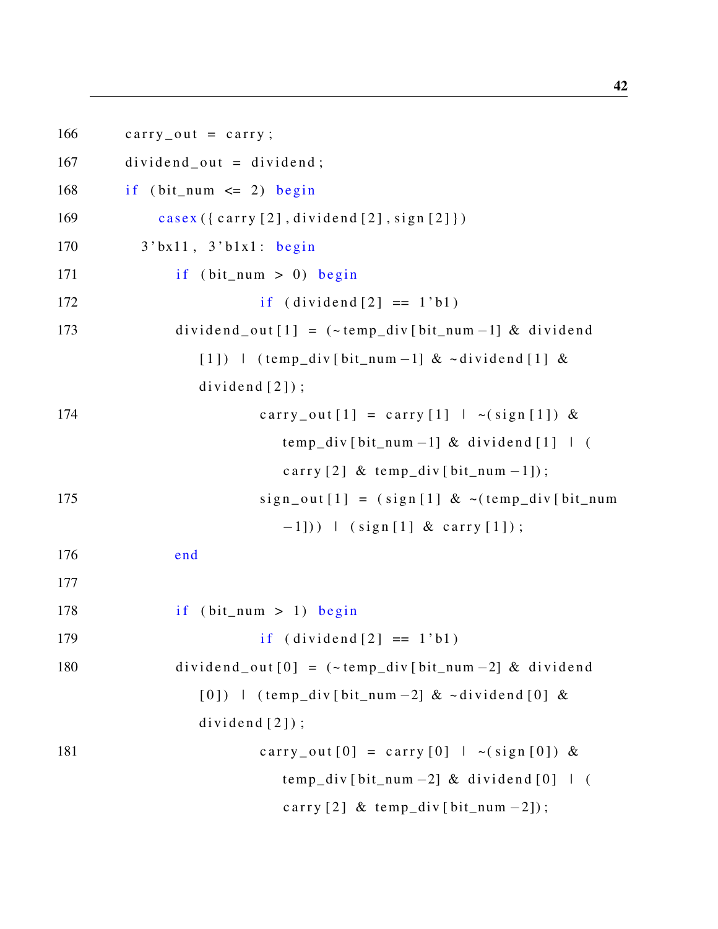$166$  carry out = carry;  $167$  dividend out = dividend; 168 if ( $bit_number$   $\leq$  2) begin 169 casex  $({\text{carry [2], dividend [2], signal}})$ 170 3' bx11, 3' b1x1: begin  $171$  if (bit\_num > 0) begin  $172$  if  $(iividend [2] == 1'b1)$ 173 dividend out  $[1] = (-\text{temp div} [\text{bit num} -1]) \& \text{dividend}$  $[1]$  ) | (temp\_div [bit\_num -1] & ~dividend [1] &  $dividend [2])$ ; 174 carry\_out  $[1] = \text{carry}[1] | \sim (\text{sign}[1]) \&$  $temp\_div$  [ bit\_num -1] & dividend [1] | ( carry  $[2]$  & temp\_div  $[bit_number -1]$ ;  $175$  sign\_out  $[1] = (sign [1] < (temp\_div [bit\_num$  $-1$ ])) | (sign [1] & carry [1]); 176 end 177  $178$  if  $(bit\_num > 1)$  begin 179 if  $(i \text{vidend} [2] == 1' b1)$  $180$  dividend\_out  $[0] = (-\text{temp\_div}[\text{bit\_num} - 2] \& \text{dividend}$  $[0]$  ) | (temp\_div [bit\_num -2] & ~dividend  $[0]$  &  $dividend[2])$ ; 181 carry\_out  $[0] = \text{carry}[0] + \sim(\text{sign}[0])$  &  $temp\_div$  [ bit\_num -2] & dividend [0] | ( carry  $[2]$  & temp\_div  $[bit\_num -2]$ ;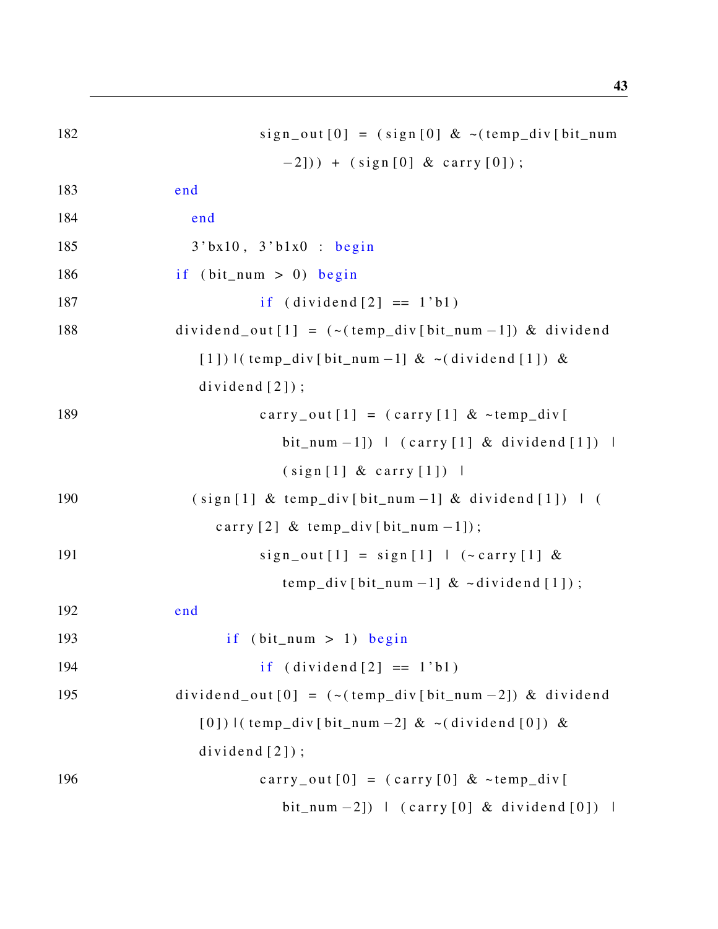| 182 | $sign\_out[0] = (sign[0] < (temp\_div[bit\_num$                            |
|-----|----------------------------------------------------------------------------|
|     | $-2$ ])) + (sign[0] & carry [0]);                                          |
| 183 | end                                                                        |
| 184 | end                                                                        |
| 185 | $3$ 'bx10, $3$ 'b1x0 : begin                                               |
| 186 | if $(bit_{num} > 0)$ begin                                                 |
| 187 | if $(\text{dividend}[2] == 1'b1)$                                          |
| 188 | $dividend_out[1] = (-(temp\_div[bit_number-1]) \& dividend$                |
|     | $[1]$ ) $($ temp_div $[$ bit_num -1 $]$ & $\sim$ (dividend $[1]$ ) &       |
|     | $dividend [2])$ ;                                                          |
| 189 | carry_out $[1] = (carry [1] < temp\_div[$                                  |
|     | bit_num -1]) $\mid$ (carry [1] & dividend [1]) $\mid$                      |
|     | (sign[1] & carry[1])                                                       |
| 190 | $(sign [1] & temp\_div [bit_number -1] & dividend [1])$   (                |
|     | carry $[2]$ & temp_div $[bit_number1]$ ;                                   |
| 191 | $sign\_out[1] = sign[1]$   (~carry [1] &                                   |
|     | temp_div [bit_num -1] $\&$ ~dividend [1]);                                 |
| 192 | end                                                                        |
| 193 | if (bit num $> 1$ ) begin                                                  |
| 194 | if $(\text{dividend}[2] == 1'b1)$                                          |
| 195 | dividend_out $[0] = (-(\text{temp\_div}[bit\_num - 2]) \& \text{dividend}$ |
|     | $[0]$ ) $($ temp_div $[$ bit_num -2 $]$ & $\sim$ (dividend $[0]$ ) &       |
|     | $dividend[2])$ ;                                                           |
| 196 | carry_out $[0] = (carry [0] < temp\_div[$                                  |
|     | bit_num -2]) $\mid$ (carry [0] & dividend [0]) $\mid$                      |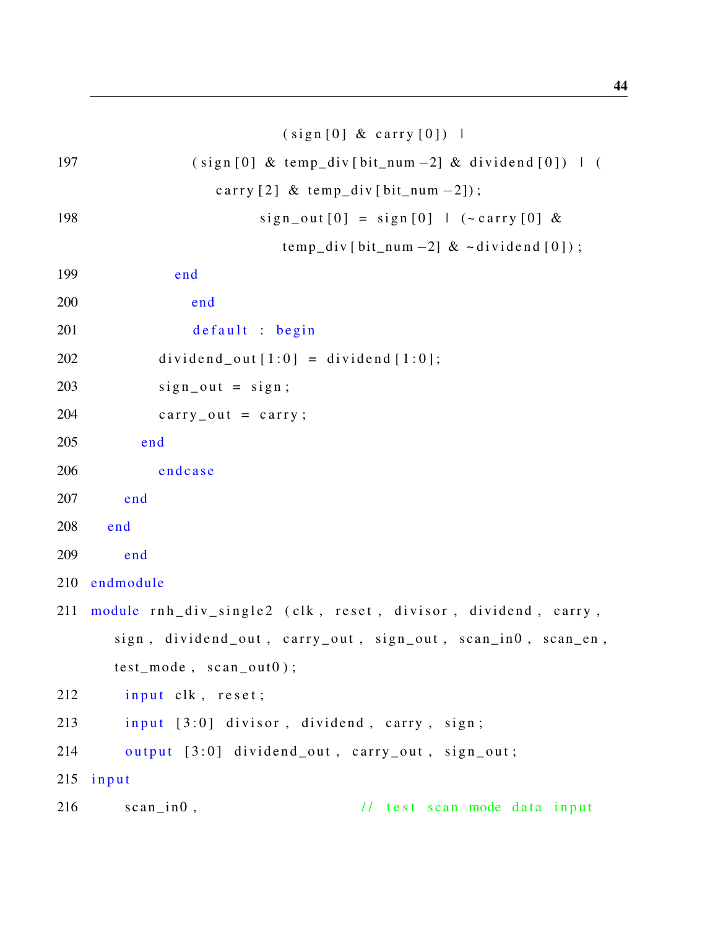### $(sign [0] & carry [0])$  |

| 197 | $(sign [0] & temp\_div [bit_number -2] & dividend [0])$   (   |
|-----|---------------------------------------------------------------|
|     | carry [2] & temp_div [bit_num -2]);                           |
| 198 | $sign\_out[0] = sign[0]$   (~carry [0] &                      |
|     | temp_div[bit_num -2] $\& \sim$ dividend [0]);                 |
| 199 | end                                                           |
| 200 | end                                                           |
| 201 | default : begin                                               |
| 202 | $dividend_out[1:0] = dividend[1:0];$                          |
| 203 | $sign\_out = sign;$                                           |
| 204 | $carry_out = carry;$                                          |
| 205 | end                                                           |
| 206 | endcase                                                       |
| 207 | end                                                           |
| 208 | end                                                           |
| 209 | end                                                           |
| 210 | endmodule                                                     |
| 211 | module rnh_div_single2 (clk, reset, divisor, dividend, carry, |
|     | sign, dividend_out, carry_out, sign_out, scan_in0, scan_en,   |
|     | $test_model, scan_out0);$                                     |
| 212 | input clk, reset;                                             |
| 213 | input [3:0] divisor, dividend, carry, sign;                   |
| 214 | output [3:0] dividend_out, carry_out, sign_out;               |
| 215 | input                                                         |
| 216 | $scan\_in0$ ,<br>// test scan mode data input                 |
|     |                                                               |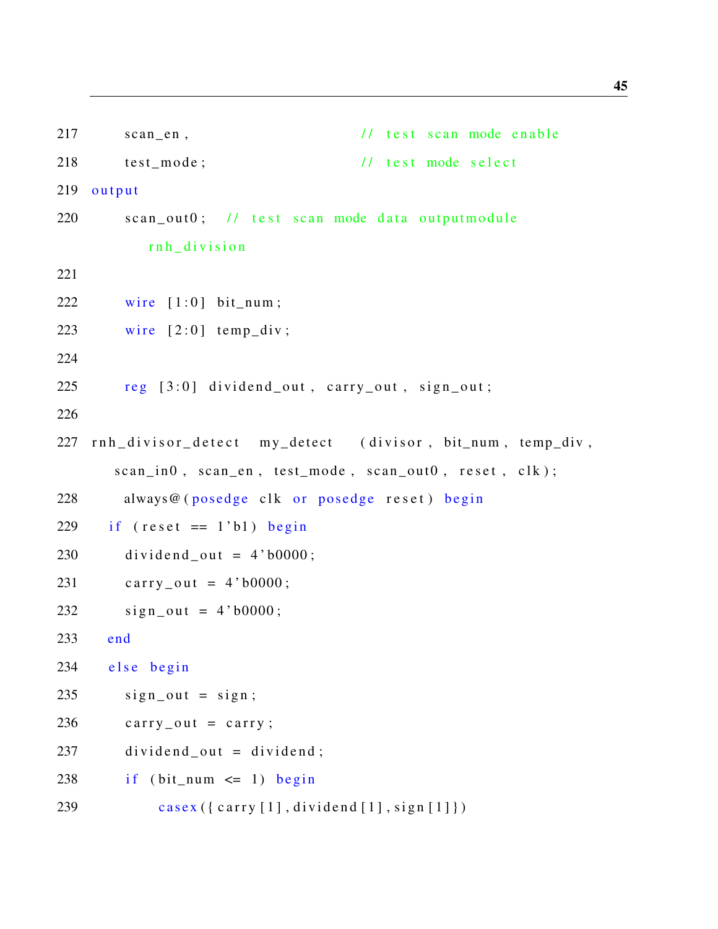| 217 | // test scan mode enable<br>$scan_en$ ,                   |
|-----|-----------------------------------------------------------|
| 218 | // test mode select<br>test_mode;                         |
| 219 | output                                                    |
| 220 | scan_out0; // test scan mode data outputmodule            |
|     | rnh_division                                              |
| 221 |                                                           |
| 222 | wire $[1:0]$ bit_num;                                     |
| 223 | wire $[2:0]$ temp_div;                                    |
| 224 |                                                           |
| 225 | reg [3:0] dividend_out, carry_out, sign_out;              |
| 226 |                                                           |
| 227 | rnh_divisor_detect my_detect (divisor, bit_num, temp_div, |
|     | scan_in0, scan_en, test_mode, scan_out0, reset, clk);     |
| 228 | always@(posedge clk or posedge reset) begin               |
| 229 | if $(reset == 1'b1) begin$                                |
| 230 | $dividend_out = 4'b0000;$                                 |
| 231 | carry_out = $4'$ b0000;                                   |
| 232 | $sign\_out = 4' b0000;$                                   |
| 233 | end                                                       |
| 234 | else begin                                                |
| 235 | $sign\_out = sign;$                                       |
| 236 | $carry_out = carry;$                                      |
| 237 | $dividend_out = dividend;$                                |
| 238 | if $(bit_{num} \leq 1)$ begin                             |
| 239 | casex ({ carry [1], dividend [1], sign [1]})              |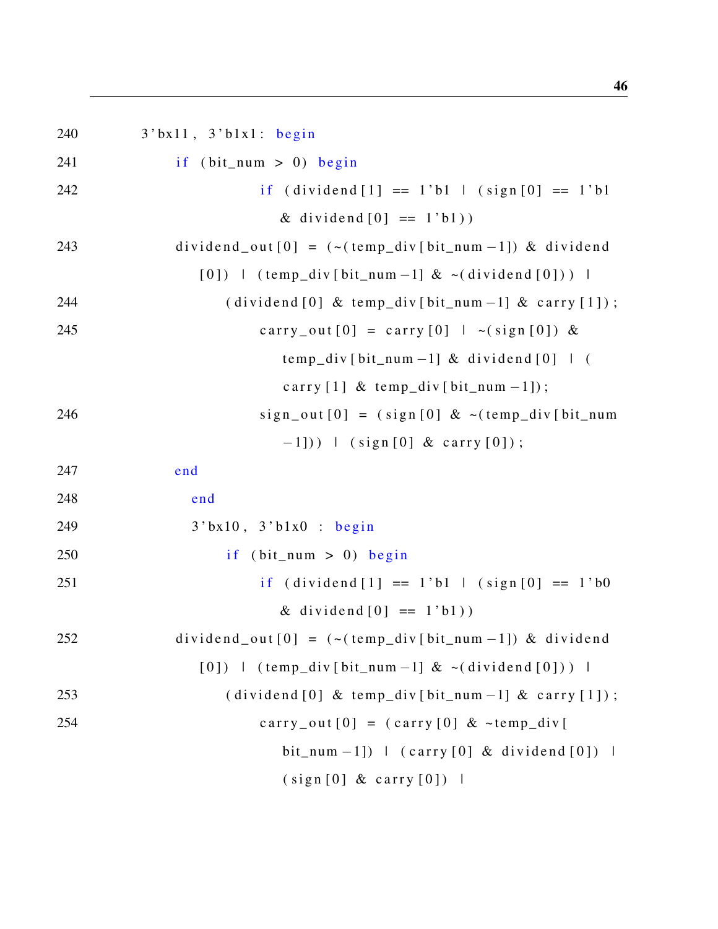240 3' bx11, 3' b1x1: begin  $241$  if (bit\_num > 0) begin 242 if  $\left( \text{dividend} \left[ 1 \right] \right) = 1$  b  $\left[ \text{sign} \left[ 0 \right] \right] = 1$  b  $\left[ 0 \right]$ & dividend  $[0] == 1$ 'b1))  $243$  dividend\_out  $[0] = (- (\text{temp\_div} [\text{bit\_num} - 1]) \& \text{dividend}$  $[0]$  ) | (temp\_div [bit\_num -1] & ~(dividend  $[0]$ ) | 244 ( dividend  $[0]$  & temp\_div  $[\text{bit\_num}-1]$  & carry  $[1]$  ); 245 carry\_out  $[0] = \text{carry}[0] + \sim(\text{sign}[0]) \&$  $temp\_div$  [ bit\_num -1] & dividend [0] | ( carry  $[1]$  & temp\_div  $[bit\_num -1]$ ;  $246$  sign\_out  $[0] = (sign[0] < (temp\_div[bit\_num$  $-1$ ])) | (sign [0] & carry [0]); 247 end 248 end 249 3' bx10, 3' b1x0 : begin  $250$  if (bit\_num > 0) begin 251 if  $(i \text{vidend} [1] == 1 \text{ b1} \mid (sign [0] == 1 \text{ b0})$ & dividend  $[0] == 1$ 'b1))  $252$  dividend out  $[0] = (- (\text{temp\_div} [\text{bit\_num} - 1]) \& \text{dividend}$  $[0]$  ) | (temp\_div [bit\_num -1] & ~(dividend  $[0]$ ) |  $253$  ( dividend [0] & temp\_div [bit\_num -1] & carry [1]); 254 carry\_out  $[0] = (carry [0] \& \sim temp\_div$ bit\_num  $-1$ ]) | (carry [0] & dividend [0]) |  $(sign [0] & carry [0])$  |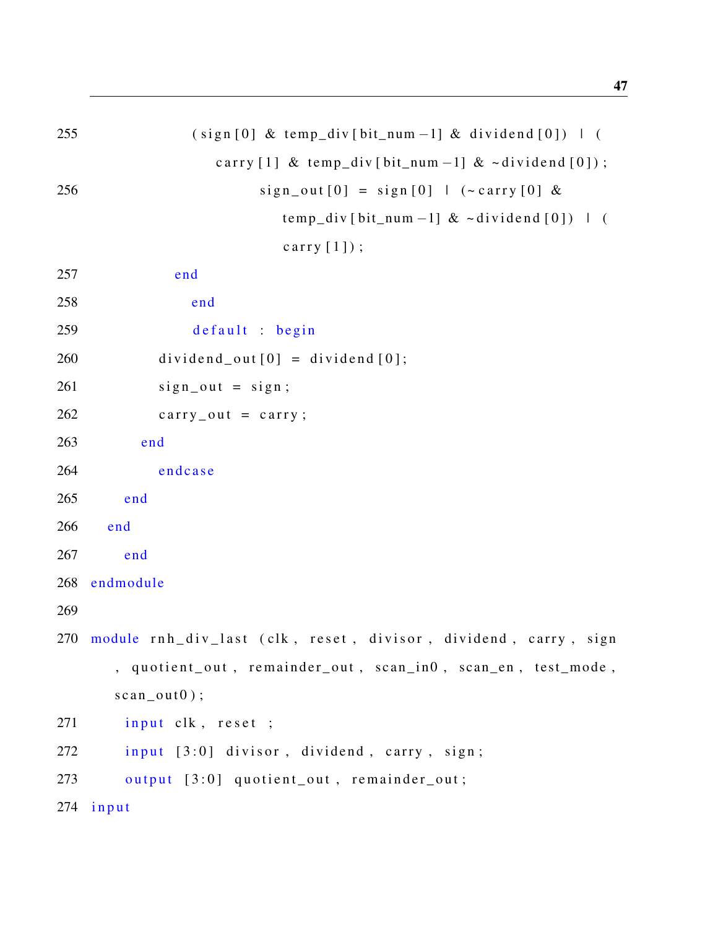| 255 | $(sign[0] & temp\_div[bit_number -1] & dividend[0])$   (  |
|-----|-----------------------------------------------------------|
|     | carry [1] & temp_div [bit_num -1] & $\sim$ dividend [0]); |
| 256 | $sign\_out[0] = sign[0]$   (~carry [0] &                  |
|     | temp_div[bit_num -1] $\& \sim$ dividend [0])   (          |
|     | carry $[1]$ ;                                             |
| 257 | end                                                       |
| 258 | end                                                       |
| 259 | default : begin                                           |
| 260 | $dividend_out[0] = dividend[0];$                          |
| 261 | $sign\_out = sign;$                                       |
| 262 | $carry_out = carry;$                                      |
| 263 | end                                                       |
| 264 | endcase                                                   |
| 265 | end                                                       |

```
266 end
```
267 end

268 endmodule

269

270 module rnh\_div\_last (clk, reset, divisor, dividend, carry, sign , quotient\_out, remainder\_out, scan\_in0, scan\_en, test\_mode,  $scan\_out0$  ;

```
271 input clk, reset ;
```

```
272 input [3:0] divisor, dividend, carry, sign;
```

```
273 output [3:0] quotient_out, remainder_out;
```
 $274$  input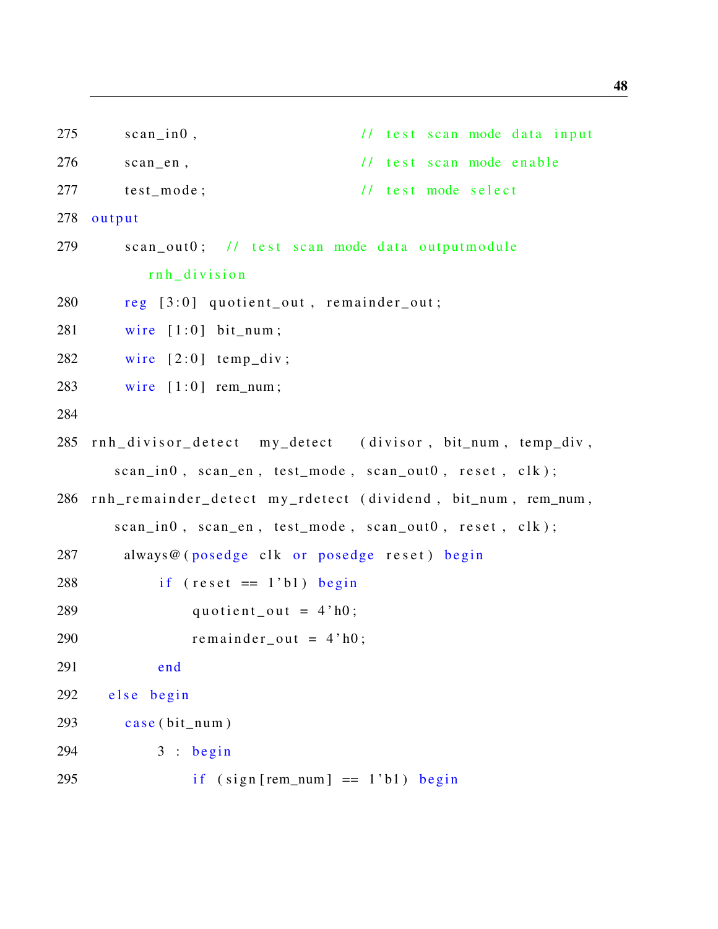```
275 scan_in0, \frac{1}{\sqrt{1}} test scan mode data input
276 scan_en, \frac{1}{1 + \text{est} \cdot \text{scan} \cdot \text{mode} \cdot \text{enable}}277 test mode; \frac{1}{27} test mode select
278 output
279 scan out 0; // test scan mode data out put module
          rnh division
280 reg [3:0] quotient_out, remainder_out;
281 wire [1:0] bit_num;
282 wire [2:0] temp_div;
283 wire [1:0] rem_num;
284
285 rnh divisor detect my detect (divisor, bit_num, temp_div,
      scan_in0, scan_en, test_model, scan_out0, reset, clk);
286 rnh_remainder_detect my_rdetect (dividend, bit_num, rem_num,
      scan_in0, scan_en, test_model, scan_out0, reset, clk);
287 always@ (posedge clk or posedge reset) begin
288 if (reset == 1'b1) begin
289 quotient_out = 4 \cdot h0;
290 remainder out = 4'h0;
291 end
292 else begin
293 case (bit num)
294 3:begin 3:begin295 if (sign [rem_number] == 1'b1) begin
```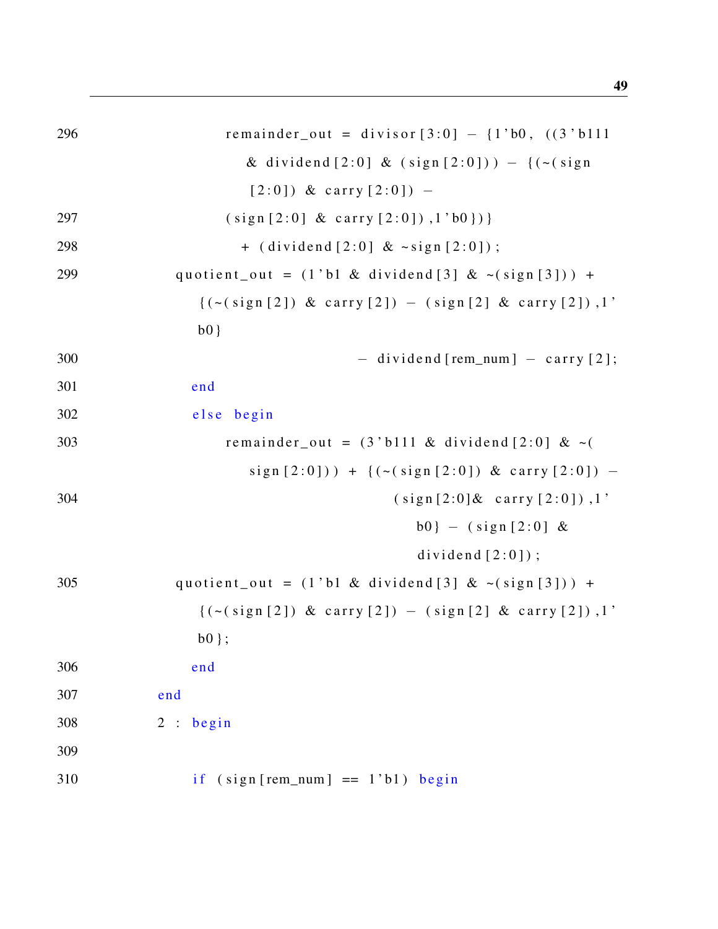| 296 | remainder_out = divisor $[3:0] - \{1'b0, ((3'b111)$                   |
|-----|-----------------------------------------------------------------------|
|     | & dividend [2:0] & $(sign [2:0]) - { (-(sign$                         |
|     | $[2:0]$ ) & carry $[2:0]$ ) -                                         |
| 297 | $(sign [2:0] & carry [2:0])$ , $1'b0$ })                              |
| 298 | + $(dividend [2:0] < \neg sign [2:0])$ ;                              |
| 299 | quotient_out = $(1 \text{ 'b1 \& dividend [3] \& \sim (sign [3])) +$  |
|     | $\{ (\sim (sign [2]) \& carry [2]) - (sign [2] \& carry [2]) , 1' \}$ |
|     | $b0$ }                                                                |
| 300 | $-$ dividend [rem_num] $-$ carry [2];                                 |
| 301 | end                                                                   |
| 302 | else begin                                                            |
| 303 | remainder_out = $(3 \text{ 'b111 \& dividend [2:0] \& -($             |
|     | $sign [2:0])$ + {(~(sign[2:0]) & carry [2:0]) -                       |
| 304 | $(sign [2:0] & carry [2:0])$ , 1'                                     |
|     | $b0$ } - (sign[2:0] &                                                 |
|     | dividend $[2:0]$ ;                                                    |
| 305 | quotient_out = $(1 \cdot b1 \&$ dividend [3] $\&$ ~ $(sign [3]))$ +   |
|     | $\{(\sim (sign [2]) \& carry [2]) - (sign [2] \& carry [2])\},\}$     |
|     | $b0$ };                                                               |
| 306 | end                                                                   |
| 307 | end                                                                   |
| 308 | 2 : begin                                                             |
| 309 |                                                                       |
| 310 | if $(sign[rem_number] == 1'b1) begin$                                 |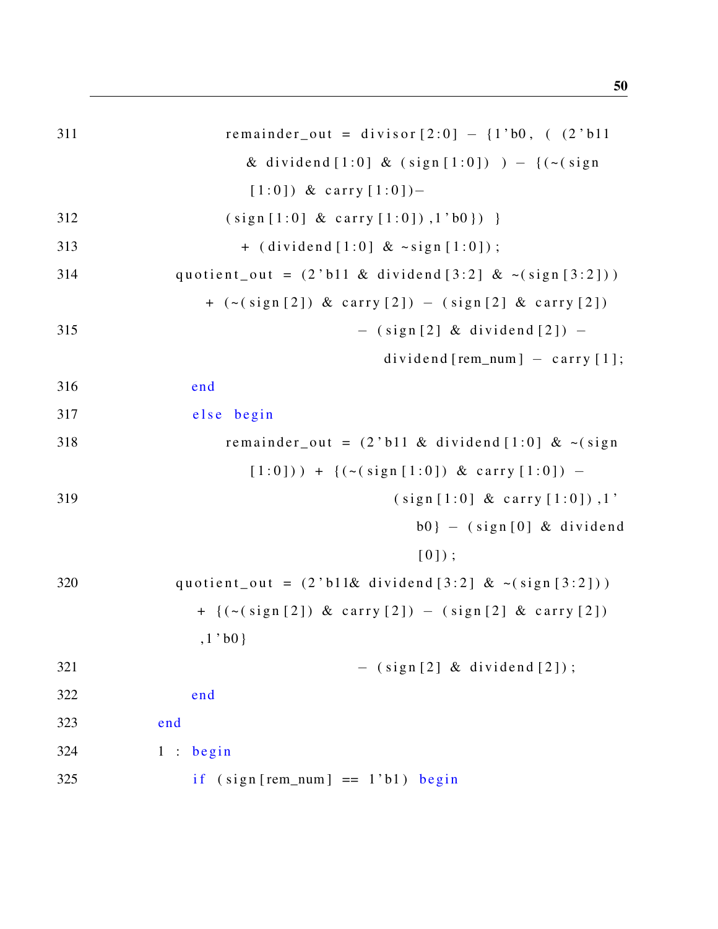| 311 | remainder_out = divisor $[2:0] - \{1'b0, (2'b11$                                          |
|-----|-------------------------------------------------------------------------------------------|
|     | & dividend [1:0] & (sign [1:0]) $) -$ {(~(sign                                            |
|     | $[1:0]$ ) & carry $[1:0]$ )-                                                              |
| 312 | $(sign [1:0] & carry [1:0])$ , $1'bb$ }) }                                                |
| 313 | + $(dividend [1:0] < \neg sign [1:0])$ ;                                                  |
| 314 | quotient_out = $(2 \text{ 'b11 \& dividend [3:2] \& -(sign [3:2]))$                       |
|     | $+$ ( $\sim$ (sign [2]) & carry [2]) $-$ (sign [2] & carry [2])                           |
| 315 | $-$ (sign[2] & dividend[2]) $-$                                                           |
|     | dividend [rem_num] $-$ carry [1];                                                         |
| 316 | end                                                                                       |
| 317 | else begin                                                                                |
| 318 | remainder_out = $(2 \cdot b11 \&$ dividend [1:0] & ~(sign                                 |
|     | $[1:0])$ + {(~(sign[1:0]) & carry [1:0]) -                                                |
| 319 | $(sign [1:0] & carry [1:0])$ , 1'                                                         |
|     | $b0$ } - (sign[0] & dividend                                                              |
|     | $[0]$ ;                                                                                   |
| 320 | quotient_out = $(2 \text{ 'b11\& } \text{ dividend } [3:2] \& \sim (\text{sign } [3:2]))$ |
|     | $+$ {(~(sign[2]) & carry [2]) - (sign[2] & carry [2])                                     |
|     | $,1$ 'b $0$ }                                                                             |
| 321 | $-$ (sign[2] & dividend[2]);                                                              |
| 322 | end                                                                                       |
| 323 | end                                                                                       |
| 324 | 1:begin                                                                                   |
| 325 | if $(sign[rem_number] == 1'b1)$<br>begin                                                  |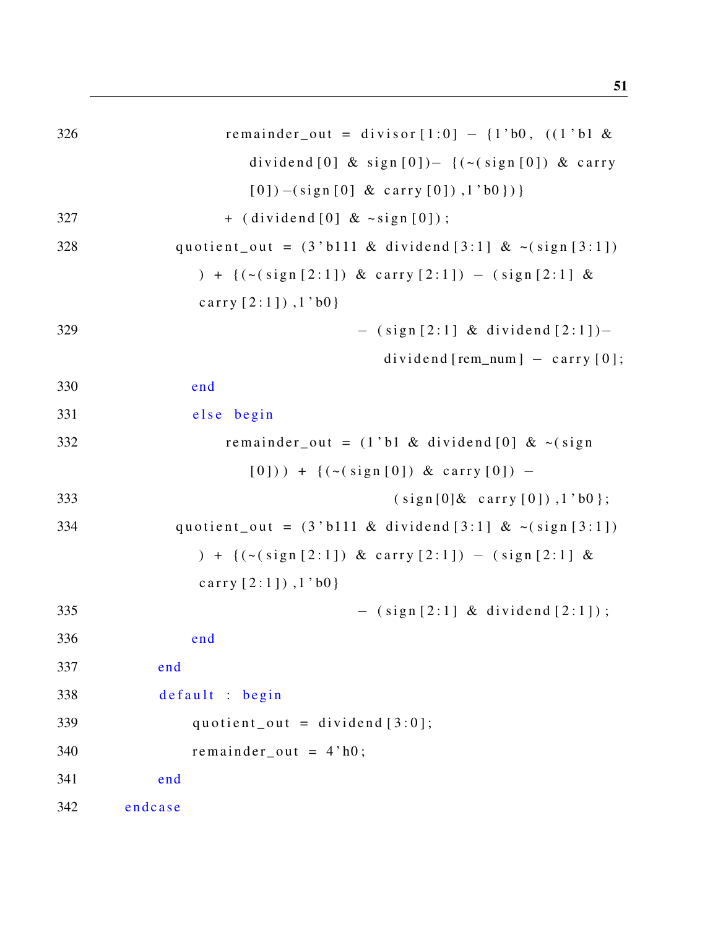| 326 | remainder_out = divisor $[1:0] - \{1:b0, ((1:b1 &$                                   |
|-----|--------------------------------------------------------------------------------------|
|     | dividend [0] & sign $[0]$ $\big)$ $\big($ $\big($ $\big($ sign $[0]$ $\big)$ & carry |
|     | $[0]) - (sign[0] & carry[0]), 1' b0 \})$                                             |
| 327 | $+$ (dividend [0] & $\sim$ sign [0]);                                                |
| 328 | quotient_out = $(3 \text{ 'b111 \& dividend [3:1] \& < (sign [3:1])$                 |
|     | ) + { $(\sim(sign [2:1])$ & carry $[2:1])$ - $(sign [2:1]$ &                         |
|     | carry $[2:1]$ ), $1$ 'b0}                                                            |
| 329 | $-$ (sign [2:1] & dividend [2:1])-                                                   |
|     | $dividend[rem_number] - carry[0];$                                                   |
| 330 | end                                                                                  |
| 331 | else begin                                                                           |
| 332 | remainder_out = $(1'b1 & dividend [0] < \sim (sign$                                  |
|     | $[0])$ + {(~(sign[0]) & carry $[0])$ -                                               |
| 333 | (sign[0] & carry[0]), 1'b0;                                                          |
| 334 | quotient_out = $(3 \text{ 'b111 \& dividend [3:1] \& < (sign [3:1])$                 |
|     | ) + { $(\sim(sign [2:1])$ & carry $[2:1])$ - $(sign [2:1]$ &                         |
|     | carry $[2:1]$ ), $1$ 'b0}                                                            |
| 335 | $-$ (sign [2:1] & dividend [2:1]);                                                   |
| 336 | end                                                                                  |
| 337 | end                                                                                  |
| 338 | default : begin                                                                      |
| 339 | quotient_out = dividend $[3:0]$ ;                                                    |
| 340 | remainder out = $4'$ h0;                                                             |
| 341 | end                                                                                  |
| 342 | endcase                                                                              |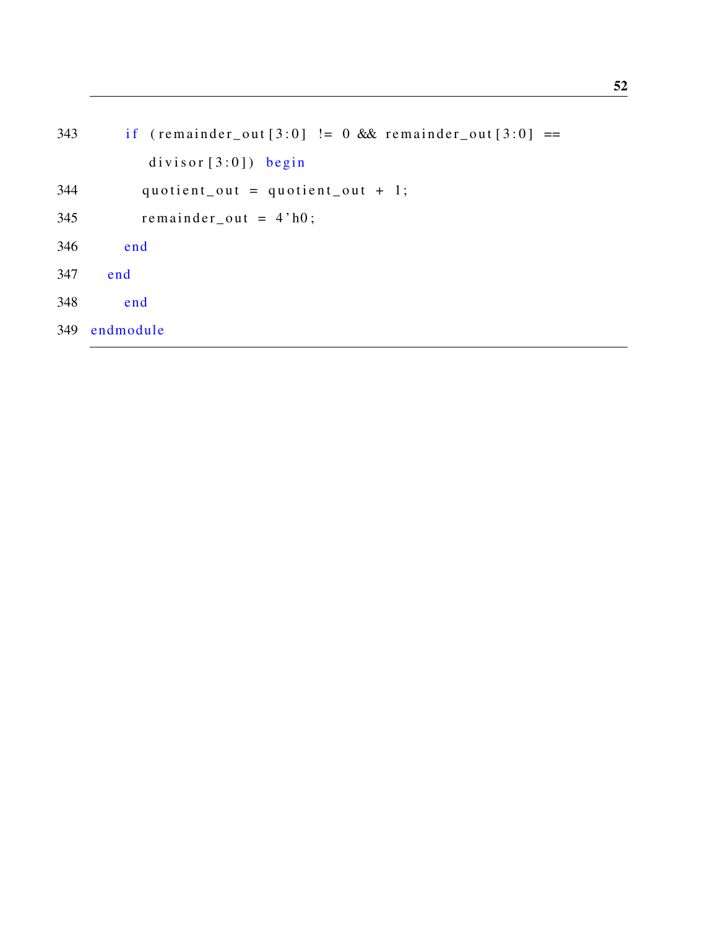```
343 if (remainder\_out[3:0] != 0 & 0 & \text{return } (3:0] ==divisor[3:0]) begin
344 quotient_out = quotient_out + 1;
345 remainder_out = 4 \text{ h0};
346 end
347 end
348 end
349 endmodule
```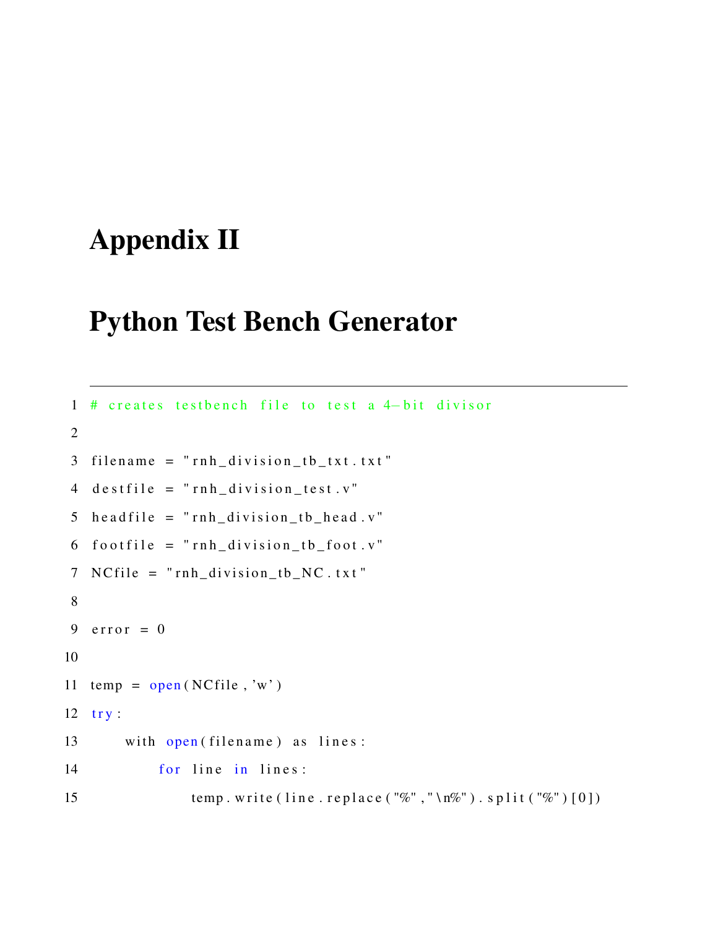# <span id="page-62-0"></span>Appendix II

### Python Test Bench Generator

```
1 # creates testbench file to test a 4-bit divisor
2
3 filename = "rnh<sub>d</sub>ivision_tb_txt.txt"
4 destfile = "rnh_division_test.v"
5 h e a d file = "rnh\_division_tb_head.v"6 footfile = "rnh\_division_tb_foot.v"7 NC file = "rnh_division_tb_NC.txt"
8
9 error = 0
10
11 temp = open(NCfile, 'w')12 try:
13 with open (filename) as lines:
14 for line in lines:
15 temp. write (line.replace ("%", "\n%"). split ("%")[0])
```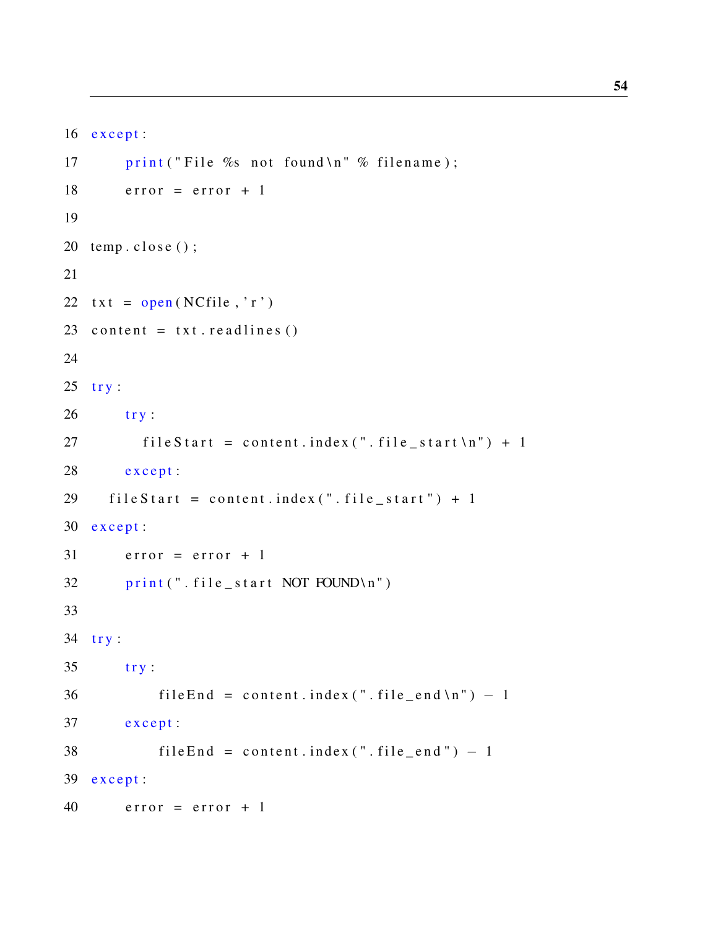```
16 except:
17 print ("File % not found \n" % filename);
18 error = error + 1
19
20 temp.close();
21
22 txt = open(NCfile, 'r')23 content = txt. readlines ()
24
25 try:
26 try:27 file Start = content. index (". file_start \n" ) + 128 except:
29 fileStart = content.index("file.start") + 130 except:
31 error = error + 1
32 print (". file_start NOT FOUND\n")
33
34 try:
35 try:36 file End = content. index (". file_end \n") - 1
37 except:
38 file End = content. index (". file_end") - 1
39 except:
40 error = error + 1
```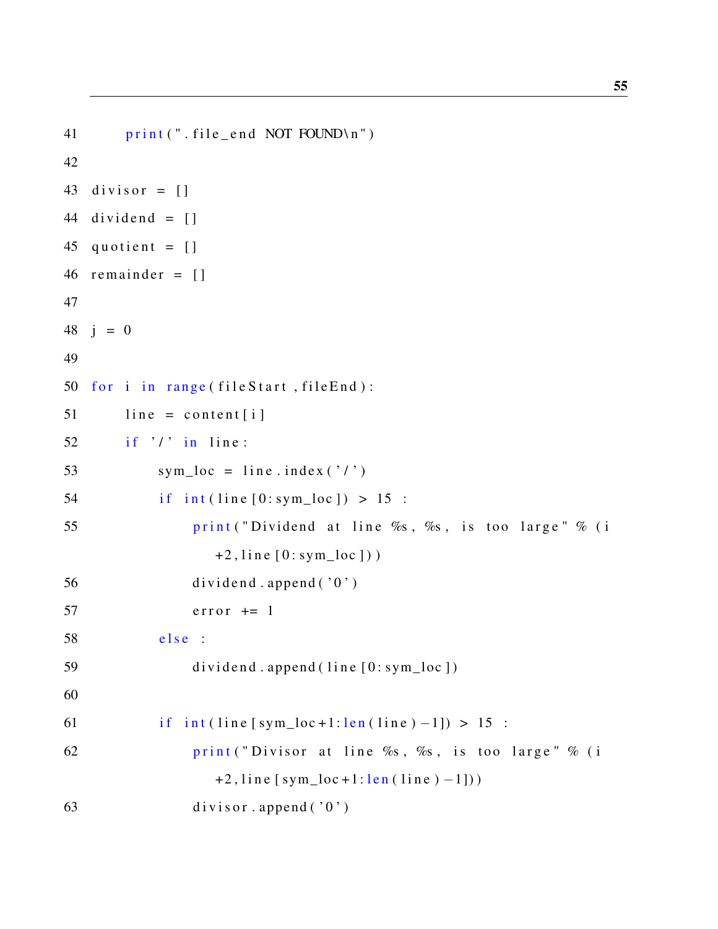```
41 print (". file_end NOT FOUND\n")
42
43 divisor = \lceil \rceil44 dividend = []45 quotient = \begin{bmatrix} \end{bmatrix}46 remainder = []
47
48 i = 049
50 for i in range (fileStart, fileEnd):
51 line = content [i]
52 if '/' in line:
53 sym_loc = line.index ('')54 if int ( line [0:sym\_loc ]) > 15:
55 print ("Dividend at line %s, %s, is too large" % (i
                 +2, line [0:sym\_loc])
56 dividend . append (0')
57 error + = 158 e l s e :
59 dividend . append (line [0: sym_loc ])
60
61 if int ( line [sym\_loc+1:len ( line ) -1]) > 15:
62 print ("Divisor at line \%s, \%s, is too large" \% (i
                 +2, line [sym_loc +1: len (line ) -1]))
63 divisor.append ('0')
```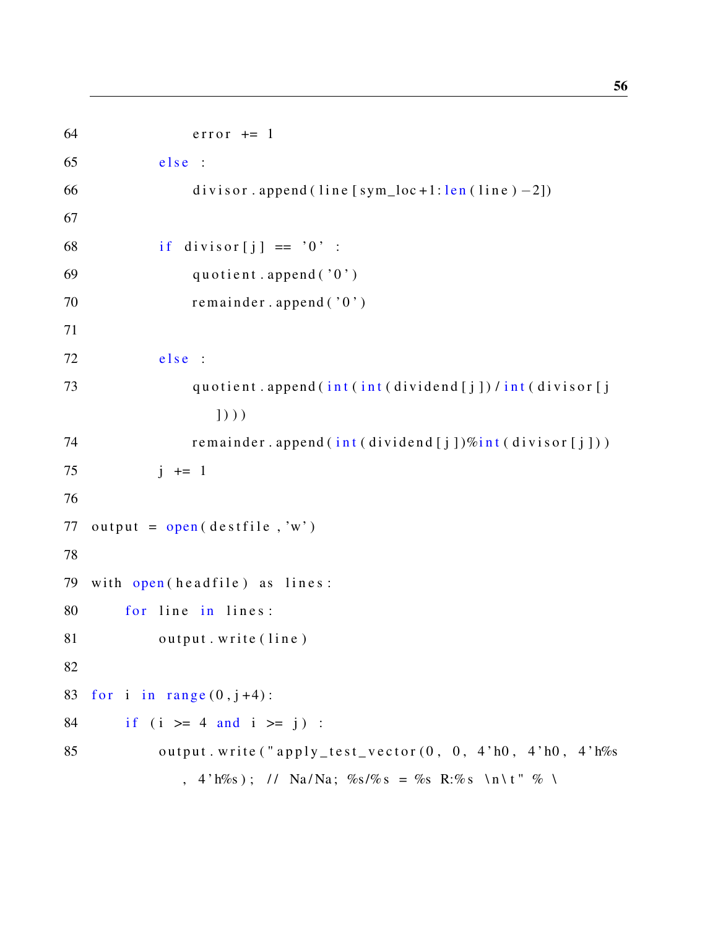```
64 error + = 165 else :
66 divisor . append (\lim_{x \to a} [sym_loc +1: len (\lim_{x \to a}) –2])
67
68 if divisor [i] == '0' :
69 quotient.append ('0')70 remainder.append ('0')
71
72 e l s e :
73 quotient.append (int (int (dividend [j]) / int (divisor [j]
                 \left| \right)))
74 remainder. append (int (dividend[i])\%int (divisor[i]))75 j \neq 176
77 output = open ( destfile, 'w')
78
79 with open(headfile) as lines:
80 for line in lines:
81 output . write (line)
82
83 for i in range (0, j+4):
84 if (i \ge 4 and i \ge i):
85 output . write ("apply_test_vector (0, 0, 4) h(0, 4)" h(0, 4)" h\%s
             , 4'h%s); // Na/Na; %s/%s = %s R:%s \n\t" % \
```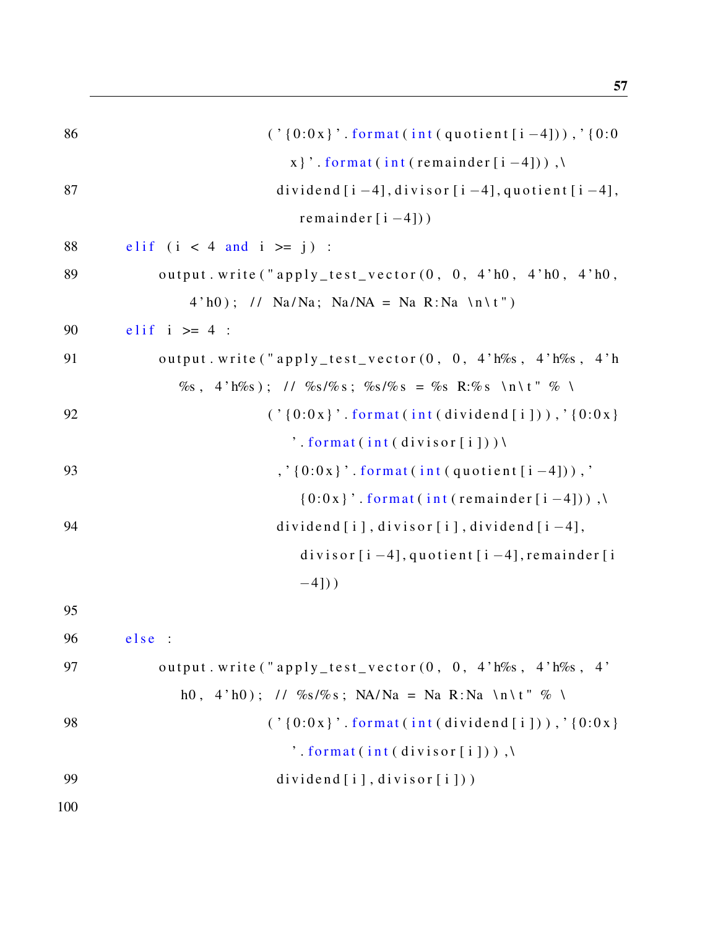57

| 86  | $(' (0:0x)'.format(int(quotient[i-4])), '(0:0$                                         |
|-----|----------------------------------------------------------------------------------------|
|     | x }' . format (int (remainder [i-4])),                                                 |
| 87  | dividend $[i - 4]$ , divisor $[i - 4]$ , quotient $[i - 4]$ ,                          |
|     | remainder $[i-4]$ )                                                                    |
| 88  | elif $(i < 4$ and $i > = j)$ :                                                         |
| 89  | output.write ("apply_test_vector (0, 0, 4'h0, 4'h0, 4'h0,                              |
|     | $4'h0$ ; // Na/Na; Na/NA = Na R:Na \n\t")                                              |
| 90  | elif $i \geq 4$ :                                                                      |
| 91  | output.write ("apply_test_vector (0, 0, 4'h%s, 4'h%s, 4'h                              |
|     | $\%$ s, 4'h $\%$ s); // $\%$ s/ $\%$ s; $\%$ s/ $\%$ s = $\%$ s R: $\%$ s \n\t" $\%$ \ |
| 92  | $(' (0:0x)'.format(int (dividend[i])) , '(0:0x)$                                       |
|     | $\dot{ }$ . format(int(divisor[i]))                                                    |
| 93  | $, '(0:0x)$ . format(int(quotient[i-4])),                                              |
|     | $\{0:0x\}$ '. format (int (remainder [i-4])),                                          |
| 94  | dividend $[i]$ , divisor $[i]$ , dividend $[i-4]$ ,                                    |
|     | divisor $[i - 4]$ , quotient $[i - 4]$ , remainder $[i]$                               |
|     | $-4$ ])                                                                                |
| 95  |                                                                                        |
| 96  | else:                                                                                  |
| 97  | output. write ("apply_test_vector(0, 0, 4'h\%s, 4'h\%s, 4'                             |
|     | h0, 4'h0); // %s/%s; NA/Na = Na R:Na \n\t" % \                                         |
| 98  | $('$ [0:0x]'. format(int(dividend[i])),'[0:0x]                                         |
|     | $\dot{\ }$ . format(int(divisor[i])),                                                  |
| 99  | dividend $[i]$ , divisor $[i]$ )                                                       |
| 100 |                                                                                        |